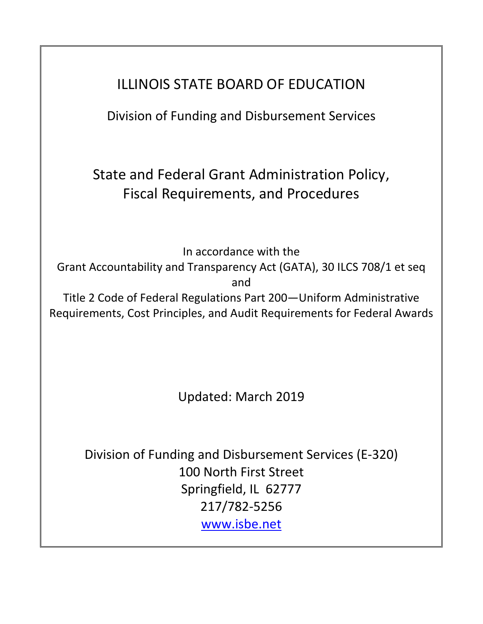# ILLINOIS STATE BOARD OF EDUCATION

Division of Funding and Disbursement Services

State and Federal Grant Administration Policy, Fiscal Requirements, and Procedures

In accordance with the

Grant Accountability and Transparency Act (GATA), 30 ILCS 708/1 et seq and

Title 2 Code of Federal Regulations Part 200—Uniform Administrative Requirements, Cost Principles, and Audit Requirements for Federal Awards

Updated: March 2019

Division of Funding and Disbursement Services (E-320) 100 North First Street Springfield, IL 62777 217/782-5256 [www.isbe.net](http://www.isbe.net/)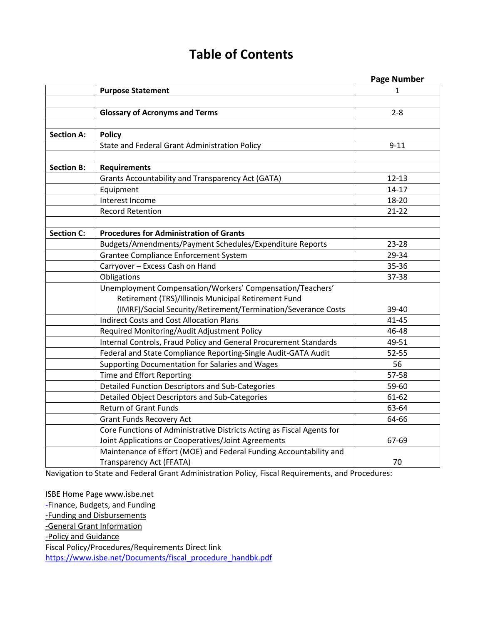# **Table of Contents**

|                   |                                                                        | <b>Page Number</b> |
|-------------------|------------------------------------------------------------------------|--------------------|
|                   | <b>Purpose Statement</b>                                               | 1                  |
|                   |                                                                        |                    |
|                   | <b>Glossary of Acronyms and Terms</b>                                  | $2 - 8$            |
|                   |                                                                        |                    |
| <b>Section A:</b> | <b>Policy</b>                                                          |                    |
|                   | State and Federal Grant Administration Policy                          | $9 - 11$           |
|                   |                                                                        |                    |
| <b>Section B:</b> | <b>Requirements</b>                                                    |                    |
|                   | Grants Accountability and Transparency Act (GATA)                      | $12 - 13$          |
|                   | Equipment                                                              | $14 - 17$          |
|                   | Interest Income                                                        | 18-20              |
|                   | <b>Record Retention</b>                                                | $21 - 22$          |
|                   |                                                                        |                    |
| <b>Section C:</b> | <b>Procedures for Administration of Grants</b>                         |                    |
|                   | Budgets/Amendments/Payment Schedules/Expenditure Reports               | 23-28              |
|                   | Grantee Compliance Enforcement System                                  | 29-34              |
|                   | Carryover - Excess Cash on Hand                                        | 35-36              |
|                   | Obligations                                                            | 37-38              |
|                   | Unemployment Compensation/Workers' Compensation/Teachers'              |                    |
|                   | Retirement (TRS)/Illinois Municipal Retirement Fund                    |                    |
|                   | (IMRF)/Social Security/Retirement/Termination/Severance Costs          | 39-40              |
|                   | <b>Indirect Costs and Cost Allocation Plans</b>                        | $41 - 45$          |
|                   | Required Monitoring/Audit Adjustment Policy                            | 46-48              |
|                   | Internal Controls, Fraud Policy and General Procurement Standards      | 49-51              |
|                   | Federal and State Compliance Reporting-Single Audit-GATA Audit         | $52 - 55$          |
|                   | Supporting Documentation for Salaries and Wages                        | 56                 |
|                   | Time and Effort Reporting                                              | 57-58              |
|                   | Detailed Function Descriptors and Sub-Categories                       | 59-60              |
|                   | Detailed Object Descriptors and Sub-Categories                         | $61 - 62$          |
|                   | <b>Return of Grant Funds</b>                                           | 63-64              |
|                   | <b>Grant Funds Recovery Act</b>                                        | 64-66              |
|                   | Core Functions of Administrative Districts Acting as Fiscal Agents for |                    |
|                   | Joint Applications or Cooperatives/Joint Agreements                    | 67-69              |
|                   | Maintenance of Effort (MOE) and Federal Funding Accountability and     |                    |
|                   | Transparency Act (FFATA)                                               | 70                 |

Navigation to State and Federal Grant Administration Policy, Fiscal Requirements, and Procedures:

ISBE Home Page www.isbe.net -Finance, Budgets, and Funding -Funding and Disbursements -General Grant Information -Policy and Guidance Fiscal Policy/Procedures/Requirements Direct link [https://www.isbe.net/Documents/fiscal\\_procedure\\_handbk.pdf](https://www.isbe.net/Documents/fiscal_procedure_handbk.pdf)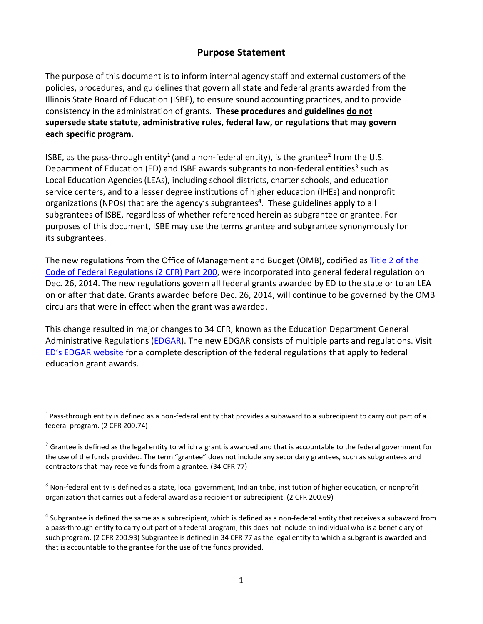# **Purpose Statement**

The purpose of this document is to inform internal agency staff and external customers of the policies, procedures, and guidelines that govern all state and federal grants awarded from the Illinois State Board of Education (ISBE), to ensure sound accounting practices, and to provide consistency in the administration of grants. **These procedures and guidelines do not supersede state statute, administrative rules, federal law, or regulations that may govern each specific program.**

ISBE, as the pass-through entity<sup>1</sup> (and a non-federal entity), is the grantee<sup>2</sup> from the U.S. Department of Education (ED) and ISBE awards subgrants to non-federal entities<sup>3</sup> such as Local Education Agencies (LEAs), including school districts, charter schools, and education service centers, and to a lesser degree institutions of higher education (IHEs) and nonprofit organizations (NPOs) that are the agency's subgrantees<sup>4</sup>. These guidelines apply to all subgrantees of ISBE, regardless of whether referenced herein as subgrantee or grantee. For purposes of this document, ISBE may use the terms grantee and subgrantee synonymously for its subgrantees.

The new regulations from the Office of Management and Budget (OMB), codified as [Title 2 of the](http://www.ecfr.gov/cgi-bin/text-idx?SID=daf9f454d79344ef884779e46a9acd2f&node=pt2.1.200&rgn=div5#_top)  [Code of Federal Regulations \(2 CFR\) Part 200,](http://www.ecfr.gov/cgi-bin/text-idx?SID=daf9f454d79344ef884779e46a9acd2f&node=pt2.1.200&rgn=div5#_top) were incorporated into general federal regulation on Dec. 26, 2014. The new regulations govern all federal grants awarded by ED to the state or to an LEA on or after that date. Grants awarded before Dec. 26, 2014, will continue to be governed by the OMB circulars that were in effect when the grant was awarded.

This change resulted in major changes to 34 CFR, known as the Education Department General Administrative Regulations [\(EDGAR\)](http://www2.ed.gov/policy/fund/guid/uniform-guidance/index.html). The new EDGAR consists of multiple parts and regulations. Visit ED's [EDGAR website](http://www2.ed.gov/policy/fund/reg/edgarReg/edgar.html) for a complete description of the federal regulations that apply to federal education grant awards.

 $1$  Pass-through entity is defined as a non-federal entity that provides a subaward to a subrecipient to carry out part of a federal program. (2 CFR 200.74)

 $2$  Grantee is defined as the legal entity to which a grant is awarded and that is accountable to the federal government for the use of the funds provided. The term "grantee" does not include any secondary grantees, such as subgrantees and contractors that may receive funds from a grantee. (34 CFR 77)

 $3$  Non-federal entity is defined as a state, local government, Indian tribe, institution of higher education, or nonprofit organization that carries out a federal award as a recipient or subrecipient. (2 CFR 200.69)

 $4$  Subgrantee is defined the same as a subrecipient, which is defined as a non-federal entity that receives a subaward from a pass-through entity to carry out part of a federal program; this does not include an individual who is a beneficiary of such program. (2 CFR 200.93) Subgrantee is defined in 34 CFR 77 as the legal entity to which a subgrant is awarded and that is accountable to the grantee for the use of the funds provided.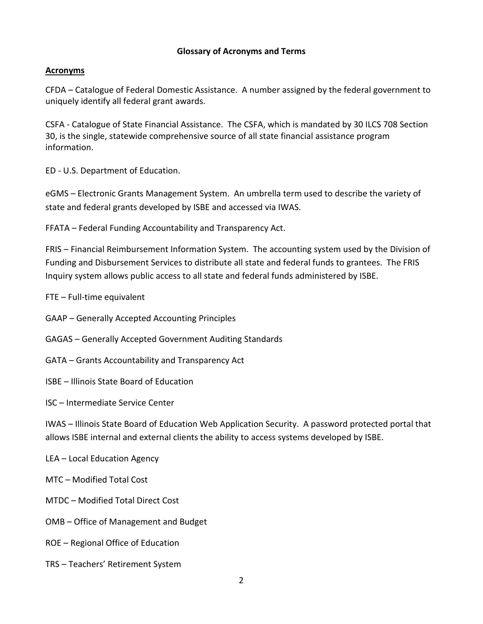#### **Glossary of Acronyms and Terms**

#### **Acronyms**

CFDA – Catalogue of Federal Domestic Assistance. A number assigned by the federal government to uniquely identify all federal grant awards.

CSFA - Catalogue of State Financial Assistance. The CSFA, which is mandated by 30 ILCS 708 Section 30, is the single, statewide comprehensive source of all state financial assistance program information.

ED - U.S. Department of Education.

eGMS – Electronic Grants Management System. An umbrella term used to describe the variety of state and federal grants developed by ISBE and accessed via IWAS.

FFATA – Federal Funding Accountability and Transparency Act.

FRIS – Financial Reimbursement Information System. The accounting system used by the Division of Funding and Disbursement Services to distribute all state and federal funds to grantees. The FRIS Inquiry system allows public access to all state and federal funds administered by ISBE.

FTE – Full-time equivalent

GAAP – Generally Accepted Accounting Principles

GAGAS – Generally Accepted Government Auditing Standards

- GATA Grants Accountability and Transparency Act
- ISBE Illinois State Board of Education

ISC – Intermediate Service Center

IWAS – Illinois State Board of Education Web Application Security. A password protected portal that allows ISBE internal and external clients the ability to access systems developed by ISBE.

- LEA Local Education Agency
- MTC Modified Total Cost
- MTDC Modified Total Direct Cost
- OMB Office of Management and Budget
- ROE Regional Office of Education
- TRS Teachers' Retirement System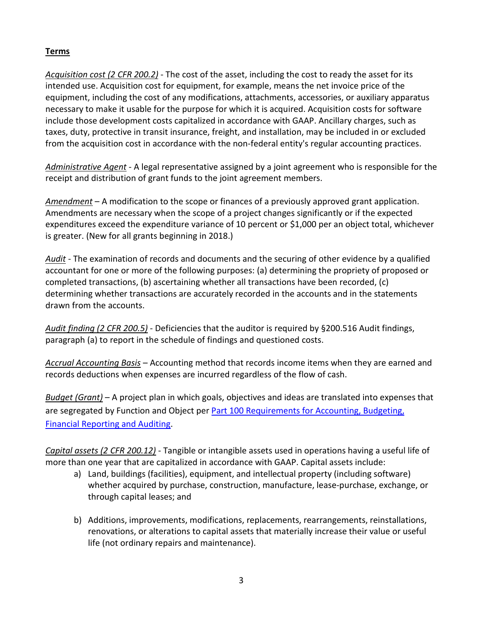# **Terms**

*Acquisition cost (2 CFR 200.2)* - The cost of the asset, including the cost to ready the asset for its intended use. Acquisition cost for equipment, for example, means the net invoice price of the equipment, including the cost of any modifications, attachments, accessories, or auxiliary apparatus necessary to make it usable for the purpose for which it is acquired. Acquisition costs for software include those development costs capitalized in accordance with GAAP. Ancillary charges, such as taxes, duty, protective in transit insurance, freight, and installation, may be included in or excluded from the acquisition cost in accordance with the non-federal entity's regular accounting practices.

*Administrative Agent* - A legal representative assigned by a joint agreement who is responsible for the receipt and distribution of grant funds to the joint agreement members.

*Amendment* – A modification to the scope or finances of a previously approved grant application. Amendments are necessary when the scope of a project changes significantly or if the expected expenditures exceed the expenditure variance of 10 percent or \$1,000 per an object total, whichever is greater. (New for all grants beginning in 2018.)

*Audit* - The examination of records and documents and the securing of other evidence by a qualified accountant for one or more of the following purposes: (a) determining the propriety of proposed or completed transactions, (b) ascertaining whether all transactions have been recorded, (c) determining whether transactions are accurately recorded in the accounts and in the statements drawn from the accounts.

*Audit finding (2 CFR 200.5)* - Deficiencies that the auditor is required by §200.516 Audit findings, paragraph (a) to report in the schedule of findings and questioned costs.

*Accrual Accounting Basis* – Accounting method that records income items when they are earned and records deductions when expenses are incurred regardless of the flow of cash.

*Budget (Grant)* – A project plan in which goals, objectives and ideas are translated into expenses that are segregated by Function and Object per [Part 100 Requirements for Accounting, Budgeting,](https://www.isbe.net/Documents/100ARK.pdf)  [Financial Reporting and Auditing.](https://www.isbe.net/Documents/100ARK.pdf)

*Capital assets (2 CFR 200.12)* - Tangible or intangible assets used in operations having a useful life of more than one year that are capitalized in accordance with GAAP. Capital assets include:

- a) Land, buildings (facilities), equipment, and intellectual property (including software) whether acquired by purchase, construction, manufacture, lease-purchase, exchange, or through capital leases; and
- b) Additions, improvements, modifications, replacements, rearrangements, reinstallations, renovations, or alterations to capital assets that materially increase their value or useful life (not ordinary repairs and maintenance).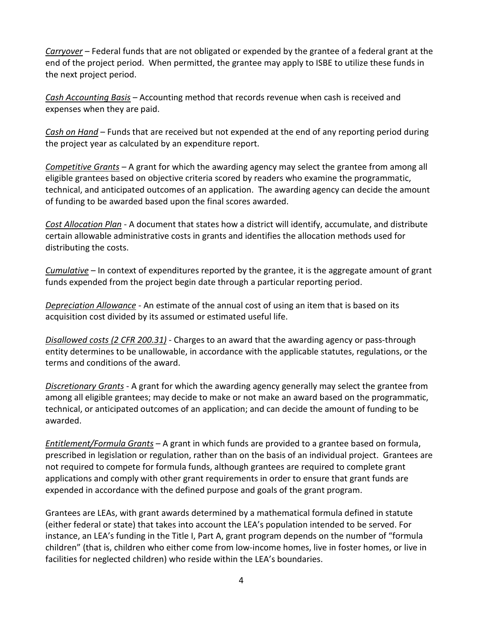*Carryover* – Federal funds that are not obligated or expended by the grantee of a federal grant at the end of the project period. When permitted, the grantee may apply to ISBE to utilize these funds in the next project period.

*Cash Accounting Basis* – Accounting method that records revenue when cash is received and expenses when they are paid.

*Cash on Hand* – Funds that are received but not expended at the end of any reporting period during the project year as calculated by an expenditure report.

*Competitive Grants* – A grant for which the awarding agency may select the grantee from among all eligible grantees based on objective criteria scored by readers who examine the programmatic, technical, and anticipated outcomes of an application. The awarding agency can decide the amount of funding to be awarded based upon the final scores awarded.

*Cost Allocation Plan* - A document that states how a district will identify, accumulate, and distribute certain allowable administrative costs in grants and identifies the allocation methods used for distributing the costs.

*Cumulative* – In context of expenditures reported by the grantee, it is the aggregate amount of grant funds expended from the project begin date through a particular reporting period.

*Depreciation Allowance* - An estimate of the annual cost of using an item that is based on its acquisition cost divided by its assumed or estimated useful life.

*Disallowed costs (2 CFR 200.31)* - Charges to an award that the awarding agency or pass-through entity determines to be unallowable, in accordance with the applicable statutes, regulations, or the terms and conditions of the award.

*Discretionary Grants* - A grant for which the awarding agency generally may select the grantee from among all eligible grantees; may decide to make or not make an award based on the programmatic, technical, or anticipated outcomes of an application; and can decide the amount of funding to be awarded.

*Entitlement/Formula Grants* – A grant in which funds are provided to a grantee based on formula, prescribed in legislation or regulation, rather than on the basis of an individual project. Grantees are not required to compete for formula funds, although grantees are required to complete grant applications and comply with other grant requirements in order to ensure that grant funds are expended in accordance with the defined purpose and goals of the grant program.

Grantees are LEAs, with grant awards determined by a mathematical formula defined in statute (either federal or state) that takes into account the LEA's population intended to be served. For instance, an LEA's funding in the Title I, Part A, grant program depends on the number of "formula children" (that is, children who either come from low-income homes, live in foster homes, or live in facilities for neglected children) who reside within the LEA's boundaries.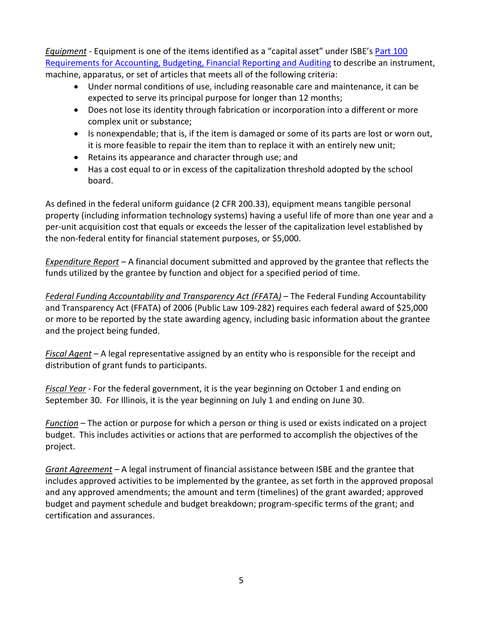*Equipment* - Equipment is one of the items identified as a "capital asset" under ISBE's [Part 100](https://www.isbe.net/Documents/100ARK.pdf)  [Requirements for Accounting, Budgeting, Financial Reporting and Auditing](https://www.isbe.net/Documents/100ARK.pdf) to describe an instrument, machine, apparatus, or set of articles that meets all of the following criteria:

- Under normal conditions of use, including reasonable care and maintenance, it can be expected to serve its principal purpose for longer than 12 months;
- Does not lose its identity through fabrication or incorporation into a different or more complex unit or substance;
- Is nonexpendable; that is, if the item is damaged or some of its parts are lost or worn out, it is more feasible to repair the item than to replace it with an entirely new unit;
- Retains its appearance and character through use; and
- Has a cost equal to or in excess of the capitalization threshold adopted by the school board.

As defined in the federal uniform guidance (2 CFR 200.33), equipment means tangible personal property (including information technology systems) having a useful life of more than one year and a per-unit acquisition cost that equals or exceeds the lesser of the capitalization level established by the non-federal entity for financial statement purposes, or \$5,000.

*Expenditure Report* – A financial document submitted and approved by the grantee that reflects the funds utilized by the grantee by function and object for a specified period of time.

*Federal Funding Accountability and Transparency Act (FFATA)* – The Federal Funding Accountability and Transparency Act (FFATA) of 2006 (Public Law 109-282) requires each federal award of \$25,000 or more to be reported by the state awarding agency, including basic information about the grantee and the project being funded.

*Fiscal Agent* – A legal representative assigned by an entity who is responsible for the receipt and distribution of grant funds to participants.

*Fiscal Year* - For the federal government, it is the year beginning on October 1 and ending on September 30. For Illinois, it is the year beginning on July 1 and ending on June 30.

*Function* – The action or purpose for which a person or thing is used or exists indicated on a project budget. This includes activities or actions that are performed to accomplish the objectives of the project.

*Grant Agreement* – A legal instrument of financial assistance between ISBE and the grantee that includes approved activities to be implemented by the grantee, as set forth in the approved proposal and any approved amendments; the amount and term (timelines) of the grant awarded; approved budget and payment schedule and budget breakdown; program-specific terms of the grant; and certification and assurances.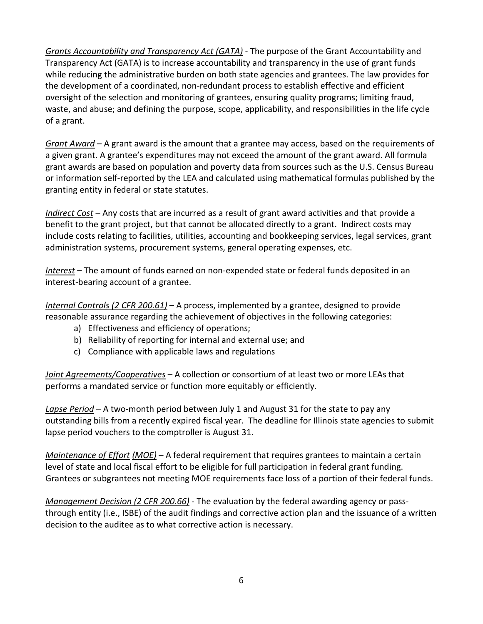*Grants Accountability and Transparency Act (GATA)* - The purpose of the [Grant Accountability and](http://ilga.gov/legislation/ilcs/ilcs3.asp?ActID=3559&ChapterID=7)  [Transparency Act \(GATA\)](http://ilga.gov/legislation/ilcs/ilcs3.asp?ActID=3559&ChapterID=7) is to increase accountability and transparency in the use of grant funds while reducing the administrative burden on both state agencies and grantees. The law provides for the development of a coordinated, non-redundant process to establish effective and efficient oversight of the selection and monitoring of grantees, ensuring quality programs; limiting fraud, waste, and abuse; and defining the purpose, scope, applicability, and responsibilities in the life cycle of a grant.

*Grant Award* – A grant award is the amount that a grantee may access, based on the requirements of a given grant. A grantee's expenditures may not exceed the amount of the grant award. All formula grant awards are based on population and poverty data from sources such as the U.S. Census Bureau or information self-reported by the LEA and calculated using mathematical formulas published by the granting entity in federal or state statutes.

*Indirect Cost* – Any costs that are incurred as a result of grant award activities and that provide a benefit to the grant project, but that cannot be allocated directly to a grant. Indirect costs may include costs relating to facilities, utilities, accounting and bookkeeping services, legal services, grant administration systems, procurement systems, general operating expenses, etc.

*Interest* – The amount of funds earned on non-expended state or federal funds deposited in an interest-bearing account of a grantee.

*Internal Controls (2 CFR 200.61)* – A process, implemented by a grantee, designed to provide reasonable assurance regarding the achievement of objectives in the following categories:

- a) Effectiveness and efficiency of operations;
- b) Reliability of reporting for internal and external use; and
- c) Compliance with applicable laws and regulations

*Joint Agreements/Cooperatives* – A collection or consortium of at least two or more LEAs that performs a mandated service or function more equitably or efficiently.

*Lapse Period* – A two-month period between July 1 and August 31 for the state to pay any outstanding bills from a recently expired fiscal year. The deadline for Illinois state agencies to submit lapse period vouchers to the comptroller is August 31.

*Maintenance of Effort (MOE)* – A federal requirement that requires grantees to maintain a certain level of state and local fiscal effort to be eligible for full participation in federal grant funding. Grantees or subgrantees not meeting MOE requirements face loss of a portion of their federal funds.

*Management Decision (2 CFR 200.66)* - The evaluation by the federal awarding agency or passthrough entity (i.e., ISBE) of the audit findings and corrective action plan and the issuance of a written decision to the auditee as to what corrective action is necessary.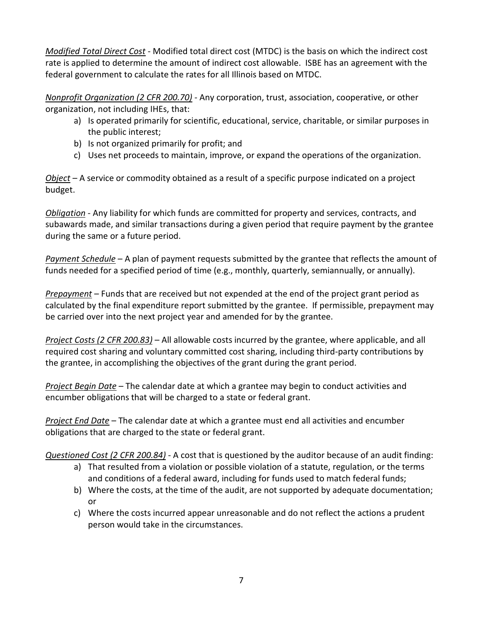*Modified Total Direct Cost* - Modified total direct cost (MTDC) is the basis on which the indirect cost rate is applied to determine the amount of indirect cost allowable. ISBE has an agreement with the federal government to calculate the rates for all Illinois based on MTDC.

*Nonprofit Organization (2 CFR 200.70)* - Any corporation, trust, association, cooperative, or other organization, not including IHEs, that:

- a) Is operated primarily for scientific, educational, service, charitable, or similar purposes in the public interest;
- b) Is not organized primarily for profit; and
- c) Uses net proceeds to maintain, improve, or expand the operations of the organization.

*Object* – A service or commodity obtained as a result of a specific purpose indicated on a project budget.

*Obligation* - Any liability for which funds are committed for property and services, contracts, and subawards made, and similar transactions during a given period that require payment by the grantee during the same or a future period.

*Payment Schedule* – A plan of payment requests submitted by the grantee that reflects the amount of funds needed for a specified period of time (e.g., monthly, quarterly, semiannually, or annually).

*Prepayment* – Funds that are received but not expended at the end of the project grant period as calculated by the final expenditure report submitted by the grantee. If permissible, prepayment may be carried over into the next project year and amended for by the grantee.

*Project Costs (2 CFR 200.83)* – All allowable costs incurred by the grantee, where applicable, and all required cost sharing and voluntary committed cost sharing, including third-party contributions by the grantee, in accomplishing the objectives of the grant during the grant period.

*Project Begin Date* – The calendar date at which a grantee may begin to conduct activities and encumber obligations that will be charged to a state or federal grant.

*Project End Date* – The calendar date at which a grantee must end all activities and encumber obligations that are charged to the state or federal grant.

*Questioned Cost (2 CFR 200.84)* - A cost that is questioned by the auditor because of an audit finding:

- a) That resulted from a violation or possible violation of a statute, regulation, or the terms and conditions of a federal award, including for funds used to match federal funds;
- b) Where the costs, at the time of the audit, are not supported by adequate documentation; or
- c) Where the costs incurred appear unreasonable and do not reflect the actions a prudent person would take in the circumstances.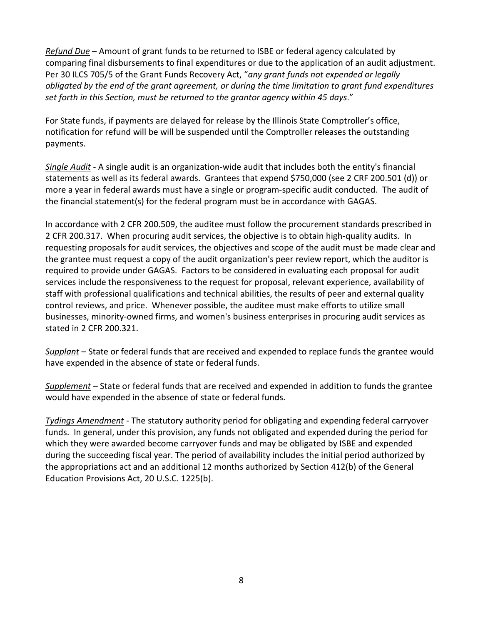*Refund Due* – Amount of grant funds to be returned to ISBE or federal agency calculated by comparing final disbursements to final expenditures or due to the application of an audit adjustment. Per 30 ILCS 705/5 of the Grant Funds Recovery Act, "*any grant funds not expended or legally obligated by the end of the grant agreement, or during the time limitation to grant fund expenditures set forth in this Section, must be returned to the grantor agency within 45 days*."

For State funds, if payments are delayed for release by the Illinois State Comptroller's office, notification for refund will be will be suspended until the Comptroller releases the outstanding payments.

*Single Audit* - A single audit is an organization-wide audit that includes both the entity's financial statements as well as its federal awards. Grantees that expend \$750,000 (see 2 CRF 200.501 (d)) or more a year in federal awards must have a single or program-specific audit conducted. The audit of the financial statement(s) for the federal program must be in accordance with GAGAS.

In accordance with 2 CFR 200.509, the auditee must follow the procurement standards prescribed in 2 CFR 200.317. When procuring audit services, the objective is to obtain high-quality audits. In requesting proposals for audit services, the objectives and scope of the audit must be made clear and the grantee must request a copy of the audit organization's peer review report, which the auditor is required to provide under GAGAS. Factors to be considered in evaluating each proposal for audit services include the responsiveness to the request for proposal, relevant experience, availability of staff with professional qualifications and technical abilities, the results of peer and external quality control reviews, and price. Whenever possible, the auditee must make efforts to utilize small businesses, minority-owned firms, and women's business enterprises in procuring audit services as stated in 2 CFR 200.321.

*Supplant* – State or federal funds that are received and expended to replace funds the grantee would have expended in the absence of state or federal funds.

*Supplement* – State or federal funds that are received and expended in addition to funds the grantee would have expended in the absence of state or federal funds.

*Tydings Amendment* - The statutory authority period for obligating and expending federal carryover funds. In general, under this provision, any funds not obligated and expended during the period for which they were awarded become carryover funds and may be obligated by ISBE and expended during the succeeding fiscal year. The period of availability includes the initial period authorized by the appropriations act and an additional 12 months authorized by Section 412(b) of the General Education Provisions Act, 20 U.S.C. 1225(b).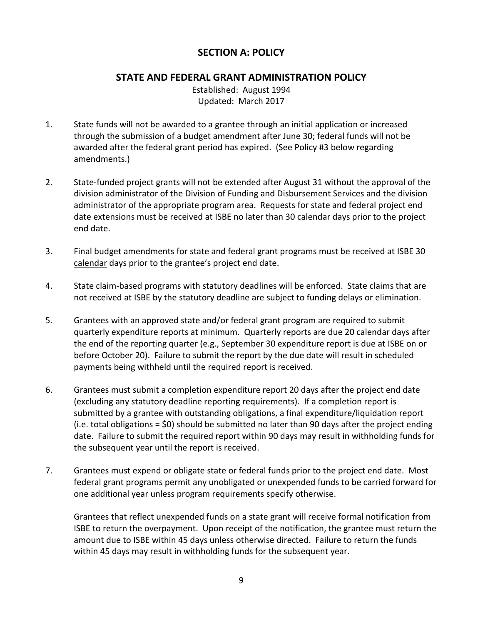# **SECTION A: POLICY**

# **STATE AND FEDERAL GRANT ADMINISTRATION POLICY**

Established: August 1994 Updated: March 2017

- 1. State funds will not be awarded to a grantee through an initial application or increased through the submission of a budget amendment after June 30; federal funds will not be awarded after the federal grant period has expired. (See Policy #3 below regarding amendments.)
- 2. State-funded project grants will not be extended after August 31 without the approval of the division administrator of the Division of Funding and Disbursement Services and the division administrator of the appropriate program area. Requests for state and federal project end date extensions must be received at ISBE no later than 30 calendar days prior to the project end date.
- 3. Final budget amendments for state and federal grant programs must be received at ISBE 30 calendar days prior to the grantee's project end date.
- 4. State claim-based programs with statutory deadlines will be enforced. State claims that are not received at ISBE by the statutory deadline are subject to funding delays or elimination.
- 5. Grantees with an approved state and/or federal grant program are required to submit quarterly expenditure reports at minimum. Quarterly reports are due 20 calendar days after the end of the reporting quarter (e.g., September 30 expenditure report is due at ISBE on or before October 20). Failure to submit the report by the due date will result in scheduled payments being withheld until the required report is received.
- 6. Grantees must submit a completion expenditure report 20 days after the project end date (excluding any statutory deadline reporting requirements). If a completion report is submitted by a grantee with outstanding obligations, a final expenditure/liquidation report (i.e. total obligations = \$0) should be submitted no later than 90 days after the project ending date. Failure to submit the required report within 90 days may result in withholding funds for the subsequent year until the report is received.
- 7. Grantees must expend or obligate state or federal funds prior to the project end date. Most federal grant programs permit any unobligated or unexpended funds to be carried forward for one additional year unless program requirements specify otherwise.

Grantees that reflect unexpended funds on a state grant will receive formal notification from ISBE to return the overpayment. Upon receipt of the notification, the grantee must return the amount due to ISBE within 45 days unless otherwise directed. Failure to return the funds within 45 days may result in withholding funds for the subsequent year.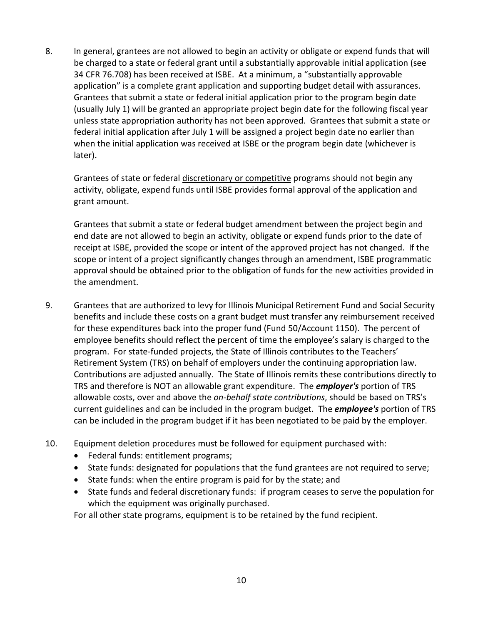8. In general, grantees are not allowed to begin an activity or obligate or expend funds that will be charged to a state or federal grant until a substantially approvable initial application (see 34 CFR 76.708) has been received at ISBE. At a minimum, a "substantially approvable application" is a complete grant application and supporting budget detail with assurances. Grantees that submit a state or federal initial application prior to the program begin date (usually July 1) will be granted an appropriate project begin date for the following fiscal year unless state appropriation authority has not been approved. Grantees that submit a state or federal initial application after July 1 will be assigned a project begin date no earlier than when the initial application was received at ISBE or the program begin date (whichever is later).

Grantees of state or federal discretionary or competitive programs should not begin any activity, obligate, expend funds until ISBE provides formal approval of the application and grant amount.

Grantees that submit a state or federal budget amendment between the project begin and end date are not allowed to begin an activity, obligate or expend funds prior to the date of receipt at ISBE, provided the scope or intent of the approved project has not changed. If the scope or intent of a project significantly changes through an amendment, ISBE programmatic approval should be obtained prior to the obligation of funds for the new activities provided in the amendment.

- 9. Grantees that are authorized to levy for Illinois Municipal Retirement Fund and Social Security benefits and include these costs on a grant budget must transfer any reimbursement received for these expenditures back into the proper fund (Fund 50/Account 1150). The percent of employee benefits should reflect the percent of time the employee's salary is charged to the program. For state-funded projects, the State of Illinois contributes to the Teachers' Retirement System (TRS) on behalf of employers under the continuing appropriation law. Contributions are adjusted annually. The State of Illinois remits these contributions directly to TRS and therefore is NOT an allowable grant expenditure. The *employer's* portion of TRS allowable costs, over and above the *on-behalf state contributions*, should be based on TRS's current guidelines and can be included in the program budget. The *employee's* portion of TRS can be included in the program budget if it has been negotiated to be paid by the employer.
- 10. Equipment deletion procedures must be followed for equipment purchased with:
	- Federal funds: entitlement programs;
	- State funds: designated for populations that the fund grantees are not required to serve;
	- State funds: when the entire program is paid for by the state; and
	- State funds and federal discretionary funds: if program ceases to serve the population for which the equipment was originally purchased.

For all other state programs, equipment is to be retained by the fund recipient.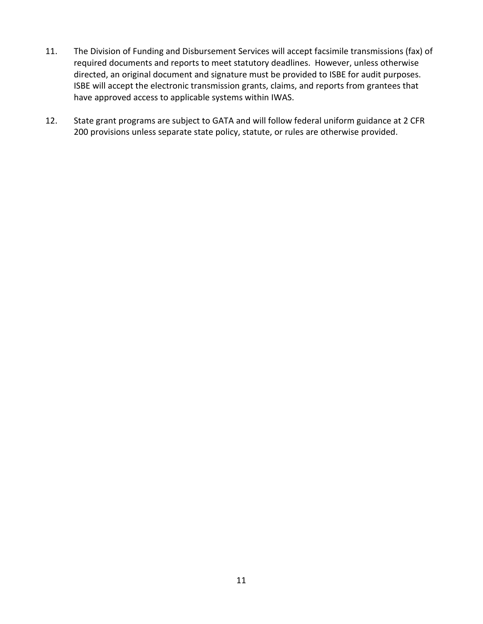- 11. The Division of Funding and Disbursement Services will accept facsimile transmissions (fax) of required documents and reports to meet statutory deadlines. However, unless otherwise directed, an original document and signature must be provided to ISBE for audit purposes. ISBE will accept the electronic transmission grants, claims, and reports from grantees that have approved access to applicable systems within IWAS.
- 12. State grant programs are subject to GATA and will follow federal uniform guidance at 2 CFR 200 provisions unless separate state policy, statute, or rules are otherwise provided.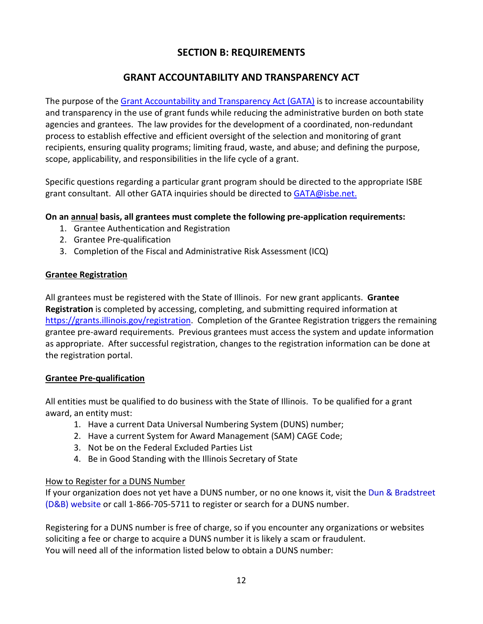# **SECTION B: REQUIREMENTS**

# **GRANT ACCOUNTABILITY AND TRANSPARENCY ACT**

The purpose of the [Grant Accountability and Transparency Act \(GATA\)](http://ilga.gov/legislation/ilcs/ilcs3.asp?ActID=3559&ChapterID=7) is to increase accountability and transparency in the use of grant funds while reducing the administrative burden on both state agencies and grantees. The law provides for the development of a coordinated, non-redundant process to establish effective and efficient oversight of the selection and monitoring of grant recipients, ensuring quality programs; limiting fraud, waste, and abuse; and defining the purpose, scope, applicability, and responsibilities in the life cycle of a grant.

Specific questions regarding a particular grant program should be directed to the appropriate ISBE grant consultant. All other GATA inquiries should be directed to [GATA@isbe.net.](mailto:GATA@isbe.net)

# **On an annual basis, all grantees must complete the following pre-application requirements:**

- 1. Grantee Authentication and Registration
- 2. Grantee Pre-qualification
- 3. Completion of the Fiscal and Administrative Risk Assessment (ICQ)

#### **Grantee Registration**

All grantees must be registered with the State of Illinois. For new grant applicants. **Grantee Registration** is completed by accessing, completing, and submitting required information at [https://grants.illinois.gov/registration.](https://grants.illinois.gov/registration) Completion of the Grantee Registration triggers the remaining grantee pre-award requirements. Previous grantees must access the system and update information as appropriate. After successful registration, changes to the registration information can be done at the registration portal.

#### **Grantee Pre-qualification**

All entities must be qualified to do business with the State of Illinois. To be qualified for a grant award, an entity must:

- 1. Have a current Data Universal Numbering System (DUNS) number;
- 2. Have a current System for Award Management (SAM) CAGE Code;
- 3. Not be on the Federal Excluded Parties List
- 4. Be in Good Standing with the Illinois Secretary of State

#### How to Register for a DUNS Number

If your organization does not yet have a DUNS number, or no one knows it, visit the [Dun & Bradstreet](http://fedgov.dnb.com/webform/displayHomePage.do)  [\(D&B\) website](http://fedgov.dnb.com/webform/displayHomePage.do) or call 1-866-705-5711 to register or search for a DUNS number.

Registering for a DUNS number is free of charge, so if you encounter any organizations or websites soliciting a fee or charge to acquire a DUNS number it is likely a scam or fraudulent. You will need all of the information listed below to obtain a DUNS number: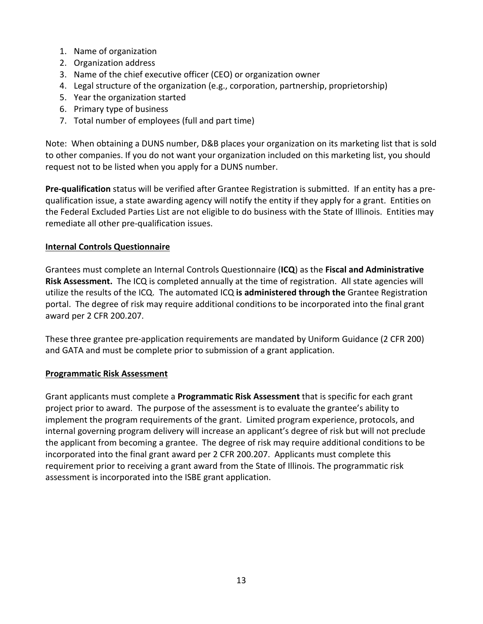- 1. Name of organization
- 2. Organization address
- 3. Name of the chief executive officer (CEO) or organization owner
- 4. Legal structure of the organization (e.g., corporation, partnership, proprietorship)
- 5. Year the organization started
- 6. Primary type of business
- 7. Total number of employees (full and part time)

Note: When obtaining a DUNS number, D&B places your organization on its marketing list that is sold to other companies. If you do not want your organization included on this marketing list, you should request not to be listed when you apply for a DUNS number.

**Pre-qualification** status will be verified after Grantee Registration is submitted. If an entity has a prequalification issue, a state awarding agency will notify the entity if they apply for a grant. Entities on the Federal Excluded Parties List are not eligible to do business with the State of Illinois. Entities may remediate all other pre-qualification issues.

# **Internal Controls Questionnaire**

Grantees must complete an Internal Controls Questionnaire (**ICQ**) as the **Fiscal and Administrative Risk Assessment.** The ICQ is completed annually at the time of registration. All state agencies will utilize the results of the ICQ. The automated ICQ **is administered through the** Grantee Registration portal. The degree of risk may require additional conditions to be incorporated into the final grant award per 2 CFR 200.207.

These three grantee pre-application requirements are mandated by Uniform Guidance (2 CFR 200) and GATA and must be complete prior to submission of a grant application.

#### **Programmatic Risk Assessment**

Grant applicants must complete a **Programmatic Risk Assessment** that is specific for each grant project prior to award. The purpose of the assessment is to evaluate the grantee's ability to implement the program requirements of the grant. Limited program experience, protocols, and internal governing program delivery will increase an applicant's degree of risk but will not preclude the applicant from becoming a grantee. The degree of risk may require additional conditions to be incorporated into the final grant award per 2 CFR 200.207. Applicants must complete this requirement prior to receiving a grant award from the State of Illinois. The programmatic risk assessment is incorporated into the ISBE grant application.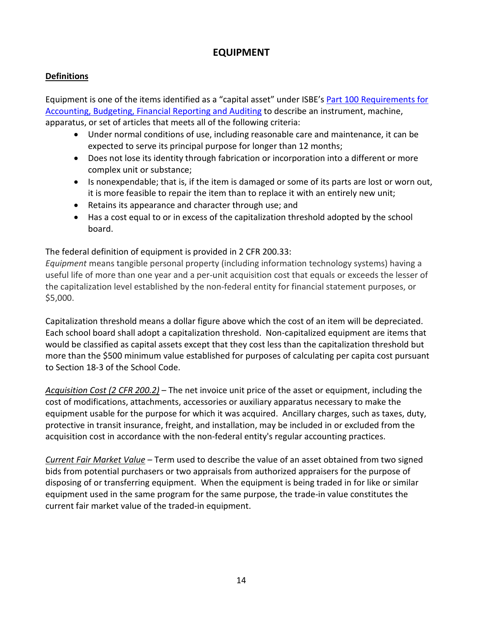# **EQUIPMENT**

# **Definitions**

Equipment is one of the items identified as a "capital asset" under ISBE's [Part 100 Requirements for](https://www.isbe.net/Documents/100ARK.pdf)  [Accounting, Budgeting, Financial Reporting and Auditing](https://www.isbe.net/Documents/100ARK.pdf) to describe an instrument, machine, apparatus, or set of articles that meets all of the following criteria:

- Under normal conditions of use, including reasonable care and maintenance, it can be expected to serve its principal purpose for longer than 12 months;
- Does not lose its identity through fabrication or incorporation into a different or more complex unit or substance;
- Is nonexpendable; that is, if the item is damaged or some of its parts are lost or worn out, it is more feasible to repair the item than to replace it with an entirely new unit;
- Retains its appearance and character through use; and
- Has a cost equal to or in excess of the capitalization threshold adopted by the school board.

# The federal definition of equipment is provided in 2 CFR 200.33:

*Equipment* means tangible personal property (including information technology systems) having a useful life of more than one year and a per-unit acquisition cost that equals or exceeds the lesser of the capitalization level established by the non-federal entity for financial statement purposes, or \$5,000.

Capitalization threshold means a dollar figure above which the cost of an item will be depreciated. Each school board shall adopt a capitalization threshold. Non-capitalized equipment are items that would be classified as capital assets except that they cost less than the capitalization threshold but more than the \$500 minimum value established for purposes of calculating per capita cost pursuant to Section 18-3 of the School Code.

*Acquisition Cost (2 CFR 200.2)* – The net invoice unit price of the asset or equipment, including the cost of modifications, attachments, accessories or auxiliary apparatus necessary to make the equipment usable for the purpose for which it was acquired. Ancillary charges, such as taxes, duty, protective in transit insurance, freight, and installation, may be included in or excluded from the acquisition cost in accordance with the non-federal entity's regular accounting practices.

*Current Fair Market Value* – Term used to describe the value of an asset obtained from two signed bids from potential purchasers or two appraisals from authorized appraisers for the purpose of disposing of or transferring equipment. When the equipment is being traded in for like or similar equipment used in the same program for the same purpose, the trade-in value constitutes the current fair market value of the traded-in equipment.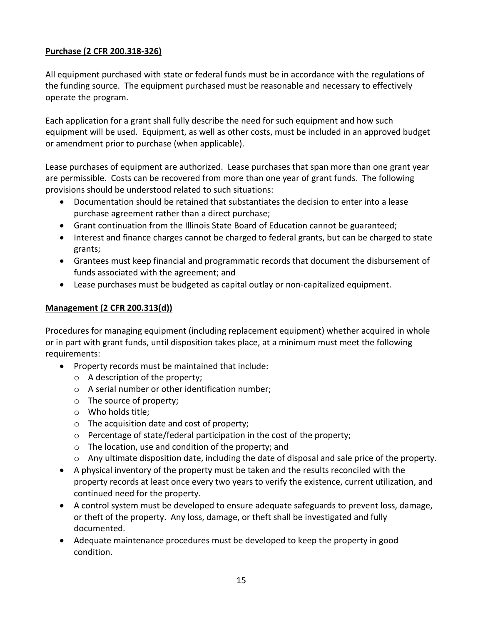#### **Purchase (2 CFR 200.318-326)**

All equipment purchased with state or federal funds must be in accordance with the regulations of the funding source. The equipment purchased must be reasonable and necessary to effectively operate the program.

Each application for a grant shall fully describe the need for such equipment and how such equipment will be used. Equipment, as well as other costs, must be included in an approved budget or amendment prior to purchase (when applicable).

Lease purchases of equipment are authorized. Lease purchases that span more than one grant year are permissible. Costs can be recovered from more than one year of grant funds. The following provisions should be understood related to such situations:

- Documentation should be retained that substantiates the decision to enter into a lease purchase agreement rather than a direct purchase;
- Grant continuation from the Illinois State Board of Education cannot be guaranteed;
- Interest and finance charges cannot be charged to federal grants, but can be charged to state grants;
- Grantees must keep financial and programmatic records that document the disbursement of funds associated with the agreement; and
- Lease purchases must be budgeted as capital outlay or non-capitalized equipment.

#### **Management (2 CFR 200.313(d))**

Procedures for managing equipment (including replacement equipment) whether acquired in whole or in part with grant funds, until disposition takes place, at a minimum must meet the following requirements:

- Property records must be maintained that include:
	- o A description of the property;
	- o A serial number or other identification number;
	- o The source of property;
	- o Who holds title;
	- o The acquisition date and cost of property;
	- o Percentage of state/federal participation in the cost of the property;
	- o The location, use and condition of the property; and
	- $\circ$  Any ultimate disposition date, including the date of disposal and sale price of the property.
- A physical inventory of the property must be taken and the results reconciled with the property records at least once every two years to verify the existence, current utilization, and continued need for the property.
- A control system must be developed to ensure adequate safeguards to prevent loss, damage, or theft of the property. Any loss, damage, or theft shall be investigated and fully documented.
- Adequate maintenance procedures must be developed to keep the property in good condition.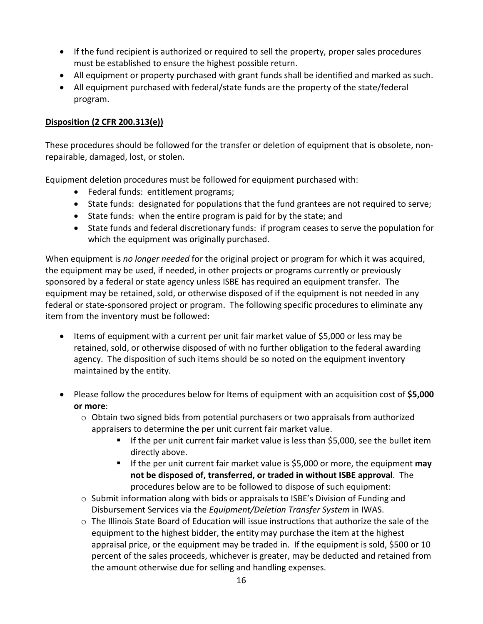- If the fund recipient is authorized or required to sell the property, proper sales procedures must be established to ensure the highest possible return.
- All equipment or property purchased with grant funds shall be identified and marked as such.
- All equipment purchased with federal/state funds are the property of the state/federal program.

#### **Disposition (2 CFR 200.313(e))**

These procedures should be followed for the transfer or deletion of equipment that is obsolete, nonrepairable, damaged, lost, or stolen.

Equipment deletion procedures must be followed for equipment purchased with:

- Federal funds: entitlement programs;
- State funds: designated for populations that the fund grantees are not required to serve;
- State funds: when the entire program is paid for by the state; and
- State funds and federal discretionary funds: if program ceases to serve the population for which the equipment was originally purchased.

When equipment is *no longer needed* for the original project or program for which it was acquired, the equipment may be used, if needed, in other projects or programs currently or previously sponsored by a federal or state agency unless ISBE has required an equipment transfer. The equipment may be retained, sold, or otherwise disposed of if the equipment is not needed in any federal or state-sponsored project or program. The following specific procedures to eliminate any item from the inventory must be followed:

- Items of equipment with a current per unit fair market value of \$5,000 or less may be retained, sold, or otherwise disposed of with no further obligation to the federal awarding agency. The disposition of such items should be so noted on the equipment inventory maintained by the entity.
- Please follow the procedures below for Items of equipment with an acquisition cost of **\$5,000 or more**:
	- $\circ$  Obtain two signed bids from potential purchasers or two appraisals from authorized appraisers to determine the per unit current fair market value.
		- If the per unit current fair market value is less than \$5,000, see the bullet item directly above.
		- If the per unit current fair market value is \$5,000 or more, the equipment **may not be disposed of, transferred, or traded in without ISBE approval**. The procedures below are to be followed to dispose of such equipment:
	- o Submit information along with bids or appraisals to ISBE's Division of Funding and Disbursement Services via the *Equipment/Deletion Transfer System* in IWAS.
	- $\circ$  The Illinois State Board of Education will issue instructions that authorize the sale of the equipment to the highest bidder, the entity may purchase the item at the highest appraisal price, or the equipment may be traded in. If the equipment is sold, \$500 or 10 percent of the sales proceeds, whichever is greater, may be deducted and retained from the amount otherwise due for selling and handling expenses.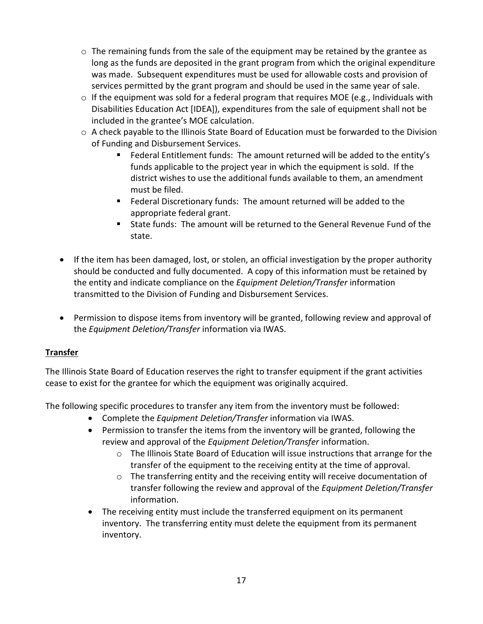- o The remaining funds from the sale of the equipment may be retained by the grantee as long as the funds are deposited in the grant program from which the original expenditure was made. Subsequent expenditures must be used for allowable costs and provision of services permitted by the grant program and should be used in the same year of sale.
- $\circ$  If the equipment was sold for a federal program that requires MOE (e.g., Individuals with Disabilities Education Act [IDEA]), expenditures from the sale of equipment shall not be included in the grantee's MOE calculation.
- o A check payable to the Illinois State Board of Education must be forwarded to the Division of Funding and Disbursement Services.
	- Federal Entitlement funds: The amount returned will be added to the entity's funds applicable to the project year in which the equipment is sold. If the district wishes to use the additional funds available to them, an amendment must be filed.
	- Federal Discretionary funds: The amount returned will be added to the appropriate federal grant.
	- State funds: The amount will be returned to the General Revenue Fund of the state.
- If the item has been damaged, lost, or stolen, an official investigation by the proper authority should be conducted and fully documented. A copy of this information must be retained by the entity and indicate compliance on the *Equipment Deletion/Transfer* information transmitted to the Division of Funding and Disbursement Services.
- Permission to dispose items from inventory will be granted, following review and approval of the *Equipment Deletion/Transfer* information via IWAS.

#### **Transfer**

The Illinois State Board of Education reserves the right to transfer equipment if the grant activities cease to exist for the grantee for which the equipment was originally acquired.

The following specific procedures to transfer any item from the inventory must be followed:

- Complete the *Equipment Deletion/Transfer* information via IWAS.
- Permission to transfer the items from the inventory will be granted, following the review and approval of the *Equipment Deletion/Transfer* information.
	- o The Illinois State Board of Education will issue instructions that arrange for the transfer of the equipment to the receiving entity at the time of approval.
	- o The transferring entity and the receiving entity will receive documentation of transfer following the review and approval of the *Equipment Deletion/Transfer*  information.
- The receiving entity must include the transferred equipment on its permanent inventory. The transferring entity must delete the equipment from its permanent inventory.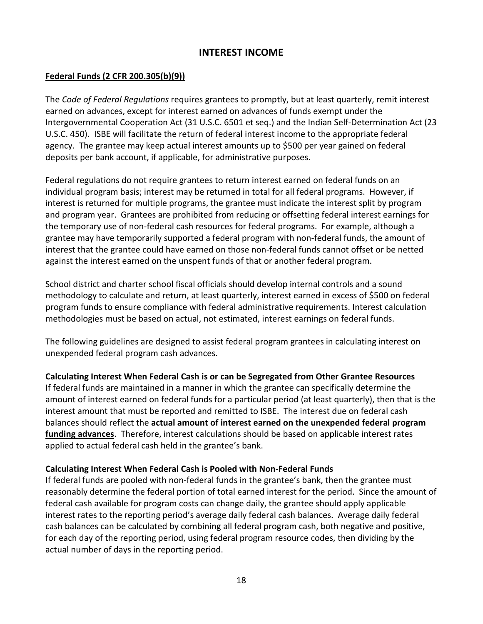# **INTEREST INCOME**

#### **Federal Funds (2 CFR 200.305(b)(9))**

The *Code of Federal Regulations* requires grantees to promptly, but at least quarterly, remit interest earned on advances, except for interest earned on advances of funds exempt under the Intergovernmental Cooperation Act (31 U.S.C. 6501 et seq.) and the Indian Self-Determination Act (23 U.S.C. 450). ISBE will facilitate the return of federal interest income to the appropriate federal agency. The grantee may keep actual interest amounts up to \$500 per year gained on federal deposits per bank account, if applicable, for administrative purposes.

Federal regulations do not require grantees to return interest earned on federal funds on an individual program basis; interest may be returned in total for all federal programs. However, if interest is returned for multiple programs, the grantee must indicate the interest split by program and program year. Grantees are prohibited from reducing or offsetting federal interest earnings for the temporary use of non-federal cash resources for federal programs. For example, although a grantee may have temporarily supported a federal program with non-federal funds, the amount of interest that the grantee could have earned on those non-federal funds cannot offset or be netted against the interest earned on the unspent funds of that or another federal program.

School district and charter school fiscal officials should develop internal controls and a sound methodology to calculate and return, at least quarterly, interest earned in excess of \$500 on federal program funds to ensure compliance with federal administrative requirements. Interest calculation methodologies must be based on actual, not estimated, interest earnings on federal funds.

The following guidelines are designed to assist federal program grantees in calculating interest on unexpended federal program cash advances.

#### **Calculating Interest When Federal Cash is or can be Segregated from Other Grantee Resources**

If federal funds are maintained in a manner in which the grantee can specifically determine the amount of interest earned on federal funds for a particular period (at least quarterly), then that is the interest amount that must be reported and remitted to ISBE. The interest due on federal cash balances should reflect the **actual amount of interest earned on the unexpended federal program funding advances**. Therefore, interest calculations should be based on applicable interest rates applied to actual federal cash held in the grantee's bank.

#### **Calculating Interest When Federal Cash is Pooled with Non-Federal Funds**

If federal funds are pooled with non-federal funds in the grantee's bank, then the grantee must reasonably determine the federal portion of total earned interest for the period. Since the amount of federal cash available for program costs can change daily, the grantee should apply applicable interest rates to the reporting period's average daily federal cash balances. Average daily federal cash balances can be calculated by combining all federal program cash, both negative and positive, for each day of the reporting period, using federal program resource codes, then dividing by the actual number of days in the reporting period.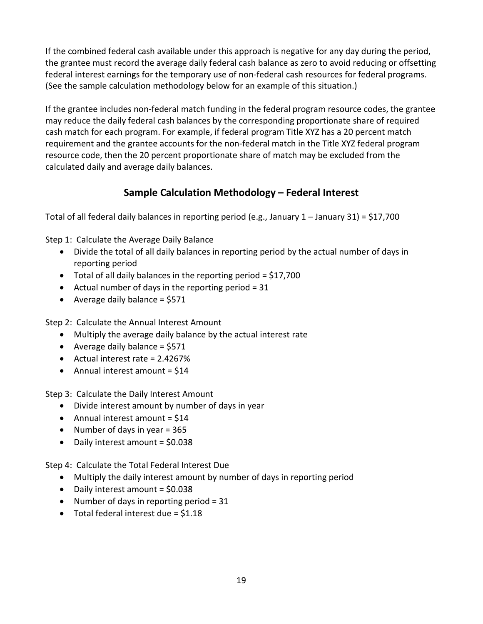If the combined federal cash available under this approach is negative for any day during the period, the grantee must record the average daily federal cash balance as zero to avoid reducing or offsetting federal interest earnings for the temporary use of non-federal cash resources for federal programs. (See the sample calculation methodology below for an example of this situation.)

If the grantee includes non-federal match funding in the federal program resource codes, the grantee may reduce the daily federal cash balances by the corresponding proportionate share of required cash match for each program. For example, if federal program Title XYZ has a 20 percent match requirement and the grantee accounts for the non-federal match in the Title XYZ federal program resource code, then the 20 percent proportionate share of match may be excluded from the calculated daily and average daily balances.

# **Sample Calculation Methodology – Federal Interest**

Total of all federal daily balances in reporting period (e.g., January 1 – January 31) = \$17,700

Step 1: Calculate the Average Daily Balance

- Divide the total of all daily balances in reporting period by the actual number of days in reporting period
- Total of all daily balances in the reporting period = \$17,700
- Actual number of days in the reporting period  $= 31$
- Average daily balance  $=$  \$571

Step 2: Calculate the Annual Interest Amount

- Multiply the average daily balance by the actual interest rate
- Average daily balance  $=$  \$571
- Actual interest rate = 2.4267%
- Annual interest amount  $=$  \$14

Step 3: Calculate the Daily Interest Amount

- Divide interest amount by number of days in year
- Annual interest amount  $=$  \$14
- Number of days in year  $= 365$
- Daily interest amount = \$0.038

Step 4: Calculate the Total Federal Interest Due

- Multiply the daily interest amount by number of days in reporting period
- Daily interest amount = \$0.038
- Number of days in reporting period  $= 31$
- Total federal interest due  $=$  \$1.18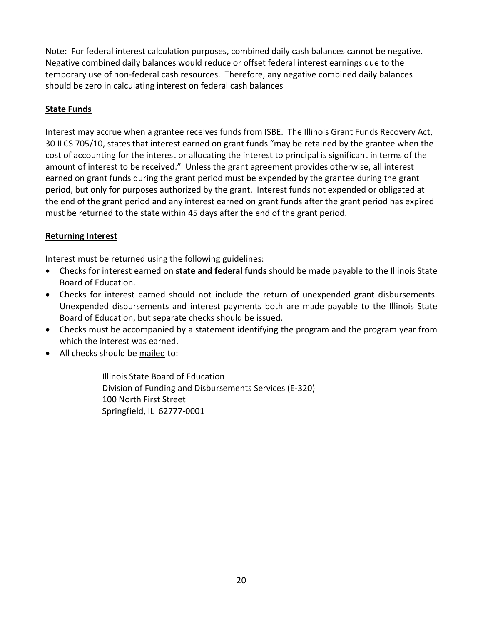Note: For federal interest calculation purposes, combined daily cash balances cannot be negative. Negative combined daily balances would reduce or offset federal interest earnings due to the temporary use of non-federal cash resources. Therefore, any negative combined daily balances should be zero in calculating interest on federal cash balances

# **State Funds**

Interest may accrue when a grantee receives funds from ISBE. The Illinois Grant Funds Recovery Act, 30 ILCS 705/10, states that interest earned on grant funds "may be retained by the grantee when the cost of accounting for the interest or allocating the interest to principal is significant in terms of the amount of interest to be received." Unless the grant agreement provides otherwise, all interest earned on grant funds during the grant period must be expended by the grantee during the grant period, but only for purposes authorized by the grant. Interest funds not expended or obligated at the end of the grant period and any interest earned on grant funds after the grant period has expired must be returned to the state within 45 days after the end of the grant period.

# **Returning Interest**

Interest must be returned using the following guidelines:

- Checks for interest earned on **state and federal funds** should be made payable to the Illinois State Board of Education.
- Checks for interest earned should not include the return of unexpended grant disbursements. Unexpended disbursements and interest payments both are made payable to the Illinois State Board of Education, but separate checks should be issued.
- Checks must be accompanied by a statement identifying the program and the program year from which the interest was earned.
- All checks should be mailed to:

Illinois State Board of Education Division of Funding and Disbursements Services (E-320) 100 North First Street Springfield, IL 62777-0001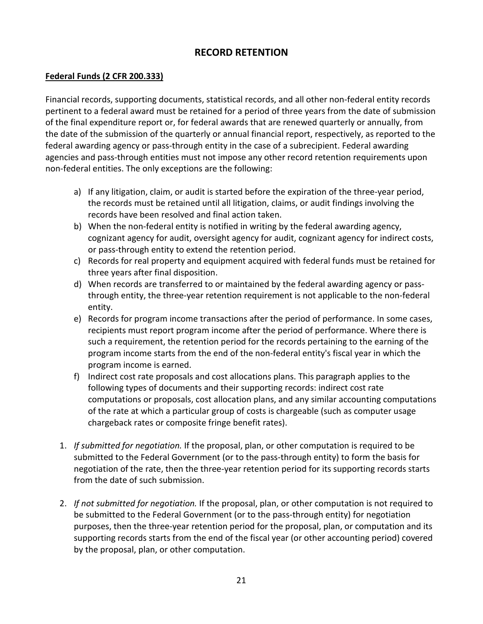# **RECORD RETENTION**

#### **Federal Funds (2 CFR 200.333)**

Financial records, supporting documents, statistical records, and all other non-federal entity records pertinent to a federal award must be retained for a period of three years from the date of submission of the final expenditure report or, for federal awards that are renewed quarterly or annually, from the date of the submission of the quarterly or annual financial report, respectively, as reported to the federal awarding agency or pass-through entity in the case of a subrecipient. Federal awarding agencies and pass-through entities must not impose any other record retention requirements upon non-federal entities. The only exceptions are the following:

- a) If any litigation, claim, or audit is started before the expiration of the three-year period, the records must be retained until all litigation, claims, or audit findings involving the records have been resolved and final action taken.
- b) When the non-federal entity is notified in writing by the federal awarding agency, cognizant agency for audit, oversight agency for audit, cognizant agency for indirect costs, or pass-through entity to extend the retention period.
- c) Records for real property and equipment acquired with federal funds must be retained for three years after final disposition.
- d) When records are transferred to or maintained by the federal awarding agency or passthrough entity, the three-year retention requirement is not applicable to the non-federal entity.
- e) Records for program income transactions after the period of performance. In some cases, recipients must report program income after the period of performance. Where there is such a requirement, the retention period for the records pertaining to the earning of the program income starts from the end of the non-federal entity's fiscal year in which the program income is earned.
- f) Indirect cost rate proposals and cost allocations plans. This paragraph applies to the following types of documents and their supporting records: indirect cost rate computations or proposals, cost allocation plans, and any similar accounting computations of the rate at which a particular group of costs is chargeable (such as computer usage chargeback rates or composite fringe benefit rates).
- 1. *If submitted for negotiation.* If the proposal, plan, or other computation is required to be submitted to the Federal Government (or to the pass-through entity) to form the basis for negotiation of the rate, then the three-year retention period for its supporting records starts from the date of such submission.
- 2. *If not submitted for negotiation.* If the proposal, plan, or other computation is not required to be submitted to the Federal Government (or to the pass-through entity) for negotiation purposes, then the three-year retention period for the proposal, plan, or computation and its supporting records starts from the end of the fiscal year (or other accounting period) covered by the proposal, plan, or other computation.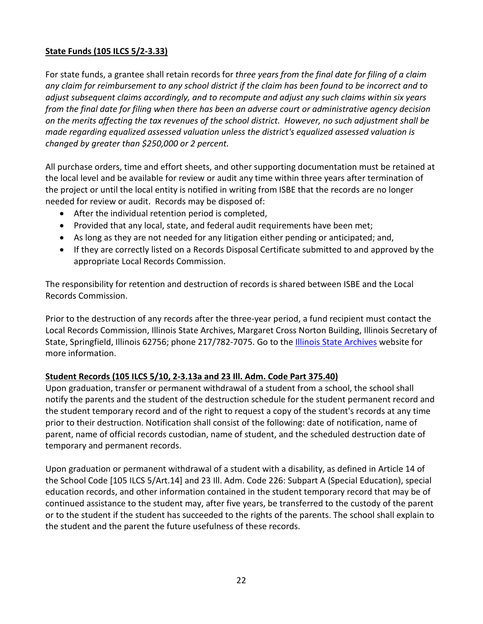# **State Funds (105 ILCS 5/2-3.33)**

For state funds, a grantee shall retain records for *three years from the final date for filing of a claim any claim for reimbursement to any school district if the claim has been found to be incorrect and to adjust subsequent claims accordingly, and to recompute and adjust any such claims within six years from the final date for filing when there has been an adverse court or administrative agency decision on the merits affecting the tax revenues of the school district. However, no such adjustment shall be made regarding equalized assessed valuation unless the district's equalized assessed valuation is changed by greater than \$250,000 or 2 percent.*

All purchase orders, time and effort sheets, and other supporting documentation must be retained at the local level and be available for review or audit any time within three years after termination of the project or until the local entity is notified in writing from ISBE that the records are no longer needed for review or audit. Records may be disposed of:

- After the individual retention period is completed,
- Provided that any local, state, and federal audit requirements have been met;
- As long as they are not needed for any litigation either pending or anticipated; and,
- If they are correctly listed on a Records Disposal Certificate submitted to and approved by the appropriate Local Records Commission.

The responsibility for retention and destruction of records is shared between ISBE and the Local Records Commission.

Prior to the destruction of any records after the three-year period, a fund recipient must contact the Local Records Commission, Illinois State Archives, Margaret Cross Norton Building, Illinois Secretary of State, Springfield, Illinois 62756; phone 217/782-7075. Go to the *Illinois State Archives* website for more information.

#### **Student Records (105 ILCS 5/10, 2-3.13a and 23 Ill. Adm. Code Part 375.40)**

Upon graduation, transfer or permanent withdrawal of a student from a school, the school shall notify the parents and the student of the destruction schedule for the student permanent record and the student temporary record and of the right to request a copy of the student's records at any time prior to their destruction. Notification shall consist of the following: date of notification, name of parent, name of official records custodian, name of student, and the scheduled destruction date of temporary and permanent records.

Upon graduation or permanent withdrawal of a student with a disability, as defined in Article 14 of the School Code [105 ILCS 5/Art.14] and 23 Ill. Adm. Code 226: Subpart A (Special Education), special education records, and other information contained in the student temporary record that may be of continued assistance to the student may, after five years, be transferred to the custody of the parent or to the student if the student has succeeded to the rights of the parents. The school shall explain to the student and the parent the future usefulness of these records.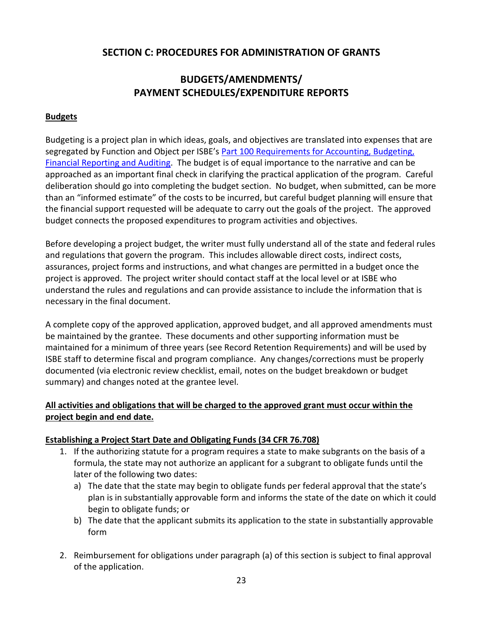# **SECTION C: PROCEDURES FOR ADMINISTRATION OF GRANTS**

# **BUDGETS/AMENDMENTS/ PAYMENT SCHEDULES/EXPENDITURE REPORTS**

#### **Budgets**

Budgeting is a project plan in which ideas, goals, and objectives are translated into expenses that are segregated by Function and Object per ISBE's Part 100 Requirements for Accounting, Budgeting, [Financial Reporting and Auditing.](https://www.isbe.net/Documents/100ARK.pdf) The budget is of equal importance to the narrative and can be approached as an important final check in clarifying the practical application of the program. Careful deliberation should go into completing the budget section. No budget, when submitted, can be more than an "informed estimate" of the costs to be incurred, but careful budget planning will ensure that the financial support requested will be adequate to carry out the goals of the project. The approved budget connects the proposed expenditures to program activities and objectives.

Before developing a project budget, the writer must fully understand all of the state and federal rules and regulations that govern the program. This includes allowable direct costs, indirect costs, assurances, project forms and instructions, and what changes are permitted in a budget once the project is approved. The project writer should contact staff at the local level or at ISBE who understand the rules and regulations and can provide assistance to include the information that is necessary in the final document.

A complete copy of the approved application, approved budget, and all approved amendments must be maintained by the grantee. These documents and other supporting information must be maintained for a minimum of three years (see Record Retention Requirements) and will be used by ISBE staff to determine fiscal and program compliance. Any changes/corrections must be properly documented (via electronic review checklist, email, notes on the budget breakdown or budget summary) and changes noted at the grantee level.

# **All activities and obligations that will be charged to the approved grant must occur within the project begin and end date.**

#### **Establishing a Project Start Date and Obligating Funds (34 CFR 76.708)**

- 1. If the authorizing statute for a program requires a state to make subgrants on the basis of a formula, the state may not authorize an applicant for a subgrant to obligate funds until the later of the following two dates:
	- a) The date that the state may begin to obligate funds per federal approval that the state's plan is in substantially approvable form and informs the state of the date on which it could begin to obligate funds; or
	- b) The date that the applicant submits its application to the state in substantially approvable form
- 2. Reimbursement for obligations under paragraph (a) of this section is subject to final approval of the application.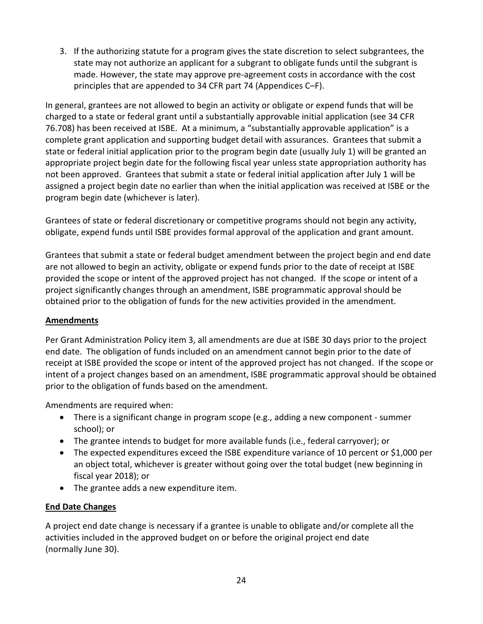3. If the authorizing statute for a program gives the state discretion to select subgrantees, the state may not authorize an applicant for a subgrant to obligate funds until the subgrant is made. However, the state may approve pre-agreement costs in accordance with the cost principles that are appended to 34 CFR part 74 (Appendices C–F).

In general, grantees are not allowed to begin an activity or obligate or expend funds that will be charged to a state or federal grant until a substantially approvable initial application (see 34 CFR 76.708) has been received at ISBE. At a minimum, a "substantially approvable application" is a complete grant application and supporting budget detail with assurances. Grantees that submit a state or federal initial application prior to the program begin date (usually July 1) will be granted an appropriate project begin date for the following fiscal year unless state appropriation authority has not been approved. Grantees that submit a state or federal initial application after July 1 will be assigned a project begin date no earlier than when the initial application was received at ISBE or the program begin date (whichever is later).

Grantees of state or federal discretionary or competitive programs should not begin any activity, obligate, expend funds until ISBE provides formal approval of the application and grant amount.

Grantees that submit a state or federal budget amendment between the project begin and end date are not allowed to begin an activity, obligate or expend funds prior to the date of receipt at ISBE provided the scope or intent of the approved project has not changed. If the scope or intent of a project significantly changes through an amendment, ISBE programmatic approval should be obtained prior to the obligation of funds for the new activities provided in the amendment.

# **Amendments**

Per Grant Administration Policy item 3, all amendments are due at ISBE 30 days prior to the project end date. The obligation of funds included on an amendment cannot begin prior to the date of receipt at ISBE provided the scope or intent of the approved project has not changed. If the scope or intent of a project changes based on an amendment, ISBE programmatic approval should be obtained prior to the obligation of funds based on the amendment.

Amendments are required when:

- There is a significant change in program scope (e.g., adding a new component summer school); or
- The grantee intends to budget for more available funds (i.e., federal carryover); or
- The expected expenditures exceed the ISBE expenditure variance of 10 percent or \$1,000 per an object total, whichever is greater without going over the total budget (new beginning in fiscal year 2018); or
- The grantee adds a new expenditure item.

# **End Date Changes**

A project end date change is necessary if a grantee is unable to obligate and/or complete all the activities included in the approved budget on or before the original project end date (normally June 30).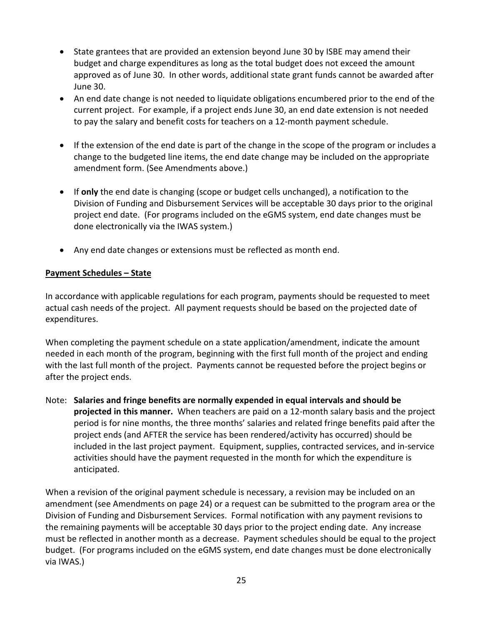- State grantees that are provided an extension beyond June 30 by ISBE may amend their budget and charge expenditures as long as the total budget does not exceed the amount approved as of June 30. In other words, additional state grant funds cannot be awarded after June 30.
- An end date change is not needed to liquidate obligations encumbered prior to the end of the current project. For example, if a project ends June 30, an end date extension is not needed to pay the salary and benefit costs for teachers on a 12-month payment schedule.
- If the extension of the end date is part of the change in the scope of the program or includes a change to the budgeted line items, the end date change may be included on the appropriate amendment form. (See Amendments above.)
- If **only** the end date is changing (scope or budget cells unchanged), a notification to the Division of Funding and Disbursement Services will be acceptable 30 days prior to the original project end date. (For programs included on the eGMS system, end date changes must be done electronically via the IWAS system.)
- Any end date changes or extensions must be reflected as month end.

# **Payment Schedules – State**

In accordance with applicable regulations for each program, payments should be requested to meet actual cash needs of the project. All payment requests should be based on the projected date of expenditures.

When completing the payment schedule on a state application/amendment, indicate the amount needed in each month of the program, beginning with the first full month of the project and ending with the last full month of the project. Payments cannot be requested before the project begins or after the project ends.

Note: **Salaries and fringe benefits are normally expended in equal intervals and should be projected in this manner.** When teachers are paid on a 12-month salary basis and the project period is for nine months, the three months' salaries and related fringe benefits paid after the project ends (and AFTER the service has been rendered/activity has occurred) should be included in the last project payment. Equipment, supplies, contracted services, and in-service activities should have the payment requested in the month for which the expenditure is anticipated.

When a revision of the original payment schedule is necessary, a revision may be included on an amendment (see Amendments on page 24) or a request can be submitted to the program area or the Division of Funding and Disbursement Services. Formal notification with any payment revisions to the remaining payments will be acceptable 30 days prior to the project ending date. Any increase must be reflected in another month as a decrease. Payment schedules should be equal to the project budget. (For programs included on the eGMS system, end date changes must be done electronically via IWAS.)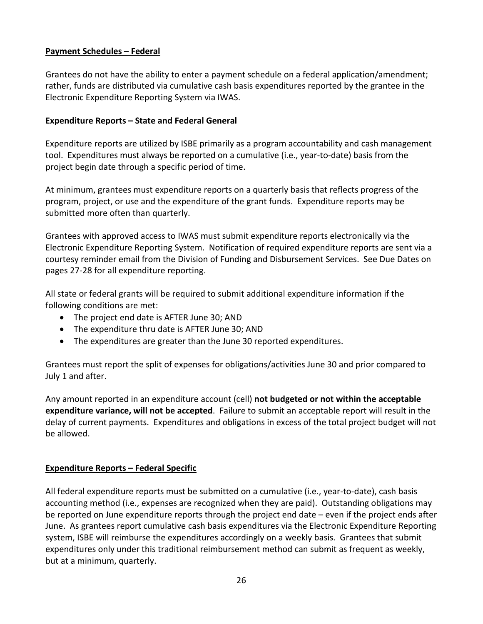#### **Payment Schedules – Federal**

Grantees do not have the ability to enter a payment schedule on a federal application/amendment; rather, funds are distributed via cumulative cash basis expenditures reported by the grantee in the Electronic Expenditure Reporting System via IWAS.

#### **Expenditure Reports – State and Federal General**

Expenditure reports are utilized by ISBE primarily as a program accountability and cash management tool. Expenditures must always be reported on a cumulative (i.e., year-to-date) basis from the project begin date through a specific period of time.

At minimum, grantees must expenditure reports on a quarterly basis that reflects progress of the program, project, or use and the expenditure of the grant funds. Expenditure reports may be submitted more often than quarterly.

Grantees with approved access to IWAS must submit expenditure reports electronically via the Electronic Expenditure Reporting System. Notification of required expenditure reports are sent via a courtesy reminder email from the Division of Funding and Disbursement Services. See Due Dates on pages 27-28 for all expenditure reporting.

All state or federal grants will be required to submit additional expenditure information if the following conditions are met:

- The project end date is AFTER June 30; AND
- The expenditure thru date is AFTER June 30; AND
- The expenditures are greater than the June 30 reported expenditures.

Grantees must report the split of expenses for obligations/activities June 30 and prior compared to July 1 and after.

Any amount reported in an expenditure account (cell) **not budgeted or not within the acceptable expenditure variance, will not be accepted**. Failure to submit an acceptable report will result in the delay of current payments. Expenditures and obligations in excess of the total project budget will not be allowed.

#### **Expenditure Reports – Federal Specific**

All federal expenditure reports must be submitted on a cumulative (i.e., year-to-date), cash basis accounting method (i.e., expenses are recognized when they are paid). Outstanding obligations may be reported on June expenditure reports through the project end date – even if the project ends after June. As grantees report cumulative cash basis expenditures via the Electronic Expenditure Reporting system, ISBE will reimburse the expenditures accordingly on a weekly basis. Grantees that submit expenditures only under this traditional reimbursement method can submit as frequent as weekly, but at a minimum, quarterly.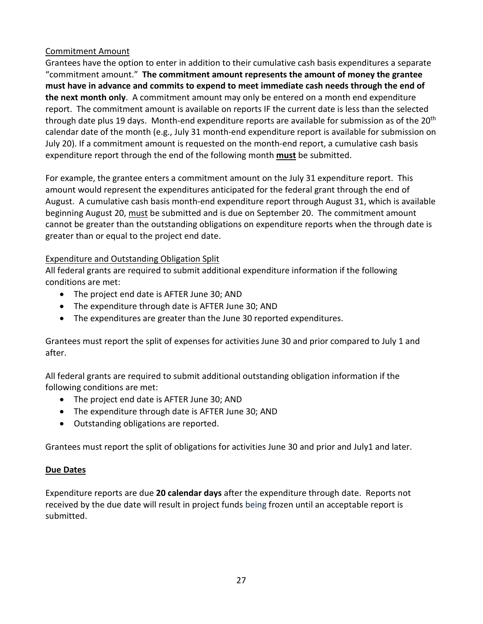# Commitment Amount

Grantees have the option to enter in addition to their cumulative cash basis expenditures a separate "commitment amount." **The commitment amount represents the amount of money the grantee must have in advance and commits to expend to meet immediate cash needs through the end of the next month only**. A commitment amount may only be entered on a month end expenditure report. The commitment amount is available on reports IF the current date is less than the selected through date plus 19 days. Month-end expenditure reports are available for submission as of the 20<sup>th</sup> calendar date of the month (e.g., July 31 month-end expenditure report is available for submission on July 20). If a commitment amount is requested on the month-end report, a cumulative cash basis expenditure report through the end of the following month **must** be submitted.

For example, the grantee enters a commitment amount on the July 31 expenditure report. This amount would represent the expenditures anticipated for the federal grant through the end of August. A cumulative cash basis month-end expenditure report through August 31, which is available beginning August 20, must be submitted and is due on September 20. The commitment amount cannot be greater than the outstanding obligations on expenditure reports when the through date is greater than or equal to the project end date.

# Expenditure and Outstanding Obligation Split

All federal grants are required to submit additional expenditure information if the following conditions are met:

- The project end date is AFTER June 30; AND
- The expenditure through date is AFTER June 30; AND
- The expenditures are greater than the June 30 reported expenditures.

Grantees must report the split of expenses for activities June 30 and prior compared to July 1 and after.

All federal grants are required to submit additional outstanding obligation information if the following conditions are met:

- The project end date is AFTER June 30; AND
- The expenditure through date is AFTER June 30; AND
- Outstanding obligations are reported.

Grantees must report the split of obligations for activities June 30 and prior and July1 and later.

#### **Due Dates**

Expenditure reports are due **20 calendar days** after the expenditure through date. Reports not received by the due date will result in project funds being frozen until an acceptable report is submitted.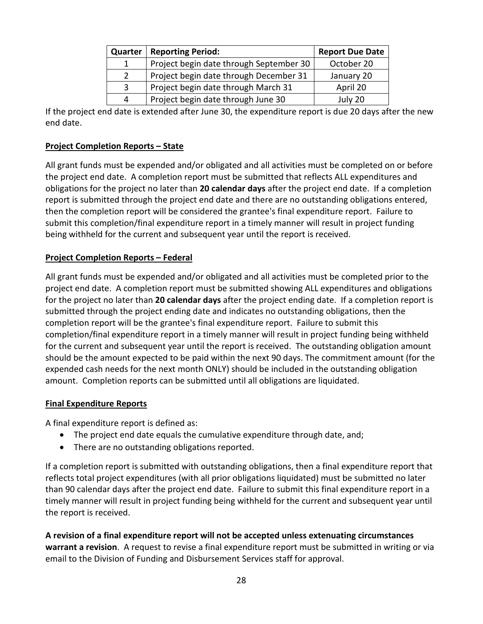| Quarter | <b>Reporting Period:</b>                | <b>Report Due Date</b> |
|---------|-----------------------------------------|------------------------|
|         | Project begin date through September 30 | October 20             |
|         | Project begin date through December 31  | January 20             |
| 3       | Project begin date through March 31     | April 20               |
|         | Project begin date through June 30      | July 20                |

If the project end date is extended after June 30, the expenditure report is due 20 days after the new end date.

#### **Project Completion Reports – State**

All grant funds must be expended and/or obligated and all activities must be completed on or before the project end date. A completion report must be submitted that reflects ALL expenditures and obligations for the project no later than **20 calendar days** after the project end date. If a completion report is submitted through the project end date and there are no outstanding obligations entered, then the completion report will be considered the grantee's final expenditure report. Failure to submit this completion/final expenditure report in a timely manner will result in project funding being withheld for the current and subsequent year until the report is received.

#### **Project Completion Reports – Federal**

All grant funds must be expended and/or obligated and all activities must be completed prior to the project end date. A completion report must be submitted showing ALL expenditures and obligations for the project no later than **20 calendar days** after the project ending date. If a completion report is submitted through the project ending date and indicates no outstanding obligations, then the completion report will be the grantee's final expenditure report. Failure to submit this completion/final expenditure report in a timely manner will result in project funding being withheld for the current and subsequent year until the report is received. The outstanding obligation amount should be the amount expected to be paid within the next 90 days. The commitment amount (for the expended cash needs for the next month ONLY) should be included in the outstanding obligation amount. Completion reports can be submitted until all obligations are liquidated.

#### **Final Expenditure Reports**

A final expenditure report is defined as:

- The project end date equals the cumulative expenditure through date, and;
- There are no outstanding obligations reported.

If a completion report is submitted with outstanding obligations, then a final expenditure report that reflects total project expenditures (with all prior obligations liquidated) must be submitted no later than 90 calendar days after the project end date. Failure to submit this final expenditure report in a timely manner will result in project funding being withheld for the current and subsequent year until the report is received.

**A revision of a final expenditure report will not be accepted unless extenuating circumstances warrant a revision**. A request to revise a final expenditure report must be submitted in writing or via email to the Division of Funding and Disbursement Services staff for approval.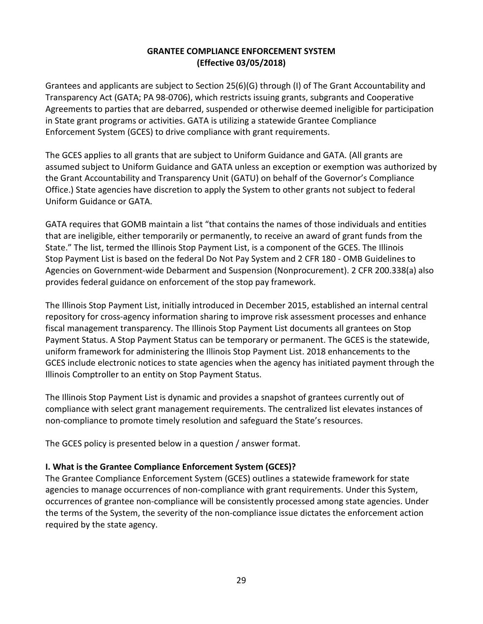#### **GRANTEE COMPLIANCE ENFORCEMENT SYSTEM (Effective 03/05/2018)**

Grantees and applicants are subject to Section 25(6)(G) through (I) of The Grant Accountability and Transparency Act (GATA; PA 98-0706), which restricts issuing grants, subgrants and Cooperative Agreements to parties that are debarred, suspended or otherwise deemed ineligible for participation in State grant programs or activities. GATA is utilizing a statewide Grantee Compliance Enforcement System (GCES) to drive compliance with grant requirements.

The GCES applies to all grants that are subject to Uniform Guidance and GATA. (All grants are assumed subject to Uniform Guidance and GATA unless an exception or exemption was authorized by the Grant Accountability and Transparency Unit (GATU) on behalf of the Governor's Compliance Office.) State agencies have discretion to apply the System to other grants not subject to federal Uniform Guidance or GATA.

GATA requires that GOMB maintain a list "that contains the names of those individuals and entities that are ineligible, either temporarily or permanently, to receive an award of grant funds from the State." The list, termed the Illinois Stop Payment List, is a component of the GCES. The Illinois Stop Payment List is based on the federal Do Not Pay System and 2 CFR 180 - OMB Guidelines to Agencies on Government-wide Debarment and Suspension (Nonprocurement). 2 CFR 200.338(a) also provides federal guidance on enforcement of the stop pay framework.

The Illinois Stop Payment List, initially introduced in December 2015, established an internal central repository for cross-agency information sharing to improve risk assessment processes and enhance fiscal management transparency. The Illinois Stop Payment List documents all grantees on Stop Payment Status. A Stop Payment Status can be temporary or permanent. The GCES is the statewide, uniform framework for administering the Illinois Stop Payment List. 2018 enhancements to the GCES include electronic notices to state agencies when the agency has initiated payment through the Illinois Comptroller to an entity on Stop Payment Status.

The Illinois Stop Payment List is dynamic and provides a snapshot of grantees currently out of compliance with select grant management requirements. The centralized list elevates instances of non-compliance to promote timely resolution and safeguard the State's resources.

The GCES policy is presented below in a question / answer format.

# **I. What is the Grantee Compliance Enforcement System (GCES)?**

The Grantee Compliance Enforcement System (GCES) outlines a statewide framework for state agencies to manage occurrences of non-compliance with grant requirements. Under this System, occurrences of grantee non-compliance will be consistently processed among state agencies. Under the terms of the System, the severity of the non-compliance issue dictates the enforcement action required by the state agency.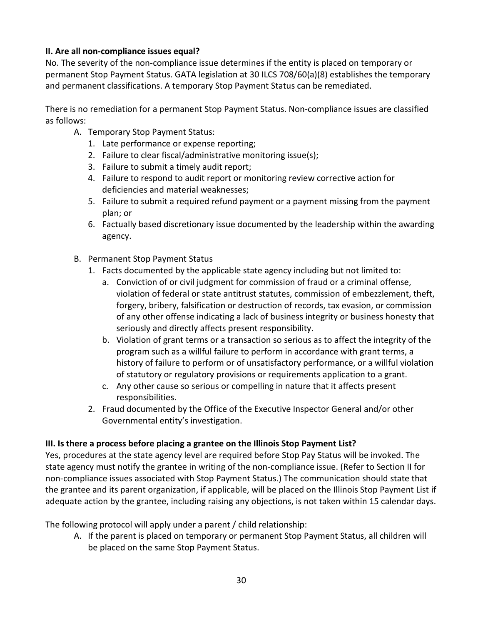# **II. Are all non-compliance issues equal?**

No. The severity of the non-compliance issue determines if the entity is placed on temporary or permanent Stop Payment Status. GATA legislation at 30 ILCS 708/60(a)(8) establishes the temporary and permanent classifications. A temporary Stop Payment Status can be remediated.

There is no remediation for a permanent Stop Payment Status. Non-compliance issues are classified as follows:

- A. Temporary Stop Payment Status:
	- 1. Late performance or expense reporting;
	- 2. Failure to clear fiscal/administrative monitoring issue(s);
	- 3. Failure to submit a timely audit report;
	- 4. Failure to respond to audit report or monitoring review corrective action for deficiencies and material weaknesses;
	- 5. Failure to submit a required refund payment or a payment missing from the payment plan; or
	- 6. Factually based discretionary issue documented by the leadership within the awarding agency.
- B. Permanent Stop Payment Status
	- 1. Facts documented by the applicable state agency including but not limited to:
		- a. Conviction of or civil judgment for commission of fraud or a criminal offense, violation of federal or state antitrust statutes, commission of embezzlement, theft, forgery, bribery, falsification or destruction of records, tax evasion, or commission of any other offense indicating a lack of business integrity or business honesty that seriously and directly affects present responsibility.
		- b. Violation of grant terms or a transaction so serious as to affect the integrity of the program such as a willful failure to perform in accordance with grant terms, a history of failure to perform or of unsatisfactory performance, or a willful violation of statutory or regulatory provisions or requirements application to a grant.
		- c. Any other cause so serious or compelling in nature that it affects present responsibilities.
	- 2. Fraud documented by the Office of the Executive Inspector General and/or other Governmental entity's investigation.

#### **III. Is there a process before placing a grantee on the Illinois Stop Payment List?**

Yes, procedures at the state agency level are required before Stop Pay Status will be invoked. The state agency must notify the grantee in writing of the non-compliance issue. (Refer to Section II for non-compliance issues associated with Stop Payment Status.) The communication should state that the grantee and its parent organization, if applicable, will be placed on the Illinois Stop Payment List if adequate action by the grantee, including raising any objections, is not taken within 15 calendar days.

The following protocol will apply under a parent / child relationship:

A. If the parent is placed on temporary or permanent Stop Payment Status, all children will be placed on the same Stop Payment Status.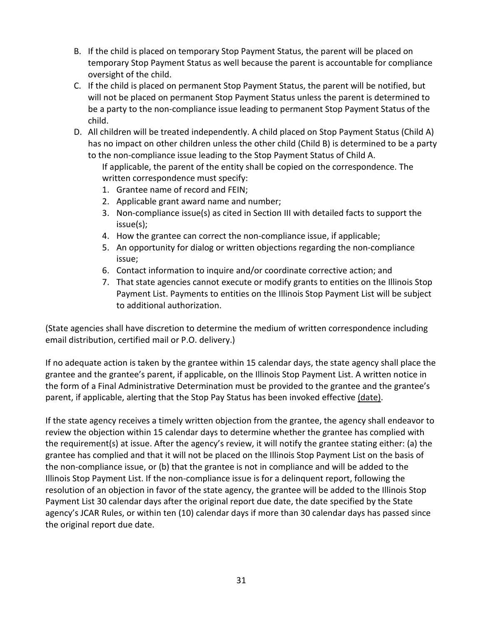- B. If the child is placed on temporary Stop Payment Status, the parent will be placed on temporary Stop Payment Status as well because the parent is accountable for compliance oversight of the child.
- C. If the child is placed on permanent Stop Payment Status, the parent will be notified, but will not be placed on permanent Stop Payment Status unless the parent is determined to be a party to the non-compliance issue leading to permanent Stop Payment Status of the child.
- D. All children will be treated independently. A child placed on Stop Payment Status (Child A) has no impact on other children unless the other child (Child B) is determined to be a party to the non-compliance issue leading to the Stop Payment Status of Child A.
	- If applicable, the parent of the entity shall be copied on the correspondence. The written correspondence must specify:
	- 1. Grantee name of record and FEIN;
	- 2. Applicable grant award name and number;
	- 3. Non-compliance issue(s) as cited in Section III with detailed facts to support the issue(s);
	- 4. How the grantee can correct the non-compliance issue, if applicable;
	- 5. An opportunity for dialog or written objections regarding the non-compliance issue;
	- 6. Contact information to inquire and/or coordinate corrective action; and
	- 7. That state agencies cannot execute or modify grants to entities on the Illinois Stop Payment List. Payments to entities on the Illinois Stop Payment List will be subject to additional authorization.

(State agencies shall have discretion to determine the medium of written correspondence including email distribution, certified mail or P.O. delivery.)

If no adequate action is taken by the grantee within 15 calendar days, the state agency shall place the grantee and the grantee's parent, if applicable, on the Illinois Stop Payment List. A written notice in the form of a Final Administrative Determination must be provided to the grantee and the grantee's parent, if applicable, alerting that the Stop Pay Status has been invoked effective (date).

If the state agency receives a timely written objection from the grantee, the agency shall endeavor to review the objection within 15 calendar days to determine whether the grantee has complied with the requirement(s) at issue. After the agency's review, it will notify the grantee stating either: (a) the grantee has complied and that it will not be placed on the Illinois Stop Payment List on the basis of the non-compliance issue, or (b) that the grantee is not in compliance and will be added to the Illinois Stop Payment List. If the non-compliance issue is for a delinquent report, following the resolution of an objection in favor of the state agency, the grantee will be added to the Illinois Stop Payment List 30 calendar days after the original report due date, the date specified by the State agency's JCAR Rules, or within ten (10) calendar days if more than 30 calendar days has passed since the original report due date.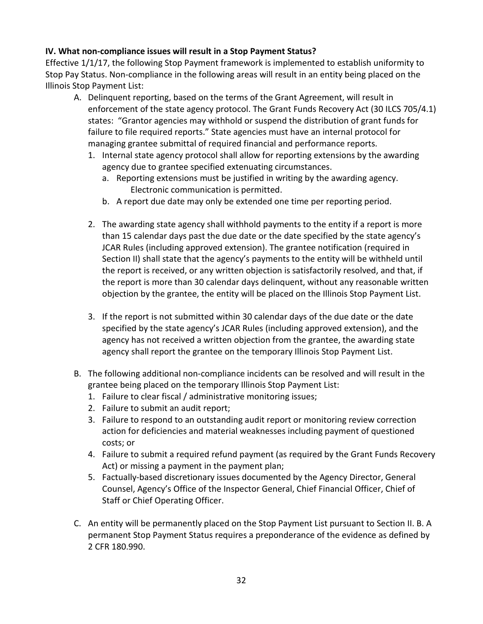#### **IV. What non-compliance issues will result in a Stop Payment Status?**

Effective 1/1/17, the following Stop Payment framework is implemented to establish uniformity to Stop Pay Status. Non-compliance in the following areas will result in an entity being placed on the Illinois Stop Payment List:

- A. Delinquent reporting, based on the terms of the Grant Agreement, will result in enforcement of the state agency protocol. The Grant Funds Recovery Act (30 ILCS 705/4.1) states: "Grantor agencies may withhold or suspend the distribution of grant funds for failure to file required reports." State agencies must have an internal protocol for managing grantee submittal of required financial and performance reports.
	- 1. Internal state agency protocol shall allow for reporting extensions by the awarding agency due to grantee specified extenuating circumstances.
		- a. Reporting extensions must be justified in writing by the awarding agency. Electronic communication is permitted.
		- b. A report due date may only be extended one time per reporting period.
	- 2. The awarding state agency shall withhold payments to the entity if a report is more than 15 calendar days past the due date or the date specified by the state agency's JCAR Rules (including approved extension). The grantee notification (required in Section II) shall state that the agency's payments to the entity will be withheld until the report is received, or any written objection is satisfactorily resolved, and that, if the report is more than 30 calendar days delinquent, without any reasonable written objection by the grantee, the entity will be placed on the Illinois Stop Payment List.
	- 3. If the report is not submitted within 30 calendar days of the due date or the date specified by the state agency's JCAR Rules (including approved extension), and the agency has not received a written objection from the grantee, the awarding state agency shall report the grantee on the temporary Illinois Stop Payment List.
- B. The following additional non-compliance incidents can be resolved and will result in the grantee being placed on the temporary Illinois Stop Payment List:
	- 1. Failure to clear fiscal / administrative monitoring issues;
	- 2. Failure to submit an audit report;
	- 3. Failure to respond to an outstanding audit report or monitoring review correction action for deficiencies and material weaknesses including payment of questioned costs; or
	- 4. Failure to submit a required refund payment (as required by the Grant Funds Recovery Act) or missing a payment in the payment plan;
	- 5. Factually-based discretionary issues documented by the Agency Director, General Counsel, Agency's Office of the Inspector General, Chief Financial Officer, Chief of Staff or Chief Operating Officer.
- C. An entity will be permanently placed on the Stop Payment List pursuant to Section II. B. A permanent Stop Payment Status requires a preponderance of the evidence as defined by 2 CFR 180.990.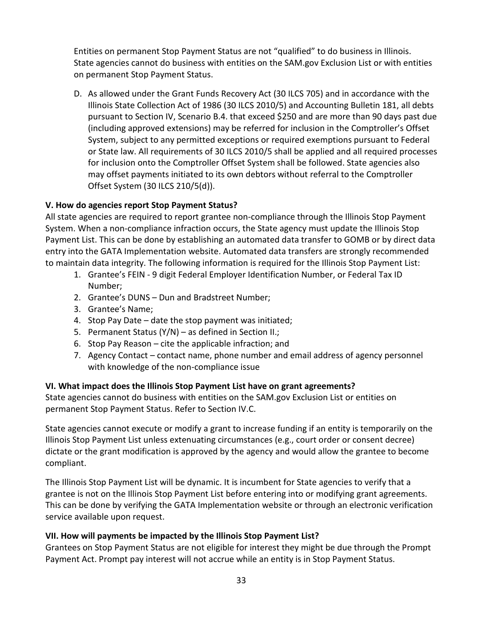Entities on permanent Stop Payment Status are not "qualified" to do business in Illinois. State agencies cannot do business with entities on the SAM.gov Exclusion List or with entities on permanent Stop Payment Status.

D. As allowed under the Grant Funds Recovery Act (30 ILCS 705) and in accordance with the Illinois State Collection Act of 1986 (30 ILCS 2010/5) and Accounting Bulletin 181, all debts pursuant to Section IV, Scenario B.4. that exceed \$250 and are more than 90 days past due (including approved extensions) may be referred for inclusion in the Comptroller's Offset System, subject to any permitted exceptions or required exemptions pursuant to Federal or State law. All requirements of 30 ILCS 2010/5 shall be applied and all required processes for inclusion onto the Comptroller Offset System shall be followed. State agencies also may offset payments initiated to its own debtors without referral to the Comptroller Offset System (30 ILCS 210/5(d)).

# **V. How do agencies report Stop Payment Status?**

All state agencies are required to report grantee non-compliance through the Illinois Stop Payment System. When a non-compliance infraction occurs, the State agency must update the Illinois Stop Payment List. This can be done by establishing an automated data transfer to GOMB or by direct data entry into the GATA Implementation website. Automated data transfers are strongly recommended to maintain data integrity. The following information is required for the Illinois Stop Payment List:

- 1. Grantee's FEIN 9 digit Federal Employer Identification Number, or Federal Tax ID Number;
- 2. Grantee's DUNS Dun and Bradstreet Number;
- 3. Grantee's Name;
- 4. Stop Pay Date date the stop payment was initiated;
- 5. Permanent Status (Y/N) as defined in Section II.;
- 6. Stop Pay Reason cite the applicable infraction; and
- 7. Agency Contact contact name, phone number and email address of agency personnel with knowledge of the non-compliance issue

#### **VI. What impact does the Illinois Stop Payment List have on grant agreements?**

State agencies cannot do business with entities on the SAM.gov Exclusion List or entities on permanent Stop Payment Status. Refer to Section IV.C.

State agencies cannot execute or modify a grant to increase funding if an entity is temporarily on the Illinois Stop Payment List unless extenuating circumstances (e.g., court order or consent decree) dictate or the grant modification is approved by the agency and would allow the grantee to become compliant.

The Illinois Stop Payment List will be dynamic. It is incumbent for State agencies to verify that a grantee is not on the Illinois Stop Payment List before entering into or modifying grant agreements. This can be done by verifying the GATA Implementation website or through an electronic verification service available upon request.

#### **VII. How will payments be impacted by the Illinois Stop Payment List?**

Grantees on Stop Payment Status are not eligible for interest they might be due through the Prompt Payment Act. Prompt pay interest will not accrue while an entity is in Stop Payment Status.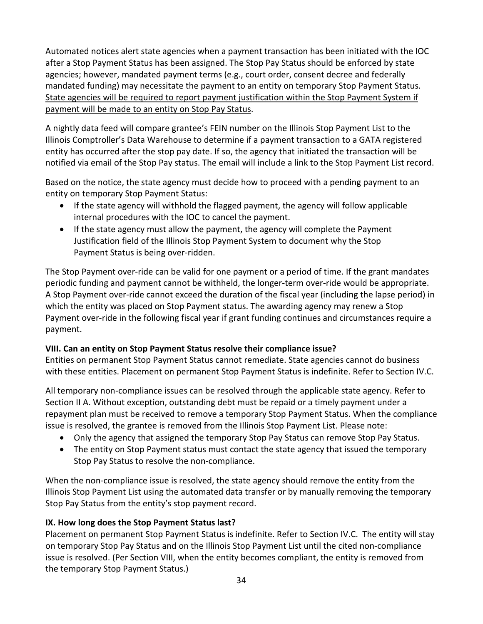Automated notices alert state agencies when a payment transaction has been initiated with the IOC after a Stop Payment Status has been assigned. The Stop Pay Status should be enforced by state agencies; however, mandated payment terms (e.g., court order, consent decree and federally mandated funding) may necessitate the payment to an entity on temporary Stop Payment Status. State agencies will be required to report payment justification within the Stop Payment System if payment will be made to an entity on Stop Pay Status.

A nightly data feed will compare grantee's FEIN number on the Illinois Stop Payment List to the Illinois Comptroller's Data Warehouse to determine if a payment transaction to a GATA registered entity has occurred after the stop pay date. If so, the agency that initiated the transaction will be notified via email of the Stop Pay status. The email will include a link to the Stop Payment List record.

Based on the notice, the state agency must decide how to proceed with a pending payment to an entity on temporary Stop Payment Status:

- If the state agency will withhold the flagged payment, the agency will follow applicable internal procedures with the IOC to cancel the payment.
- If the state agency must allow the payment, the agency will complete the Payment Justification field of the Illinois Stop Payment System to document why the Stop Payment Status is being over-ridden.

The Stop Payment over-ride can be valid for one payment or a period of time. If the grant mandates periodic funding and payment cannot be withheld, the longer-term over-ride would be appropriate. A Stop Payment over-ride cannot exceed the duration of the fiscal year (including the lapse period) in which the entity was placed on Stop Payment status. The awarding agency may renew a Stop Payment over-ride in the following fiscal year if grant funding continues and circumstances require a payment.

# **VIII. Can an entity on Stop Payment Status resolve their compliance issue?**

Entities on permanent Stop Payment Status cannot remediate. State agencies cannot do business with these entities. Placement on permanent Stop Payment Status is indefinite. Refer to Section IV.C.

All temporary non-compliance issues can be resolved through the applicable state agency. Refer to Section II A. Without exception, outstanding debt must be repaid or a timely payment under a repayment plan must be received to remove a temporary Stop Payment Status. When the compliance issue is resolved, the grantee is removed from the Illinois Stop Payment List. Please note:

- Only the agency that assigned the temporary Stop Pay Status can remove Stop Pay Status.
- The entity on Stop Payment status must contact the state agency that issued the temporary Stop Pay Status to resolve the non-compliance.

When the non-compliance issue is resolved, the state agency should remove the entity from the Illinois Stop Payment List using the automated data transfer or by manually removing the temporary Stop Pay Status from the entity's stop payment record.

# **IX. How long does the Stop Payment Status last?**

Placement on permanent Stop Payment Status is indefinite. Refer to Section IV.C. The entity will stay on temporary Stop Pay Status and on the Illinois Stop Payment List until the cited non-compliance issue is resolved. (Per Section VIII, when the entity becomes compliant, the entity is removed from the temporary Stop Payment Status.)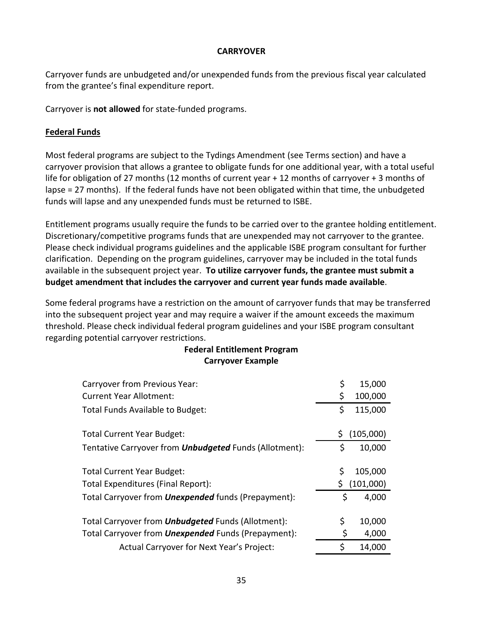#### **CARRYOVER**

Carryover funds are unbudgeted and/or unexpended funds from the previous fiscal year calculated from the grantee's final expenditure report.

Carryover is **not allowed** for state-funded programs.

# **Federal Funds**

Most federal programs are subject to the Tydings Amendment (see Terms section) and have a carryover provision that allows a grantee to obligate funds for one additional year, with a total useful life for obligation of 27 months (12 months of current year + 12 months of carryover + 3 months of lapse = 27 months). If the federal funds have not been obligated within that time, the unbudgeted funds will lapse and any unexpended funds must be returned to ISBE.

Entitlement programs usually require the funds to be carried over to the grantee holding entitlement. Discretionary/competitive programs funds that are unexpended may not carryover to the grantee. Please check individual programs guidelines and the applicable ISBE program consultant for further clarification. Depending on the program guidelines, carryover may be included in the total funds available in the subsequent project year. **To utilize carryover funds, the grantee must submit a budget amendment that includes the carryover and current year funds made available**.

Some federal programs have a restriction on the amount of carryover funds that may be transferred into the subsequent project year and may require a waiver if the amount exceeds the maximum threshold. Please check individual federal program guidelines and your ISBE program consultant regarding potential carryover restrictions.

# **Federal Entitlement Program Carryover Example**

| Carryover from Previous Year:                                 | \$ | 15,000    |
|---------------------------------------------------------------|----|-----------|
| <b>Current Year Allotment:</b>                                | \$ | 100,000   |
| Total Funds Available to Budget:                              | \$ | 115,000   |
| <b>Total Current Year Budget:</b>                             |    | (105,000) |
| Tentative Carryover from <b>Unbudgeted</b> Funds (Allotment): | \$ | 10,000    |
| <b>Total Current Year Budget:</b>                             | Ś  | 105,000   |
| Total Expenditures (Final Report):                            |    | (101,000) |
|                                                               |    |           |
| Total Carryover from <b>Unexpended</b> funds (Prepayment):    | \$ | 4,000     |
| Total Carryover from <b>Unbudgeted</b> Funds (Allotment):     | \$ | 10,000    |
| Total Carryover from <b>Unexpended</b> Funds (Prepayment):    | \$ | 4,000     |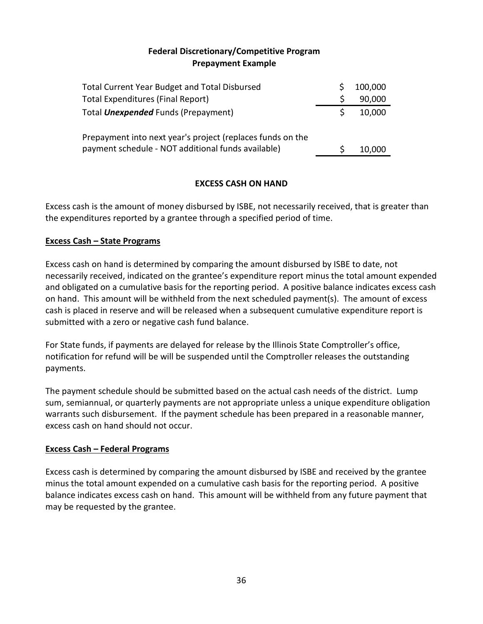## **Federal Discretionary/Competitive Program Prepayment Example**

| <b>Total Current Year Budget and Total Disbursed</b>                                                             |   | 100,000 |
|------------------------------------------------------------------------------------------------------------------|---|---------|
| Total Expenditures (Final Report)                                                                                | S | 90,000  |
| Total <b>Unexpended</b> Funds (Prepayment)                                                                       |   | 10,000  |
| Prepayment into next year's project (replaces funds on the<br>payment schedule - NOT additional funds available) |   | 10,000  |

## **EXCESS CASH ON HAND**

Excess cash is the amount of money disbursed by ISBE, not necessarily received, that is greater than the expenditures reported by a grantee through a specified period of time.

## **Excess Cash – State Programs**

Excess cash on hand is determined by comparing the amount disbursed by ISBE to date, not necessarily received, indicated on the grantee's expenditure report minus the total amount expended and obligated on a cumulative basis for the reporting period. A positive balance indicates excess cash on hand. This amount will be withheld from the next scheduled payment(s). The amount of excess cash is placed in reserve and will be released when a subsequent cumulative expenditure report is submitted with a zero or negative cash fund balance.

For State funds, if payments are delayed for release by the Illinois State Comptroller's office, notification for refund will be will be suspended until the Comptroller releases the outstanding payments.

The payment schedule should be submitted based on the actual cash needs of the district. Lump sum, semiannual, or quarterly payments are not appropriate unless a unique expenditure obligation warrants such disbursement. If the payment schedule has been prepared in a reasonable manner, excess cash on hand should not occur.

## **Excess Cash – Federal Programs**

Excess cash is determined by comparing the amount disbursed by ISBE and received by the grantee minus the total amount expended on a cumulative cash basis for the reporting period. A positive balance indicates excess cash on hand. This amount will be withheld from any future payment that may be requested by the grantee.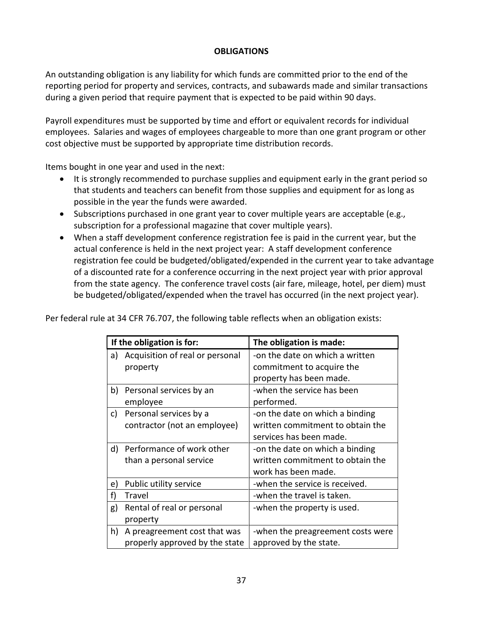## **OBLIGATIONS**

An outstanding obligation is any liability for which funds are committed prior to the end of the reporting period for property and services, contracts, and subawards made and similar transactions during a given period that require payment that is expected to be paid within 90 days.

Payroll expenditures must be supported by time and effort or equivalent records for individual employees. Salaries and wages of employees chargeable to more than one grant program or other cost objective must be supported by appropriate time distribution records.

Items bought in one year and used in the next:

- It is strongly recommended to purchase supplies and equipment early in the grant period so that students and teachers can benefit from those supplies and equipment for as long as possible in the year the funds were awarded.
- Subscriptions purchased in one grant year to cover multiple years are acceptable (e.g., subscription for a professional magazine that cover multiple years).
- When a staff development conference registration fee is paid in the current year, but the actual conference is held in the next project year: A staff development conference registration fee could be budgeted/obligated/expended in the current year to take advantage of a discounted rate for a conference occurring in the next project year with prior approval from the state agency. The conference travel costs (air fare, mileage, hotel, per diem) must be budgeted/obligated/expended when the travel has occurred (in the next project year).

Per federal rule at 34 CFR 76.707, the following table reflects when an obligation exists:

|    | If the obligation is for:       | The obligation is made:           |
|----|---------------------------------|-----------------------------------|
| a) | Acquisition of real or personal | -on the date on which a written   |
|    | property                        | commitment to acquire the         |
|    |                                 | property has been made.           |
| b) | Personal services by an         | -when the service has been        |
|    | employee                        | performed.                        |
| c) | Personal services by a          | -on the date on which a binding   |
|    | contractor (not an employee)    | written commitment to obtain the  |
|    |                                 | services has been made.           |
| d) | Performance of work other       | -on the date on which a binding   |
|    | than a personal service         | written commitment to obtain the  |
|    |                                 | work has been made.               |
| e) | Public utility service          | -when the service is received.    |
| f) | Travel                          | -when the travel is taken.        |
| g) | Rental of real or personal      | -when the property is used.       |
|    | property                        |                                   |
| h) | A preagreement cost that was    | -when the preagreement costs were |
|    | properly approved by the state  | approved by the state.            |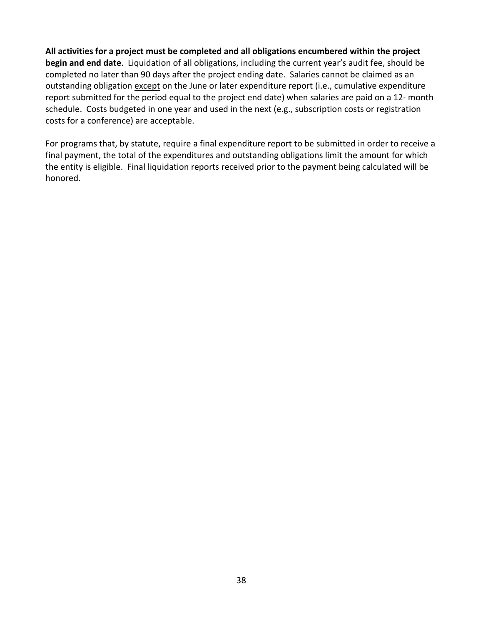**All activities for a project must be completed and all obligations encumbered within the project begin and end date**. Liquidation of all obligations, including the current year's audit fee, should be completed no later than 90 days after the project ending date. Salaries cannot be claimed as an outstanding obligation except on the June or later expenditure report (i.e., cumulative expenditure report submitted for the period equal to the project end date) when salaries are paid on a 12- month schedule. Costs budgeted in one year and used in the next (e.g., subscription costs or registration costs for a conference) are acceptable.

For programs that, by statute, require a final expenditure report to be submitted in order to receive a final payment, the total of the expenditures and outstanding obligations limit the amount for which the entity is eligible. Final liquidation reports received prior to the payment being calculated will be honored.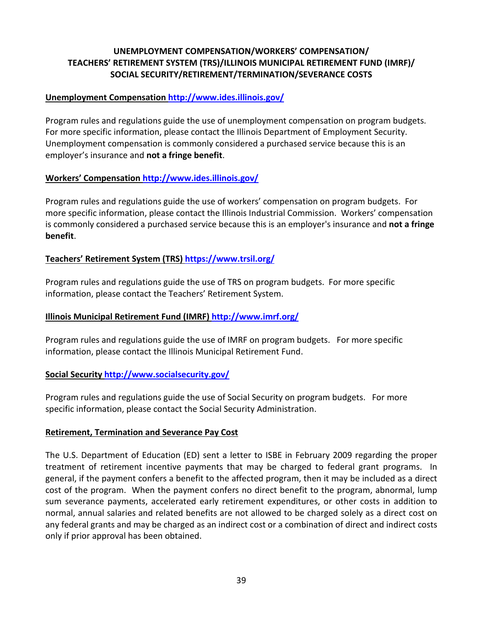## **UNEMPLOYMENT COMPENSATION/WORKERS' COMPENSATION/ TEACHERS' RETIREMENT SYSTEM (TRS)/ILLINOIS MUNICIPAL RETIREMENT FUND (IMRF)/ SOCIAL SECURITY/RETIREMENT/TERMINATION/SEVERANCE COSTS**

#### **Unemployment Compensation <http://www.ides.illinois.gov/>**

Program rules and regulations guide the use of unemployment compensation on program budgets. For more specific information, please contact the Illinois Department of Employment Security. Unemployment compensation is commonly considered a purchased service because this is an employer's insurance and **not a fringe benefit**.

#### **Workers' Compensation <http://www.ides.illinois.gov/>**

Program rules and regulations guide the use of workers' compensation on program budgets. For more specific information, please contact the Illinois Industrial Commission. Workers' compensation is commonly considered a purchased service because this is an employer's insurance and **not a fringe benefit**.

## **Teachers' Retirement System (TRS) <https://www.trsil.org/>**

Program rules and regulations guide the use of TRS on program budgets. For more specific information, please contact the Teachers' Retirement System.

#### **Illinois Municipal Retirement Fund (IMRF) <http://www.imrf.org/>**

Program rules and regulations guide the use of IMRF on program budgets. For more specific information, please contact the Illinois Municipal Retirement Fund.

#### **Social Security <http://www.socialsecurity.gov/>**

Program rules and regulations guide the use of Social Security on program budgets. For more specific information, please contact the Social Security Administration.

#### **Retirement, Termination and Severance Pay Cost**

The U.S. Department of Education (ED) sent a letter to ISBE in February 2009 regarding the proper treatment of retirement incentive payments that may be charged to federal grant programs. In general, if the payment confers a benefit to the affected program, then it may be included as a direct cost of the program. When the payment confers no direct benefit to the program, abnormal, lump sum severance payments, accelerated early retirement expenditures, or other costs in addition to normal, annual salaries and related benefits are not allowed to be charged solely as a direct cost on any federal grants and may be charged as an indirect cost or a combination of direct and indirect costs only if prior approval has been obtained.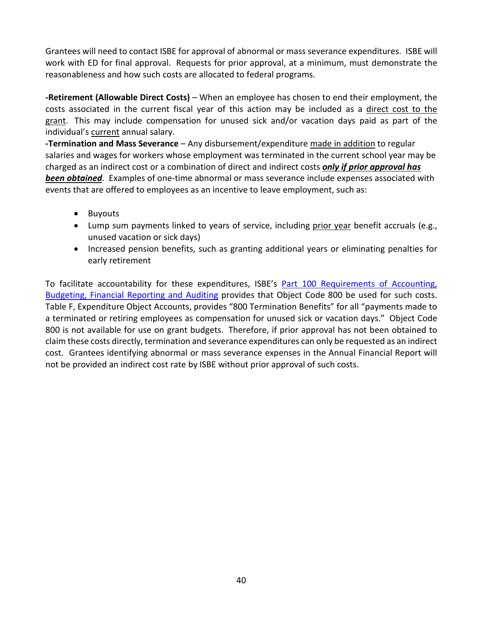Grantees will need to contact ISBE for approval of abnormal or mass severance expenditures. ISBE will work with ED for final approval. Requests for prior approval, at a minimum, must demonstrate the reasonableness and how such costs are allocated to federal programs.

**-Retirement (Allowable Direct Costs)** – When an employee has chosen to end their employment, the costs associated in the current fiscal year of this action may be included as a direct cost to the grant. This may include compensation for unused sick and/or vacation days paid as part of the individual's current annual salary.

**-Termination and Mass Severance** – Any disbursement/expenditure made in addition to regular salaries and wages for workers whose employment was terminated in the current school year may be charged as an indirect cost or a combination of direct and indirect costs *only if prior approval has been obtained*. Examples of one-time abnormal or mass severance include expenses associated with events that are offered to employees as an incentive to leave employment, such as:

- Buyouts
- Lump sum payments linked to years of service, including prior year benefit accruals (e.g., unused vacation or sick days)
- Increased pension benefits, such as granting additional years or eliminating penalties for early retirement

To facilitate accountability for these expenditures, ISBE's Part 100 Requirements of Accounting, [Budgeting, Financial Reporting and Auditing](https://www.isbe.net/Documents/100ARK.pdf) provides that Object Code 800 be used for such costs. Table F, Expenditure Object Accounts, provides "800 Termination Benefits" for all "payments made to a terminated or retiring employees as compensation for unused sick or vacation days." Object Code 800 is not available for use on grant budgets. Therefore, if prior approval has not been obtained to claim these costs directly, termination and severance expenditures can only be requested as an indirect cost. Grantees identifying abnormal or mass severance expenses in the Annual Financial Report will not be provided an indirect cost rate by ISBE without prior approval of such costs.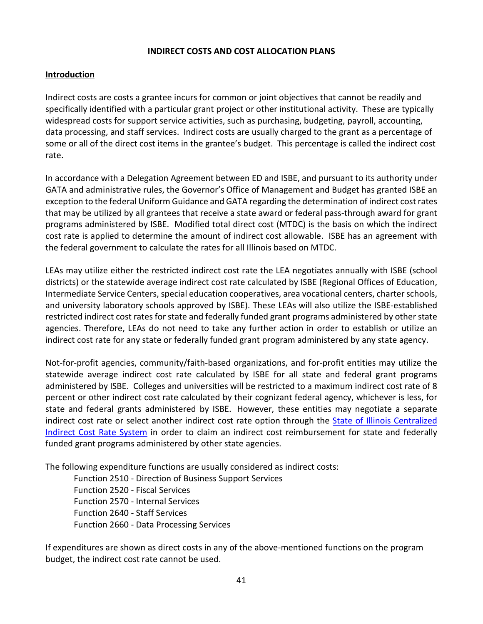#### **INDIRECT COSTS AND COST ALLOCATION PLANS**

#### **Introduction**

Indirect costs are costs a grantee incurs for common or joint objectives that cannot be readily and specifically identified with a particular grant project or other institutional activity. These are typically widespread costs for support service activities, such as purchasing, budgeting, payroll, accounting, data processing, and staff services. Indirect costs are usually charged to the grant as a percentage of some or all of the direct cost items in the grantee's budget. This percentage is called the indirect cost rate.

In accordance with a Delegation Agreement between ED and ISBE, and pursuant to its authority under GATA and administrative rules, the Governor's Office of Management and Budget has granted ISBE an exception to the federal Uniform Guidance and GATA regarding the determination of indirect cost rates that may be utilized by all grantees that receive a state award or federal pass-through award for grant programs administered by ISBE. Modified total direct cost (MTDC) is the basis on which the indirect cost rate is applied to determine the amount of indirect cost allowable. ISBE has an agreement with the federal government to calculate the rates for all Illinois based on MTDC.

LEAs may utilize either the restricted indirect cost rate the LEA negotiates annually with ISBE (school districts) or the statewide average indirect cost rate calculated by ISBE (Regional Offices of Education, Intermediate Service Centers, special education cooperatives, area vocational centers, charter schools, and university laboratory schools approved by ISBE). These LEAs will also utilize the ISBE-established restricted indirect cost rates for state and federally funded grant programs administered by other state agencies. Therefore, LEAs do not need to take any further action in order to establish or utilize an indirect cost rate for any state or federally funded grant program administered by any state agency.

Not-for-profit agencies, community/faith-based organizations, and for-profit entities may utilize the statewide average indirect cost rate calculated by ISBE for all state and federal grant programs administered by ISBE. Colleges and universities will be restricted to a maximum indirect cost rate of 8 percent or other indirect cost rate calculated by their cognizant federal agency, whichever is less, for state and federal grants administered by ISBE. However, these entities may negotiate a separate indirect cost rate or select another indirect cost rate option through the [State of Illinois Centralized](https://www2.illinois.gov/sites/GATA/Grantee/CentralizedIndirectCostSystem/Pages/default.aspx)  [Indirect Cost Rate System](https://www2.illinois.gov/sites/GATA/Grantee/CentralizedIndirectCostSystem/Pages/default.aspx) in order to claim an indirect cost reimbursement for state and federally funded grant programs administered by other state agencies.

The following expenditure functions are usually considered as indirect costs:

Function 2510 - Direction of Business Support Services Function 2520 - Fiscal Services Function 2570 - Internal Services Function 2640 - Staff Services Function 2660 - Data Processing Services

If expenditures are shown as direct costs in any of the above-mentioned functions on the program budget, the indirect cost rate cannot be used.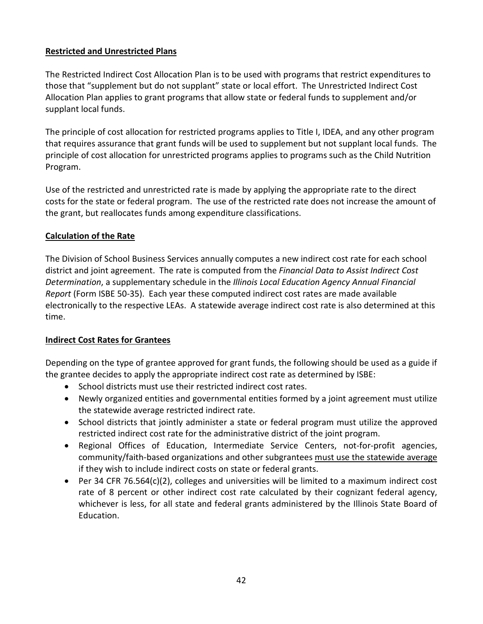# **Restricted and Unrestricted Plans**

The Restricted Indirect Cost Allocation Plan is to be used with programs that restrict expenditures to those that "supplement but do not supplant" state or local effort. The Unrestricted Indirect Cost Allocation Plan applies to grant programs that allow state or federal funds to supplement and/or supplant local funds.

The principle of cost allocation for restricted programs applies to Title I, IDEA, and any other program that requires assurance that grant funds will be used to supplement but not supplant local funds. The principle of cost allocation for unrestricted programs applies to programs such as the Child Nutrition Program.

Use of the restricted and unrestricted rate is made by applying the appropriate rate to the direct costs for the state or federal program. The use of the restricted rate does not increase the amount of the grant, but reallocates funds among expenditure classifications.

# **Calculation of the Rate**

The Division of School Business Services annually computes a new indirect cost rate for each school district and joint agreement. The rate is computed from the *Financial Data to Assist Indirect Cost Determination*, a supplementary schedule in the *Illinois Local Education Agency Annual Financial Report* (Form ISBE 50-35). Each year these computed indirect cost rates are made available electronically to the respective LEAs. A statewide average indirect cost rate is also determined at this time.

## **Indirect Cost Rates for Grantees**

Depending on the type of grantee approved for grant funds, the following should be used as a guide if the grantee decides to apply the appropriate indirect cost rate as determined by ISBE:

- School districts must use their restricted indirect cost rates.
- Newly organized entities and governmental entities formed by a joint agreement must utilize the statewide average restricted indirect rate.
- School districts that jointly administer a state or federal program must utilize the approved restricted indirect cost rate for the administrative district of the joint program.
- Regional Offices of Education, Intermediate Service Centers, not-for-profit agencies, community/faith-based organizations and other subgrantees must use the statewide average if they wish to include indirect costs on state or federal grants.
- Per 34 CFR 76.564(c)(2), colleges and universities will be limited to a maximum indirect cost rate of 8 percent or other indirect cost rate calculated by their cognizant federal agency, whichever is less, for all state and federal grants administered by the Illinois State Board of Education.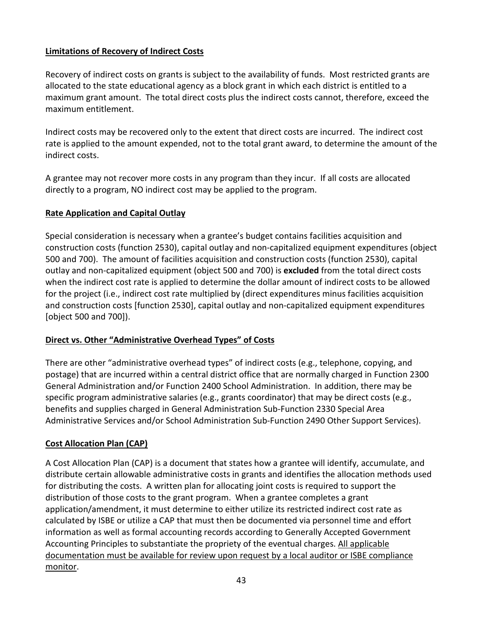# **Limitations of Recovery of Indirect Costs**

Recovery of indirect costs on grants is subject to the availability of funds. Most restricted grants are allocated to the state educational agency as a block grant in which each district is entitled to a maximum grant amount. The total direct costs plus the indirect costs cannot, therefore, exceed the maximum entitlement.

Indirect costs may be recovered only to the extent that direct costs are incurred. The indirect cost rate is applied to the amount expended, not to the total grant award, to determine the amount of the indirect costs.

A grantee may not recover more costs in any program than they incur. If all costs are allocated directly to a program, NO indirect cost may be applied to the program.

# **Rate Application and Capital Outlay**

Special consideration is necessary when a grantee's budget contains facilities acquisition and construction costs (function 2530), capital outlay and non-capitalized equipment expenditures (object 500 and 700). The amount of facilities acquisition and construction costs (function 2530), capital outlay and non-capitalized equipment (object 500 and 700) is **excluded** from the total direct costs when the indirect cost rate is applied to determine the dollar amount of indirect costs to be allowed for the project (i.e., indirect cost rate multiplied by (direct expenditures minus facilities acquisition and construction costs [function 2530], capital outlay and non-capitalized equipment expenditures [object 500 and 700]).

# **Direct vs. Other "Administrative Overhead Types" of Costs**

There are other "administrative overhead types" of indirect costs (e.g., telephone, copying, and postage) that are incurred within a central district office that are normally charged in Function 2300 General Administration and/or Function 2400 School Administration. In addition, there may be specific program administrative salaries (e.g., grants coordinator) that may be direct costs (e.g., benefits and supplies charged in General Administration Sub-Function 2330 Special Area Administrative Services and/or School Administration Sub-Function 2490 Other Support Services).

# **Cost Allocation Plan (CAP)**

A Cost Allocation Plan (CAP) is a document that states how a grantee will identify, accumulate, and distribute certain allowable administrative costs in grants and identifies the allocation methods used for distributing the costs. A written plan for allocating joint costs is required to support the distribution of those costs to the grant program. When a grantee completes a grant application/amendment, it must determine to either utilize its restricted indirect cost rate as calculated by ISBE or utilize a CAP that must then be documented via personnel time and effort information as well as formal accounting records according to Generally Accepted Government Accounting Principles to substantiate the propriety of the eventual charges. All applicable documentation must be available for review upon request by a local auditor or ISBE compliance monitor.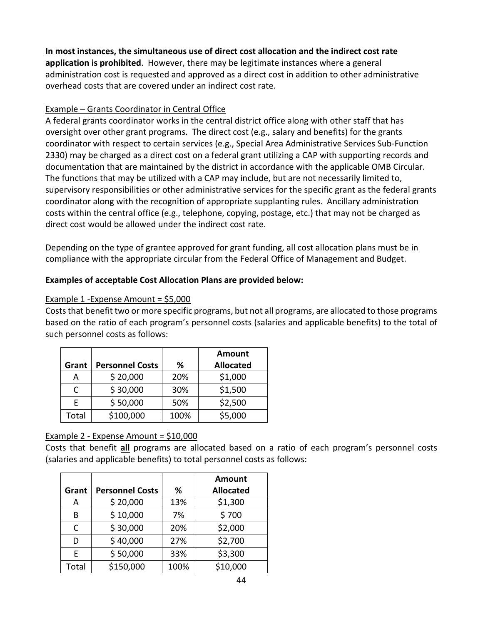**In most instances, the simultaneous use of direct cost allocation and the indirect cost rate application is prohibited**. However, there may be legitimate instances where a general administration cost is requested and approved as a direct cost in addition to other administrative overhead costs that are covered under an indirect cost rate.

## Example – Grants Coordinator in Central Office

A federal grants coordinator works in the central district office along with other staff that has oversight over other grant programs. The direct cost (e.g., salary and benefits) for the grants coordinator with respect to certain services (e.g., Special Area Administrative Services Sub-Function 2330) may be charged as a direct cost on a federal grant utilizing a CAP with supporting records and documentation that are maintained by the district in accordance with the applicable OMB Circular. The functions that may be utilized with a CAP may include, but are not necessarily limited to, supervisory responsibilities or other administrative services for the specific grant as the federal grants coordinator along with the recognition of appropriate supplanting rules. Ancillary administration costs within the central office (e.g., telephone, copying, postage, etc.) that may not be charged as direct cost would be allowed under the indirect cost rate.

Depending on the type of grantee approved for grant funding, all cost allocation plans must be in compliance with the appropriate circular from the Federal Office of Management and Budget.

# **Examples of acceptable Cost Allocation Plans are provided below:**

## Example 1 -Expense Amount = \$5,000

Costs that benefit two or more specific programs, but not all programs, are allocated to those programs based on the ratio of each program's personnel costs (salaries and applicable benefits) to the total of such personnel costs as follows:

| Grant | <b>Personnel Costs</b> | ℅    | <b>Amount</b><br><b>Allocated</b> |
|-------|------------------------|------|-----------------------------------|
| А     | \$20,000               | 20%  | \$1,000                           |
| C     | \$30,000               | 30%  | \$1,500                           |
| F     | \$50,000               | 50%  | \$2,500                           |
| Total | \$100,000              | 100% | \$5,000                           |

# Example 2 - Expense Amount = \$10,000

Costs that benefit **all** programs are allocated based on a ratio of each program's personnel costs (salaries and applicable benefits) to total personnel costs as follows:

|       |                        |      | <b>Amount</b>    |
|-------|------------------------|------|------------------|
| Grant | <b>Personnel Costs</b> | %    | <b>Allocated</b> |
| А     | \$20,000               | 13%  | \$1,300          |
| B     | \$10,000               | 7%   | \$700            |
| C     | \$30,000               | 20%  | \$2,000          |
| D     | \$40,000               | 27%  | \$2,700          |
| E     | \$50,000               | 33%  | \$3,300          |
| Total | \$150,000              | 100% | \$10,000         |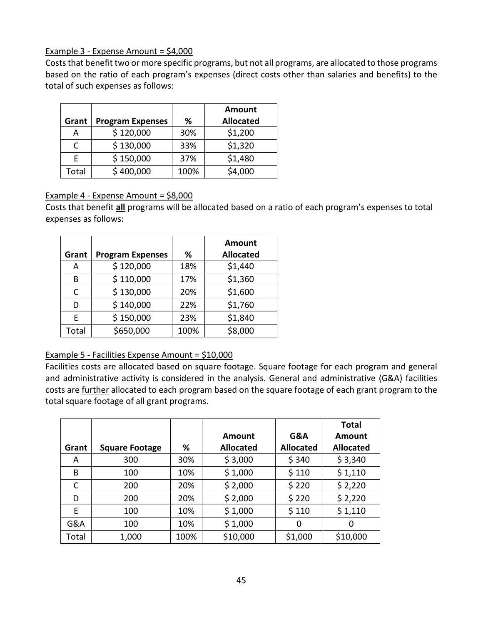## Example 3 - Expense Amount = \$4,000

Costs that benefit two or more specific programs, but not all programs, are allocated to those programs based on the ratio of each program's expenses (direct costs other than salaries and benefits) to the total of such expenses as follows:

| Grant | <b>Program Expenses</b> | %    | Amount<br><b>Allocated</b> |
|-------|-------------------------|------|----------------------------|
| А     | \$120,000               | 30%  | \$1,200                    |
| C     | \$130,000               | 33%  | \$1,320                    |
|       | \$150,000               | 37%  | \$1,480                    |
| Total | \$400,000               | 100% | \$4,000                    |

# Example 4 - Expense Amount = \$8,000

Costs that benefit **all** programs will be allocated based on a ratio of each program's expenses to total expenses as follows:

| Grant | <b>Program Expenses</b> | %    | <b>Amount</b><br><b>Allocated</b> |
|-------|-------------------------|------|-----------------------------------|
| А     | \$120,000               | 18%  | \$1,440                           |
| В     | \$110,000               | 17%  | \$1,360                           |
| C     | \$130,000               | 20%  | \$1,600                           |
| D     | \$140,000               | 22%  | \$1,760                           |
| E     | \$150,000               | 23%  | \$1,840                           |
| Total | \$650,000               | 100% | \$8,000                           |

## Example 5 - Facilities Expense Amount = \$10,000

Facilities costs are allocated based on square footage. Square footage for each program and general and administrative activity is considered in the analysis. General and administrative (G&A) facilities costs are further allocated to each program based on the square footage of each grant program to the total square footage of all grant programs.

|       |                       |      |                  |                  | <b>Total</b>     |
|-------|-----------------------|------|------------------|------------------|------------------|
|       |                       |      | Amount           | G&A              | Amount           |
| Grant | <b>Square Footage</b> | %    | <b>Allocated</b> | <b>Allocated</b> | <b>Allocated</b> |
| A     | 300                   | 30%  | \$3,000          | \$340            | \$3,340          |
| B     | 100                   | 10%  | \$1,000          | \$110            | \$1,110          |
| C     | 200                   | 20%  | \$2,000          | \$220            | \$2,220          |
| D     | 200                   | 20%  | \$2,000          | \$220            | \$2,220          |
| E     | 100                   | 10%  | \$1,000          | \$110            | \$1,110          |
| G&A   | 100                   | 10%  | \$1,000          | 0                | 0                |
| Total | 1,000                 | 100% | \$10,000         | \$1,000          | \$10,000         |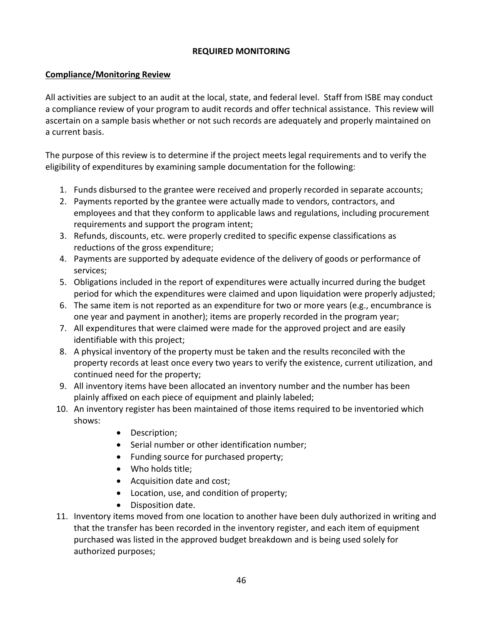#### **REQUIRED MONITORING**

#### **Compliance/Monitoring Review**

All activities are subject to an audit at the local, state, and federal level. Staff from ISBE may conduct a compliance review of your program to audit records and offer technical assistance. This review will ascertain on a sample basis whether or not such records are adequately and properly maintained on a current basis.

The purpose of this review is to determine if the project meets legal requirements and to verify the eligibility of expenditures by examining sample documentation for the following:

- 1. Funds disbursed to the grantee were received and properly recorded in separate accounts;
- 2. Payments reported by the grantee were actually made to vendors, contractors, and employees and that they conform to applicable laws and regulations, including procurement requirements and support the program intent;
- 3. Refunds, discounts, etc. were properly credited to specific expense classifications as reductions of the gross expenditure;
- 4. Payments are supported by adequate evidence of the delivery of goods or performance of services;
- 5. Obligations included in the report of expenditures were actually incurred during the budget period for which the expenditures were claimed and upon liquidation were properly adjusted;
- 6. The same item is not reported as an expenditure for two or more years (e.g., encumbrance is one year and payment in another); items are properly recorded in the program year;
- 7. All expenditures that were claimed were made for the approved project and are easily identifiable with this project;
- 8. A physical inventory of the property must be taken and the results reconciled with the property records at least once every two years to verify the existence, current utilization, and continued need for the property;
- 9. All inventory items have been allocated an inventory number and the number has been plainly affixed on each piece of equipment and plainly labeled;
- 10. An inventory register has been maintained of those items required to be inventoried which shows:
	- Description;
	- Serial number or other identification number;
	- Funding source for purchased property;
	- Who holds title;
	- Acquisition date and cost;
	- Location, use, and condition of property;
	- Disposition date.
- 11. Inventory items moved from one location to another have been duly authorized in writing and that the transfer has been recorded in the inventory register, and each item of equipment purchased was listed in the approved budget breakdown and is being used solely for authorized purposes;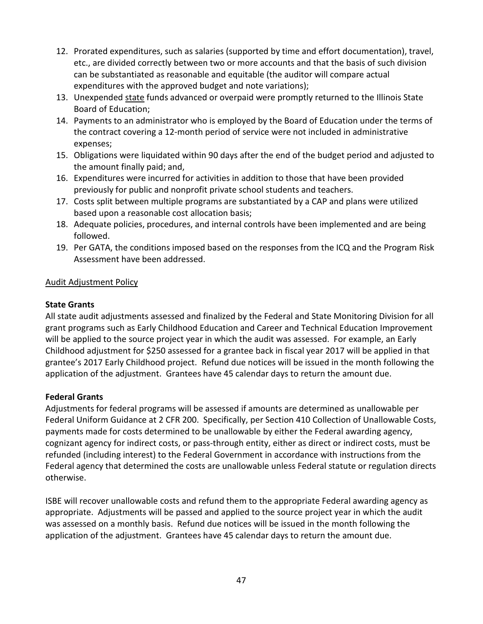- 12. Prorated expenditures, such as salaries (supported by time and effort documentation), travel, etc., are divided correctly between two or more accounts and that the basis of such division can be substantiated as reasonable and equitable (the auditor will compare actual expenditures with the approved budget and note variations);
- 13. Unexpended state funds advanced or overpaid were promptly returned to the Illinois State Board of Education;
- 14. Payments to an administrator who is employed by the Board of Education under the terms of the contract covering a 12-month period of service were not included in administrative expenses;
- 15. Obligations were liquidated within 90 days after the end of the budget period and adjusted to the amount finally paid; and,
- 16. Expenditures were incurred for activities in addition to those that have been provided previously for public and nonprofit private school students and teachers.
- 17. Costs split between multiple programs are substantiated by a CAP and plans were utilized based upon a reasonable cost allocation basis;
- 18. Adequate policies, procedures, and internal controls have been implemented and are being followed.
- 19. Per GATA, the conditions imposed based on the responses from the ICQ and the Program Risk Assessment have been addressed.

## Audit Adjustment Policy

## **State Grants**

All state audit adjustments assessed and finalized by the Federal and State Monitoring Division for all grant programs such as Early Childhood Education and Career and Technical Education Improvement will be applied to the source project year in which the audit was assessed. For example, an Early Childhood adjustment for \$250 assessed for a grantee back in fiscal year 2017 will be applied in that grantee's 2017 Early Childhood project. Refund due notices will be issued in the month following the application of the adjustment. Grantees have 45 calendar days to return the amount due.

## **Federal Grants**

Adjustments for federal programs will be assessed if amounts are determined as unallowable per Federal Uniform Guidance at 2 CFR 200. Specifically, per Section 410 Collection of Unallowable Costs, payments made for costs determined to be unallowable by either the Federal awarding agency, cognizant agency for indirect costs, or pass-through entity, either as direct or indirect costs, must be refunded (including interest) to the Federal Government in accordance with instructions from the Federal agency that determined the costs are unallowable unless Federal statute or regulation directs otherwise.

ISBE will recover unallowable costs and refund them to the appropriate Federal awarding agency as appropriate. Adjustments will be passed and applied to the source project year in which the audit was assessed on a monthly basis. Refund due notices will be issued in the month following the application of the adjustment. Grantees have 45 calendar days to return the amount due.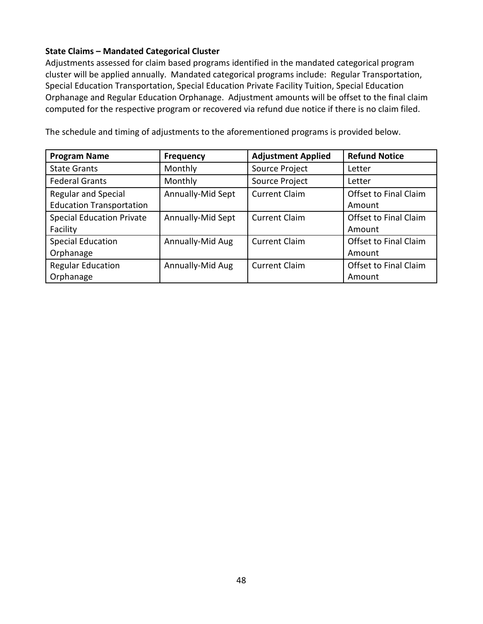## **State Claims – Mandated Categorical Cluster**

Adjustments assessed for claim based programs identified in the mandated categorical program cluster will be applied annually. Mandated categorical programs include: Regular Transportation, Special Education Transportation, Special Education Private Facility Tuition, Special Education Orphanage and Regular Education Orphanage. Adjustment amounts will be offset to the final claim computed for the respective program or recovered via refund due notice if there is no claim filed.

The schedule and timing of adjustments to the aforementioned programs is provided below.

| <b>Program Name</b>              | <b>Frequency</b>  | <b>Adjustment Applied</b> | <b>Refund Notice</b>  |
|----------------------------------|-------------------|---------------------------|-----------------------|
| <b>State Grants</b>              | Monthly           | Source Project            | Letter                |
| <b>Federal Grants</b>            | Monthly           | Source Project            | Letter                |
| <b>Regular and Special</b>       | Annually-Mid Sept | <b>Current Claim</b>      | Offset to Final Claim |
| <b>Education Transportation</b>  |                   |                           | Amount                |
| <b>Special Education Private</b> | Annually-Mid Sept | <b>Current Claim</b>      | Offset to Final Claim |
| Facility                         |                   |                           | Amount                |
| <b>Special Education</b>         | Annually-Mid Aug  | <b>Current Claim</b>      | Offset to Final Claim |
| Orphanage                        |                   |                           | Amount                |
| <b>Regular Education</b>         | Annually-Mid Aug  | <b>Current Claim</b>      | Offset to Final Claim |
| Orphanage                        |                   |                           | Amount                |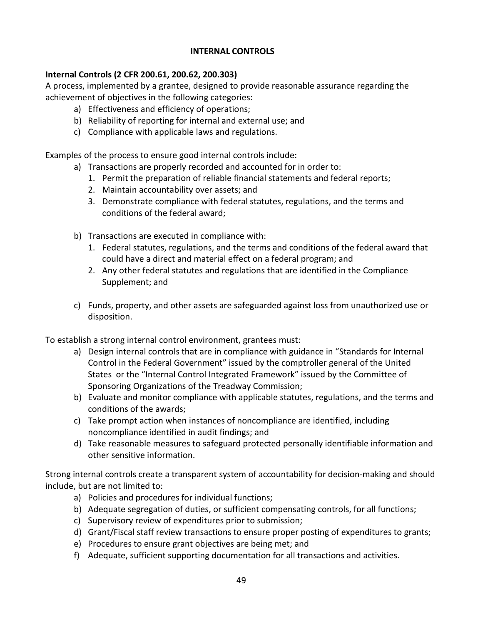#### **INTERNAL CONTROLS**

#### **Internal Controls (2 CFR 200.61, 200.62, 200.303)**

A process, implemented by a grantee, designed to provide reasonable assurance regarding the achievement of objectives in the following categories:

- a) Effectiveness and efficiency of operations;
- b) Reliability of reporting for internal and external use; and
- c) Compliance with applicable laws and regulations.

Examples of the process to ensure good internal controls include:

- a) Transactions are properly recorded and accounted for in order to:
	- 1. Permit the preparation of reliable financial statements and federal reports;
	- 2. Maintain accountability over assets; and
	- 3. Demonstrate compliance with federal statutes, regulations, and the terms and conditions of the federal award;
- b) Transactions are executed in compliance with:
	- 1. Federal statutes, regulations, and the terms and conditions of the federal award that could have a direct and material effect on a federal program; and
	- 2. Any other federal statutes and regulations that are identified in the Compliance Supplement; and
- c) Funds, property, and other assets are safeguarded against loss from unauthorized use or disposition.

To establish a strong internal control environment, grantees must:

- a) Design internal controls that are in compliance with guidance in "Standards for Internal Control in the Federal Government" issued by the comptroller general of the United States or the "Internal Control Integrated Framework" issued by the Committee of Sponsoring Organizations of the Treadway Commission;
- b) Evaluate and monitor compliance with applicable statutes, regulations, and the terms and conditions of the awards;
- c) Take prompt action when instances of noncompliance are identified, including noncompliance identified in audit findings; and
- d) Take reasonable measures to safeguard protected personally identifiable information and other sensitive information.

Strong internal controls create a transparent system of accountability for decision-making and should include, but are not limited to:

- a) Policies and procedures for individual functions;
- b) Adequate segregation of duties, or sufficient compensating controls, for all functions;
- c) Supervisory review of expenditures prior to submission;
- d) Grant/Fiscal staff review transactions to ensure proper posting of expenditures to grants;
- e) Procedures to ensure grant objectives are being met; and
- f) Adequate, sufficient supporting documentation for all transactions and activities.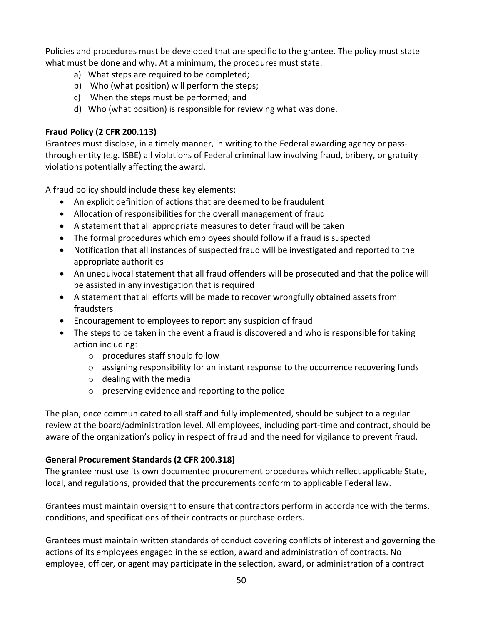Policies and procedures must be developed that are specific to the grantee. The policy must state what must be done and why. At a minimum, the procedures must state:

- a) What steps are required to be completed;
- b) Who (what position) will perform the steps;
- c) When the steps must be performed; and
- d) Who (what position) is responsible for reviewing what was done.

# **Fraud Policy (2 CFR 200.113)**

Grantees must disclose, in a timely manner, in writing to the Federal awarding agency or passthrough entity (e.g. ISBE) all violations of Federal criminal law involving fraud, bribery, or gratuity violations potentially affecting the award.

A fraud policy should include these key elements:

- An explicit definition of actions that are deemed to be fraudulent
- Allocation of responsibilities for the overall management of fraud
- A statement that all appropriate measures to deter fraud will be taken
- The formal procedures which employees should follow if a fraud is suspected
- Notification that all instances of suspected fraud will be investigated and reported to the appropriate authorities
- An unequivocal statement that all fraud offenders will be prosecuted and that the police will be assisted in any investigation that is required
- A statement that all efforts will be made to recover wrongfully obtained assets from fraudsters
- Encouragement to employees to report any suspicion of fraud
- The steps to be taken in the event a fraud is discovered and who is responsible for taking action including:
	- o procedures staff should follow
	- o assigning responsibility for an instant response to the occurrence recovering funds
	- $\circ$  dealing with the media
	- o preserving evidence and reporting to the police

The plan, once communicated to all staff and fully implemented, should be subject to a regular review at the board/administration level. All employees, including part-time and contract, should be aware of the organization's policy in respect of fraud and the need for vigilance to prevent fraud.

# **General Procurement Standards (2 CFR 200.318)**

The grantee must use its own documented procurement procedures which reflect applicable State, local, and regulations, provided that the procurements conform to applicable Federal law.

Grantees must maintain oversight to ensure that contractors perform in accordance with the terms, conditions, and specifications of their contracts or purchase orders.

Grantees must maintain written standards of conduct covering conflicts of interest and governing the actions of its employees engaged in the selection, award and administration of contracts. No employee, officer, or agent may participate in the selection, award, or administration of a contract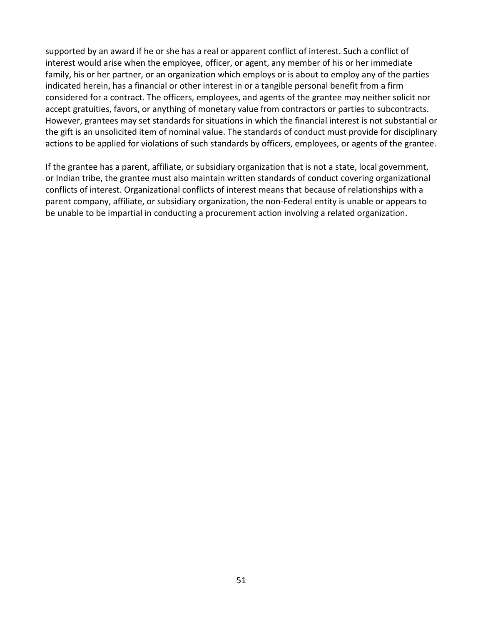supported by an award if he or she has a real or apparent conflict of interest. Such a conflict of interest would arise when the employee, officer, or agent, any member of his or her immediate family, his or her partner, or an organization which employs or is about to employ any of the parties indicated herein, has a financial or other interest in or a tangible personal benefit from a firm considered for a contract. The officers, employees, and agents of the grantee may neither solicit nor accept gratuities, favors, or anything of monetary value from contractors or parties to subcontracts. However, grantees may set standards for situations in which the financial interest is not substantial or the gift is an unsolicited item of nominal value. The standards of conduct must provide for disciplinary actions to be applied for violations of such standards by officers, employees, or agents of the grantee.

If the grantee has a parent, affiliate, or subsidiary organization that is not a state, local government, or Indian tribe, the grantee must also maintain written standards of conduct covering organizational conflicts of interest. Organizational conflicts of interest means that because of relationships with a parent company, affiliate, or subsidiary organization, the non-Federal entity is unable or appears to be unable to be impartial in conducting a procurement action involving a related organization.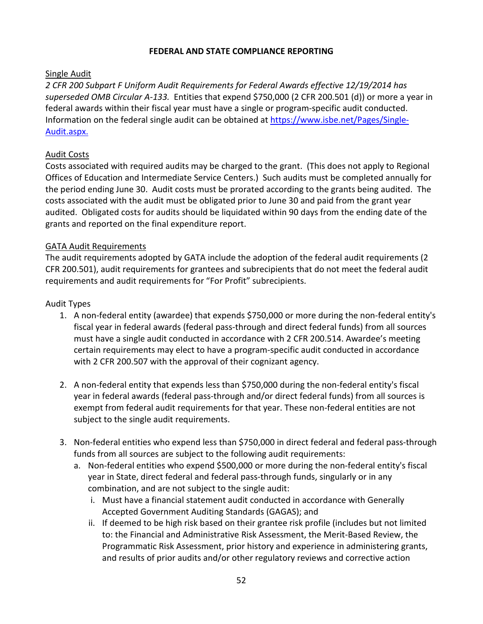#### **FEDERAL AND STATE COMPLIANCE REPORTING**

## Single Audit

*2 CFR 200 Subpart F Uniform Audit Requirements for Federal Awards effective 12/19/2014 has superseded OMB Circular A-133.* Entities that expend \$750,000 (2 CFR 200.501 (d)) or more a year in federal awards within their fiscal year must have a single or program-specific audit conducted. Information on the federal single audit can be obtained a[t https://www.isbe.net/Pages/Single-](https://www.isbe.net/Pages/Single-Audit.aspx)[Audit.aspx.](https://www.isbe.net/Pages/Single-Audit.aspx)

# Audit Costs

Costs associated with required audits may be charged to the grant. (This does not apply to Regional Offices of Education and Intermediate Service Centers.) Such audits must be completed annually for the period ending June 30. Audit costs must be prorated according to the grants being audited. The costs associated with the audit must be obligated prior to June 30 and paid from the grant year audited. Obligated costs for audits should be liquidated within 90 days from the ending date of the grants and reported on the final expenditure report.

## GATA Audit Requirements

The audit requirements adopted by GATA include the adoption of the federal audit requirements (2 CFR 200.501), audit requirements for grantees and subrecipients that do not meet the federal audit requirements and audit requirements for "For Profit" subrecipients.

# Audit Types

- 1. A non-federal entity (awardee) that expends \$750,000 or more during the non-federal entity's fiscal year in federal awards (federal pass-through and direct federal funds) from all sources must have a single audit conducted in accordance with 2 CFR 200.514. Awardee's meeting certain requirements may elect to have a program-specific audit conducted in accordance with 2 CFR 200.507 with the approval of their cognizant agency.
- 2. A non-federal entity that expends less than \$750,000 during the non-federal entity's fiscal year in federal awards (federal pass-through and/or direct federal funds) from all sources is exempt from federal audit requirements for that year. These non-federal entities are not subject to the single audit requirements.
- 3. Non-federal entities who expend less than \$750,000 in direct federal and federal pass-through funds from all sources are subject to the following audit requirements:
	- a. Non-federal entities who expend \$500,000 or more during the non-federal entity's fiscal year in State, direct federal and federal pass-through funds, singularly or in any combination, and are not subject to the single audit:
		- i. Must have a financial statement audit conducted in accordance with Generally Accepted Government Auditing Standards (GAGAS); and
		- ii. If deemed to be high risk based on their grantee risk profile (includes but not limited to: the Financial and Administrative Risk Assessment, the Merit-Based Review, the Programmatic Risk Assessment, prior history and experience in administering grants, and results of prior audits and/or other regulatory reviews and corrective action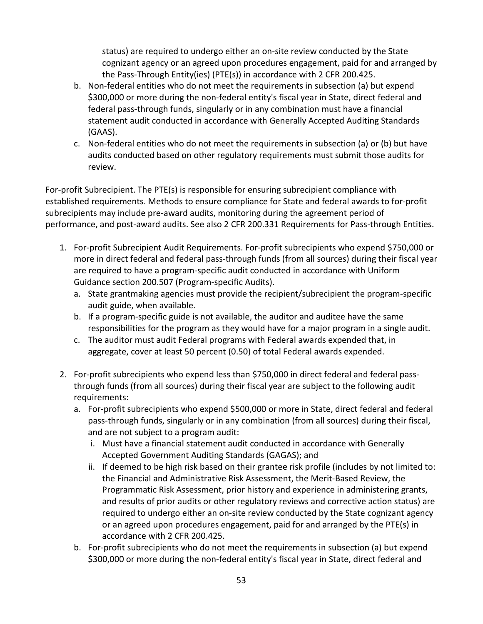status) are required to undergo either an on-site review conducted by the State cognizant agency or an agreed upon procedures engagement, paid for and arranged by the Pass-Through Entity(ies) (PTE(s)) in accordance with 2 CFR 200.425.

- b. Non-federal entities who do not meet the requirements in subsection (a) but expend \$300,000 or more during the non-federal entity's fiscal year in State, direct federal and federal pass-through funds, singularly or in any combination must have a financial statement audit conducted in accordance with Generally Accepted Auditing Standards (GAAS).
- c. Non-federal entities who do not meet the requirements in subsection (a) or (b) but have audits conducted based on other regulatory requirements must submit those audits for review.

For-profit Subrecipient. The PTE(s) is responsible for ensuring subrecipient compliance with established requirements. Methods to ensure compliance for State and federal awards to for-profit subrecipients may include pre-award audits, monitoring during the agreement period of performance, and post-award audits. See also 2 CFR 200.331 Requirements for Pass-through Entities.

- 1. For-profit Subrecipient Audit Requirements. For-profit subrecipients who expend \$750,000 or more in direct federal and federal pass-through funds (from all sources) during their fiscal year are required to have a program-specific audit conducted in accordance with Uniform Guidance section 200.507 (Program-specific Audits).
	- a. State grantmaking agencies must provide the recipient/subrecipient the program-specific audit guide, when available.
	- b. If a program-specific guide is not available, the auditor and auditee have the same responsibilities for the program as they would have for a major program in a single audit.
	- c. The auditor must audit Federal programs with Federal awards expended that, in aggregate, cover at least 50 percent (0.50) of total Federal awards expended.
- 2. For-profit subrecipients who expend less than \$750,000 in direct federal and federal passthrough funds (from all sources) during their fiscal year are subject to the following audit requirements:
	- a. For-profit subrecipients who expend \$500,000 or more in State, direct federal and federal pass-through funds, singularly or in any combination (from all sources) during their fiscal, and are not subject to a program audit:
		- i. Must have a financial statement audit conducted in accordance with Generally Accepted Government Auditing Standards (GAGAS); and
		- ii. If deemed to be high risk based on their grantee risk profile (includes by not limited to: the Financial and Administrative Risk Assessment, the Merit-Based Review, the Programmatic Risk Assessment, prior history and experience in administering grants, and results of prior audits or other regulatory reviews and corrective action status) are required to undergo either an on-site review conducted by the State cognizant agency or an agreed upon procedures engagement, paid for and arranged by the PTE(s) in accordance with 2 CFR 200.425.
	- b. For-profit subrecipients who do not meet the requirements in subsection (a) but expend \$300,000 or more during the non-federal entity's fiscal year in State, direct federal and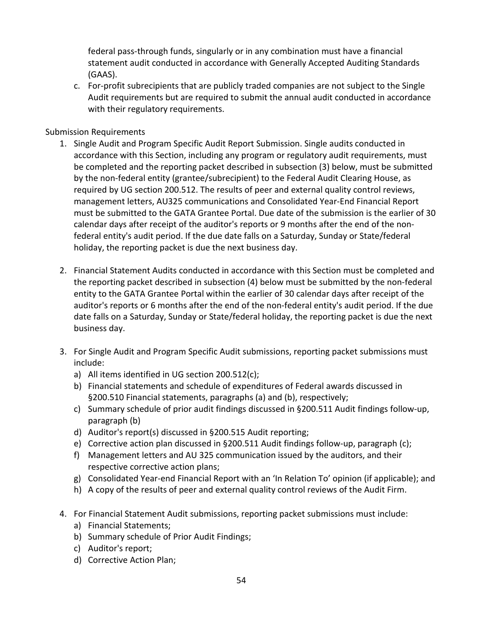federal pass-through funds, singularly or in any combination must have a financial statement audit conducted in accordance with Generally Accepted Auditing Standards (GAAS).

c. For-profit subrecipients that are publicly traded companies are not subject to the Single Audit requirements but are required to submit the annual audit conducted in accordance with their regulatory requirements.

#### Submission Requirements

- 1. Single Audit and Program Specific Audit Report Submission. Single audits conducted in accordance with this Section, including any program or regulatory audit requirements, must be completed and the reporting packet described in subsection (3) below, must be submitted by the non-federal entity (grantee/subrecipient) to the Federal Audit Clearing House, as required by UG section 200.512. The results of peer and external quality control reviews, management letters, AU325 communications and Consolidated Year-End Financial Report must be submitted to the GATA Grantee Portal. Due date of the submission is the earlier of 30 calendar days after receipt of the auditor's reports or 9 months after the end of the nonfederal entity's audit period. If the due date falls on a Saturday, Sunday or State/federal holiday, the reporting packet is due the next business day.
- 2. Financial Statement Audits conducted in accordance with this Section must be completed and the reporting packet described in subsection (4) below must be submitted by the non-federal entity to the GATA Grantee Portal within the earlier of 30 calendar days after receipt of the auditor's reports or 6 months after the end of the non-federal entity's audit period. If the due date falls on a Saturday, Sunday or State/federal holiday, the reporting packet is due the next business day.
- 3. For Single Audit and Program Specific Audit submissions, reporting packet submissions must include:
	- a) All items identified in UG section 200.512(c);
	- b) Financial statements and schedule of expenditures of Federal awards discussed in §200.510 Financial statements, paragraphs (a) and (b), respectively;
	- c) Summary schedule of prior audit findings discussed in §200.511 Audit findings follow-up, paragraph (b)
	- d) Auditor's report(s) discussed in §200.515 Audit reporting;
	- e) Corrective action plan discussed in §200.511 Audit findings follow-up, paragraph (c);
	- f) Management letters and AU 325 communication issued by the auditors, and their respective corrective action plans;
	- g) Consolidated Year-end Financial Report with an 'In Relation To' opinion (if applicable); and
	- h) A copy of the results of peer and external quality control reviews of the Audit Firm.
- 4. For Financial Statement Audit submissions, reporting packet submissions must include:
	- a) Financial Statements;
	- b) Summary schedule of Prior Audit Findings;
	- c) Auditor's report;
	- d) Corrective Action Plan;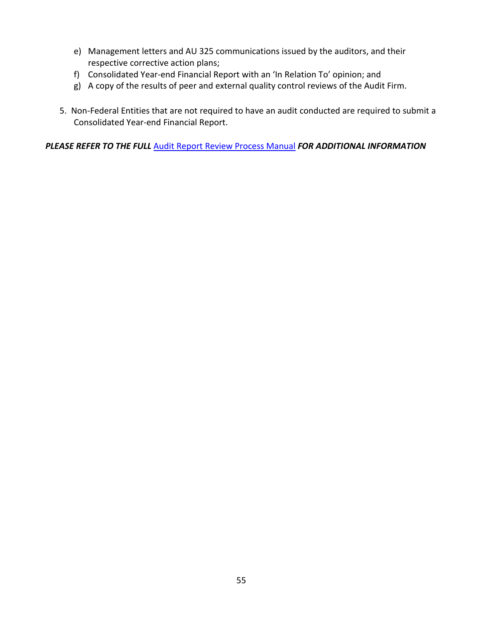- e) Management letters and AU 325 communications issued by the auditors, and their respective corrective action plans;
- f) Consolidated Year-end Financial Report with an 'In Relation To' opinion; and
- g) A copy of the results of peer and external quality control reviews of the Audit Firm.
- 5. Non-Federal Entities that are not required to have an audit conducted are required to submit a Consolidated Year-end Financial Report.

*PLEASE REFER TO THE FULL* [Audit Report Review Process Manual](https://www2.illinois.gov/sites/GATA/Documents/Resource%20Library/Audit%20Report%20Review%20Manual%206.1.18%20FINAL%20-%20revised.pdf) *FOR ADDITIONAL INFORMATION*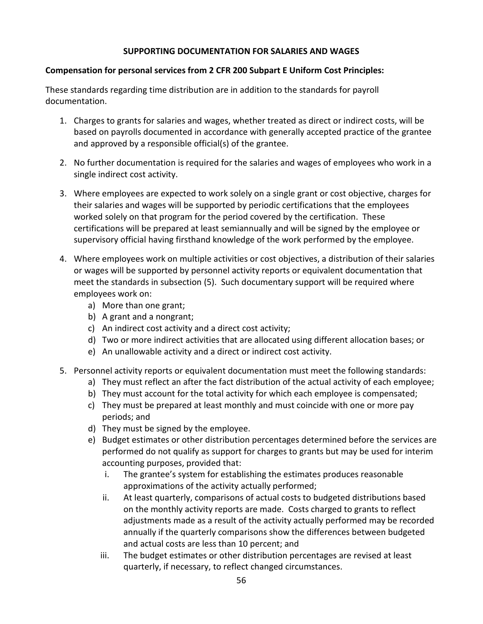#### **SUPPORTING DOCUMENTATION FOR SALARIES AND WAGES**

#### **Compensation for personal services from 2 CFR 200 Subpart E Uniform Cost Principles:**

These standards regarding time distribution are in addition to the standards for payroll documentation.

- 1. Charges to grants for salaries and wages, whether treated as direct or indirect costs, will be based on payrolls documented in accordance with generally accepted practice of the grantee and approved by a responsible official(s) of the grantee.
- 2. No further documentation is required for the salaries and wages of employees who work in a single indirect cost activity.
- 3. Where employees are expected to work solely on a single grant or cost objective, charges for their salaries and wages will be supported by periodic certifications that the employees worked solely on that program for the period covered by the certification. These certifications will be prepared at least semiannually and will be signed by the employee or supervisory official having firsthand knowledge of the work performed by the employee.
- 4. Where employees work on multiple activities or cost objectives, a distribution of their salaries or wages will be supported by personnel activity reports or equivalent documentation that meet the standards in subsection (5). Such documentary support will be required where employees work on:
	- a) More than one grant;
	- b) A grant and a nongrant;
	- c) An indirect cost activity and a direct cost activity;
	- d) Two or more indirect activities that are allocated using different allocation bases; or
	- e) An unallowable activity and a direct or indirect cost activity.
- 5. Personnel activity reports or equivalent documentation must meet the following standards:
	- a) They must reflect an after the fact distribution of the actual activity of each employee;
	- b) They must account for the total activity for which each employee is compensated;
	- c) They must be prepared at least monthly and must coincide with one or more pay periods; and
	- d) They must be signed by the employee.
	- e) Budget estimates or other distribution percentages determined before the services are performed do not qualify as support for charges to grants but may be used for interim accounting purposes, provided that:
		- i. The grantee's system for establishing the estimates produces reasonable approximations of the activity actually performed;
		- ii. At least quarterly, comparisons of actual costs to budgeted distributions based on the monthly activity reports are made. Costs charged to grants to reflect adjustments made as a result of the activity actually performed may be recorded annually if the quarterly comparisons show the differences between budgeted and actual costs are less than 10 percent; and
		- iii. The budget estimates or other distribution percentages are revised at least quarterly, if necessary, to reflect changed circumstances.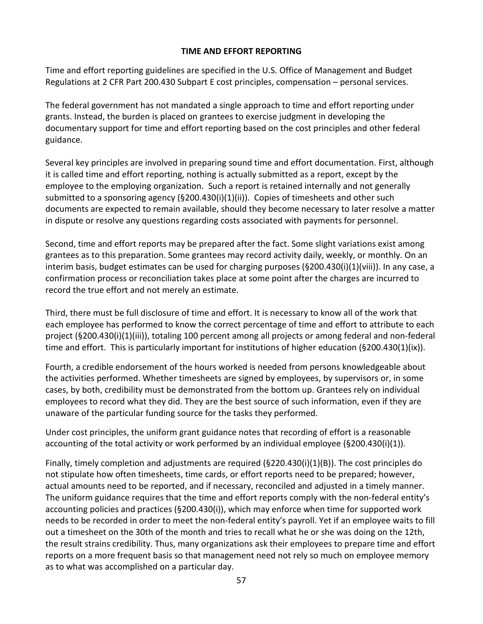#### **TIME AND EFFORT REPORTING**

Time and effort reporting guidelines are specified in the U.S. Office of Management and Budget Regulations at 2 CFR Part 200.430 Subpart E cost principles, compensation – personal services.

The federal government has not mandated a single approach to time and effort reporting under grants. Instead, the burden is placed on grantees to exercise judgment in developing the documentary support for time and effort reporting based on the cost principles and other federal guidance.

Several key principles are involved in preparing sound time and effort documentation. First, although it is called time and effort reporting, nothing is actually submitted as a report, except by the employee to the employing organization. Such a report is retained internally and not generally submitted to a sponsoring agency  $(\frac{5200.430(i)}{1)(ii)}$ . Copies of timesheets and other such documents are expected to remain available, should they become necessary to later resolve a matter in dispute or resolve any questions regarding costs associated with payments for personnel.

Second, time and effort reports may be prepared after the fact. Some slight variations exist among grantees as to this preparation. Some grantees may record activity daily, weekly, or monthly. On an interim basis, budget estimates can be used for charging purposes (§200.430(i)(1)(viii)). In any case, a confirmation process or reconciliation takes place at some point after the charges are incurred to record the true effort and not merely an estimate.

Third, there must be full disclosure of time and effort. It is necessary to know all of the work that each employee has performed to know the correct percentage of time and effort to attribute to each project (§200.430(i)(1)(iii)), totaling 100 percent among all projects or among federal and non-federal time and effort. This is particularly important for institutions of higher education (§200.430(1)(ix)).

Fourth, a credible endorsement of the hours worked is needed from persons knowledgeable about the activities performed. Whether timesheets are signed by employees, by supervisors or, in some cases, by both, credibility must be demonstrated from the bottom up. Grantees rely on individual employees to record what they did. They are the best source of such information, even if they are unaware of the particular funding source for the tasks they performed.

Under cost principles, the uniform grant guidance notes that recording of effort is a reasonable accounting of the total activity or work performed by an individual employee (§200.430(i)(1)).

Finally, timely completion and adjustments are required (§220.430(i)(1)(B)). The cost principles do not stipulate how often timesheets, time cards, or effort reports need to be prepared; however, actual amounts need to be reported, and if necessary, reconciled and adjusted in a timely manner. The uniform guidance requires that the time and effort reports comply with the non-federal entity's accounting policies and practices (§200.430(i)), which may enforce when time for supported work needs to be recorded in order to meet the non-federal entity's payroll. Yet if an employee waits to fill out a timesheet on the 30th of the month and tries to recall what he or she was doing on the 12th, the result strains credibility. Thus, many organizations ask their employees to prepare time and effort reports on a more frequent basis so that management need not rely so much on employee memory as to what was accomplished on a particular day.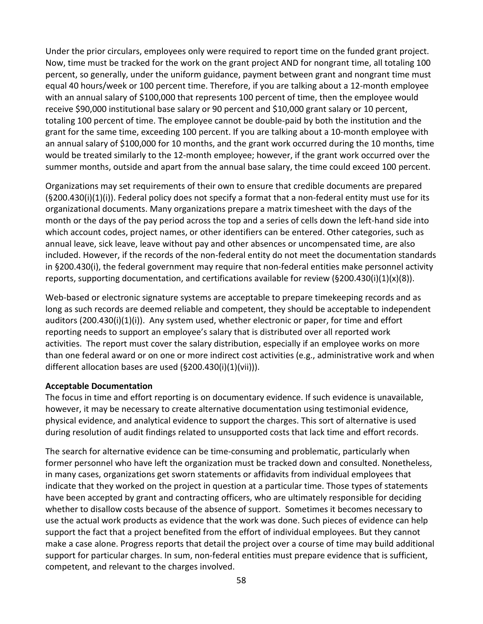Under the prior circulars, employees only were required to report time on the funded grant project. Now, time must be tracked for the work on the grant project AND for nongrant time, all totaling 100 percent, so generally, under the uniform guidance, payment between grant and nongrant time must equal 40 hours/week or 100 percent time. Therefore, if you are talking about a 12-month employee with an annual salary of \$100,000 that represents 100 percent of time, then the employee would receive \$90,000 institutional base salary or 90 percent and \$10,000 grant salary or 10 percent, totaling 100 percent of time. The employee cannot be double-paid by both the institution and the grant for the same time, exceeding 100 percent. If you are talking about a 10-month employee with an annual salary of \$100,000 for 10 months, and the grant work occurred during the 10 months, time would be treated similarly to the 12-month employee; however, if the grant work occurred over the summer months, outside and apart from the annual base salary, the time could exceed 100 percent.

Organizations may set requirements of their own to ensure that credible documents are prepared  $(S200.430(i)(1)(i))$ . Federal policy does not specify a format that a non-federal entity must use for its organizational documents. Many organizations prepare a matrix timesheet with the days of the month or the days of the pay period across the top and a series of cells down the left-hand side into which account codes, project names, or other identifiers can be entered. Other categories, such as annual leave, sick leave, leave without pay and other absences or uncompensated time, are also included. However, if the records of the non-federal entity do not meet the documentation standards in §200.430(i), the federal government may require that non-federal entities make personnel activity reports, supporting documentation, and certifications available for review (§200.430(i)(1)(x)(8)).

Web-based or electronic signature systems are acceptable to prepare timekeeping records and as long as such records are deemed reliable and competent, they should be acceptable to independent auditors (200.430(i)(1)(i)). Any system used, whether electronic or paper, for time and effort reporting needs to support an employee's salary that is distributed over all reported work activities. The report must cover the salary distribution, especially if an employee works on more than one federal award or on one or more indirect cost activities (e.g., administrative work and when different allocation bases are used (§200.430(i)(1)(vii))).

#### **Acceptable Documentation**

The focus in time and effort reporting is on documentary evidence. If such evidence is unavailable, however, it may be necessary to create alternative documentation using testimonial evidence, physical evidence, and analytical evidence to support the charges. This sort of alternative is used during resolution of audit findings related to unsupported costs that lack time and effort records.

The search for alternative evidence can be time-consuming and problematic, particularly when former personnel who have left the organization must be tracked down and consulted. Nonetheless, in many cases, organizations get sworn statements or affidavits from individual employees that indicate that they worked on the project in question at a particular time. Those types of statements have been accepted by grant and contracting officers, who are ultimately responsible for deciding whether to disallow costs because of the absence of support. Sometimes it becomes necessary to use the actual work products as evidence that the work was done. Such pieces of evidence can help support the fact that a project benefited from the effort of individual employees. But they cannot make a case alone. Progress reports that detail the project over a course of time may build additional support for particular charges. In sum, non-federal entities must prepare evidence that is sufficient, competent, and relevant to the charges involved.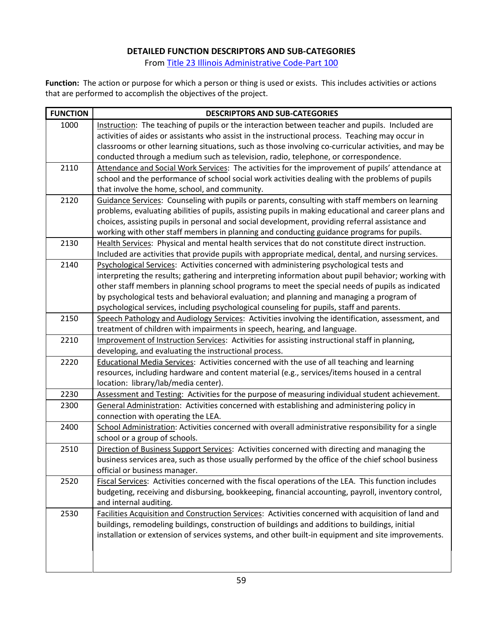#### **DETAILED FUNCTION DESCRIPTORS AND SUB-CATEGORIES**

Fro[m Title 23 Illinois Administrative Code-Part 100](https://www.isbe.net/Documents/100ARK.pdf)

**Function:** The action or purpose for which a person or thing is used or exists. This includes activities or actions that are performed to accomplish the objectives of the project.

| <b>FUNCTION</b> | <b>DESCRIPTORS AND SUB-CATEGORIES</b>                                                                                                                   |
|-----------------|---------------------------------------------------------------------------------------------------------------------------------------------------------|
| 1000            | Instruction: The teaching of pupils or the interaction between teacher and pupils. Included are                                                         |
|                 | activities of aides or assistants who assist in the instructional process. Teaching may occur in                                                        |
|                 | classrooms or other learning situations, such as those involving co-curricular activities, and may be                                                   |
|                 | conducted through a medium such as television, radio, telephone, or correspondence.                                                                     |
| 2110            | Attendance and Social Work Services: The activities for the improvement of pupils' attendance at                                                        |
|                 | school and the performance of school social work activities dealing with the problems of pupils                                                         |
|                 | that involve the home, school, and community.                                                                                                           |
| 2120            | Guidance Services: Counseling with pupils or parents, consulting with staff members on learning                                                         |
|                 | problems, evaluating abilities of pupils, assisting pupils in making educational and career plans and                                                   |
|                 | choices, assisting pupils in personal and social development, providing referral assistance and                                                         |
|                 | working with other staff members in planning and conducting guidance programs for pupils.                                                               |
| 2130            | Health Services: Physical and mental health services that do not constitute direct instruction.                                                         |
|                 | Included are activities that provide pupils with appropriate medical, dental, and nursing services.                                                     |
| 2140            | Psychological Services: Activities concerned with administering psychological tests and                                                                 |
|                 | interpreting the results; gathering and interpreting information about pupil behavior; working with                                                     |
|                 | other staff members in planning school programs to meet the special needs of pupils as indicated                                                        |
|                 | by psychological tests and behavioral evaluation; and planning and managing a program of                                                                |
|                 | psychological services, including psychological counseling for pupils, staff and parents.                                                               |
| 2150            | Speech Pathology and Audiology Services: Activities involving the identification, assessment, and                                                       |
| 2210            | treatment of children with impairments in speech, hearing, and language.                                                                                |
|                 | Improvement of Instruction Services: Activities for assisting instructional staff in planning,<br>developing, and evaluating the instructional process. |
| 2220            | Educational Media Services: Activities concerned with the use of all teaching and learning                                                              |
|                 | resources, including hardware and content material (e.g., services/items housed in a central                                                            |
|                 | location: library/lab/media center).                                                                                                                    |
| 2230            | Assessment and Testing: Activities for the purpose of measuring individual student achievement.                                                         |
| 2300            | General Administration: Activities concerned with establishing and administering policy in                                                              |
|                 | connection with operating the LEA.                                                                                                                      |
| 2400            | School Administration: Activities concerned with overall administrative responsibility for a single                                                     |
|                 | school or a group of schools.                                                                                                                           |
| 2510            | Direction of Business Support Services: Activities concerned with directing and managing the                                                            |
|                 | business services area, such as those usually performed by the office of the chief school business                                                      |
|                 | official or business manager.                                                                                                                           |
| 2520            | Fiscal Services: Activities concerned with the fiscal operations of the LEA. This function includes                                                     |
|                 | budgeting, receiving and disbursing, bookkeeping, financial accounting, payroll, inventory control,                                                     |
|                 | and internal auditing.                                                                                                                                  |
| 2530            | Facilities Acquisition and Construction Services: Activities concerned with acquisition of land and                                                     |
|                 | buildings, remodeling buildings, construction of buildings and additions to buildings, initial                                                          |
|                 | installation or extension of services systems, and other built-in equipment and site improvements.                                                      |
|                 |                                                                                                                                                         |
|                 |                                                                                                                                                         |
|                 |                                                                                                                                                         |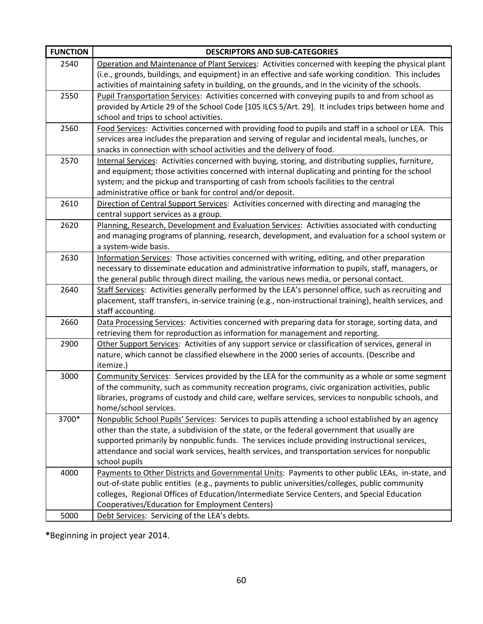| <b>FUNCTION</b> | <b>DESCRIPTORS AND SUB-CATEGORIES</b>                                                                                                                                                                                                                                                                                                                                                                                   |
|-----------------|-------------------------------------------------------------------------------------------------------------------------------------------------------------------------------------------------------------------------------------------------------------------------------------------------------------------------------------------------------------------------------------------------------------------------|
| 2540            | Operation and Maintenance of Plant Services: Activities concerned with keeping the physical plant<br>(i.e., grounds, buildings, and equipment) in an effective and safe working condition. This includes<br>activities of maintaining safety in building, on the grounds, and in the vicinity of the schools.                                                                                                           |
| 2550            | Pupil Transportation Services: Activities concerned with conveying pupils to and from school as<br>provided by Article 29 of the School Code [105 ILCS 5/Art. 29]. It includes trips between home and<br>school and trips to school activities.                                                                                                                                                                         |
| 2560            | Food Services: Activities concerned with providing food to pupils and staff in a school or LEA. This<br>services area includes the preparation and serving of regular and incidental meals, lunches, or<br>snacks in connection with school activities and the delivery of food.                                                                                                                                        |
| 2570            | Internal Services: Activities concerned with buying, storing, and distributing supplies, furniture,<br>and equipment; those activities concerned with internal duplicating and printing for the school<br>system; and the pickup and transporting of cash from schools facilities to the central<br>administrative office or bank for control and/or deposit.                                                           |
| 2610            | Direction of Central Support Services: Activities concerned with directing and managing the<br>central support services as a group.                                                                                                                                                                                                                                                                                     |
| 2620            | Planning, Research, Development and Evaluation Services: Activities associated with conducting<br>and managing programs of planning, research, development, and evaluation for a school system or<br>a system-wide basis.                                                                                                                                                                                               |
| 2630            | Information Services: Those activities concerned with writing, editing, and other preparation<br>necessary to disseminate education and administrative information to pupils, staff, managers, or<br>the general public through direct mailing, the various news media, or personal contact.                                                                                                                            |
| 2640            | Staff Services: Activities generally performed by the LEA's personnel office, such as recruiting and<br>placement, staff transfers, in-service training (e.g., non-instructional training), health services, and<br>staff accounting.                                                                                                                                                                                   |
| 2660            | Data Processing Services: Activities concerned with preparing data for storage, sorting data, and<br>retrieving them for reproduction as information for management and reporting.                                                                                                                                                                                                                                      |
| 2900            | Other Support Services: Activities of any support service or classification of services, general in<br>nature, which cannot be classified elsewhere in the 2000 series of accounts. (Describe and<br>itemize.)                                                                                                                                                                                                          |
| 3000            | Community Services: Services provided by the LEA for the community as a whole or some segment<br>of the community, such as community recreation programs, civic organization activities, public<br>libraries, programs of custody and child care, welfare services, services to nonpublic schools, and<br>home/school services.                                                                                         |
| 3700*           | Nonpublic School Pupils' Services: Services to pupils attending a school established by an agency<br>other than the state, a subdivision of the state, or the federal government that usually are<br>supported primarily by nonpublic funds. The services include providing instructional services,<br>attendance and social work services, health services, and transportation services for nonpublic<br>school pupils |
| 4000            | Payments to Other Districts and Governmental Units: Payments to other public LEAs, in-state, and<br>out-of-state public entities (e.g., payments to public universities/colleges, public community<br>colleges, Regional Offices of Education/Intermediate Service Centers, and Special Education<br>Cooperatives/Education for Employment Centers)                                                                     |
| 5000            | Debt Services: Servicing of the LEA's debts.                                                                                                                                                                                                                                                                                                                                                                            |

**\***Beginning in project year 2014.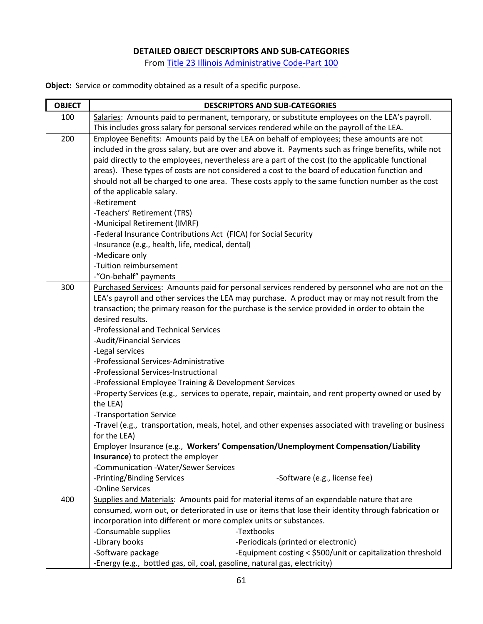#### **DETAILED OBJECT DESCRIPTORS AND SUB-CATEGORIES**

Fro[m Title 23 Illinois Administrative Code-Part 100](https://www.isbe.net/Documents/100ARK.pdf)

**Object:** Service or commodity obtained as a result of a specific purpose.

| <b>OBJECT</b> | <b>DESCRIPTORS AND SUB-CATEGORIES</b>                                                                                                                                    |  |  |  |  |
|---------------|--------------------------------------------------------------------------------------------------------------------------------------------------------------------------|--|--|--|--|
| 100           | Salaries: Amounts paid to permanent, temporary, or substitute employees on the LEA's payroll.                                                                            |  |  |  |  |
|               | This includes gross salary for personal services rendered while on the payroll of the LEA.                                                                               |  |  |  |  |
| 200           | Employee Benefits: Amounts paid by the LEA on behalf of employees; these amounts are not                                                                                 |  |  |  |  |
|               | included in the gross salary, but are over and above it. Payments such as fringe benefits, while not                                                                     |  |  |  |  |
|               | paid directly to the employees, nevertheless are a part of the cost (to the applicable functional                                                                        |  |  |  |  |
|               | areas). These types of costs are not considered a cost to the board of education function and                                                                            |  |  |  |  |
|               | should not all be charged to one area. These costs apply to the same function number as the cost                                                                         |  |  |  |  |
|               | of the applicable salary.                                                                                                                                                |  |  |  |  |
|               | -Retirement                                                                                                                                                              |  |  |  |  |
|               | -Teachers' Retirement (TRS)                                                                                                                                              |  |  |  |  |
|               | -Municipal Retirement (IMRF)                                                                                                                                             |  |  |  |  |
|               | -Federal Insurance Contributions Act (FICA) for Social Security                                                                                                          |  |  |  |  |
|               | -Insurance (e.g., health, life, medical, dental)                                                                                                                         |  |  |  |  |
|               | -Medicare only                                                                                                                                                           |  |  |  |  |
|               | -Tuition reimbursement                                                                                                                                                   |  |  |  |  |
|               | -"On-behalf" payments                                                                                                                                                    |  |  |  |  |
| 300           | Purchased Services: Amounts paid for personal services rendered by personnel who are not on the                                                                          |  |  |  |  |
|               | LEA's payroll and other services the LEA may purchase. A product may or may not result from the                                                                          |  |  |  |  |
|               | transaction; the primary reason for the purchase is the service provided in order to obtain the                                                                          |  |  |  |  |
|               | desired results.                                                                                                                                                         |  |  |  |  |
|               | -Professional and Technical Services                                                                                                                                     |  |  |  |  |
|               | -Audit/Financial Services                                                                                                                                                |  |  |  |  |
|               | -Legal services                                                                                                                                                          |  |  |  |  |
|               | -Professional Services-Administrative                                                                                                                                    |  |  |  |  |
|               | -Professional Services-Instructional                                                                                                                                     |  |  |  |  |
|               | -Professional Employee Training & Development Services                                                                                                                   |  |  |  |  |
|               | -Property Services (e.g., services to operate, repair, maintain, and rent property owned or used by                                                                      |  |  |  |  |
|               | the LEA)                                                                                                                                                                 |  |  |  |  |
|               | -Transportation Service                                                                                                                                                  |  |  |  |  |
|               | -Travel (e.g., transportation, meals, hotel, and other expenses associated with traveling or business                                                                    |  |  |  |  |
|               | for the LEA)                                                                                                                                                             |  |  |  |  |
|               | Employer Insurance (e.g., Workers' Compensation/Unemployment Compensation/Liability                                                                                      |  |  |  |  |
|               | Insurance) to protect the employer                                                                                                                                       |  |  |  |  |
|               | -Communication -Water/Sewer Services<br>-Software (e.g., license fee)                                                                                                    |  |  |  |  |
|               | -Printing/Binding Services<br>-Online Services                                                                                                                           |  |  |  |  |
| 400           | Supplies and Materials: Amounts paid for material items of an expendable nature that are                                                                                 |  |  |  |  |
|               |                                                                                                                                                                          |  |  |  |  |
|               | consumed, worn out, or deteriorated in use or items that lose their identity through fabrication or<br>incorporation into different or more complex units or substances. |  |  |  |  |
|               | -Consumable supplies<br>-Textbooks                                                                                                                                       |  |  |  |  |
|               | -Library books<br>-Periodicals (printed or electronic)                                                                                                                   |  |  |  |  |
|               | -Software package<br>-Equipment costing < \$500/unit or capitalization threshold                                                                                         |  |  |  |  |
|               |                                                                                                                                                                          |  |  |  |  |
|               | -Energy (e.g., bottled gas, oil, coal, gasoline, natural gas, electricity)                                                                                               |  |  |  |  |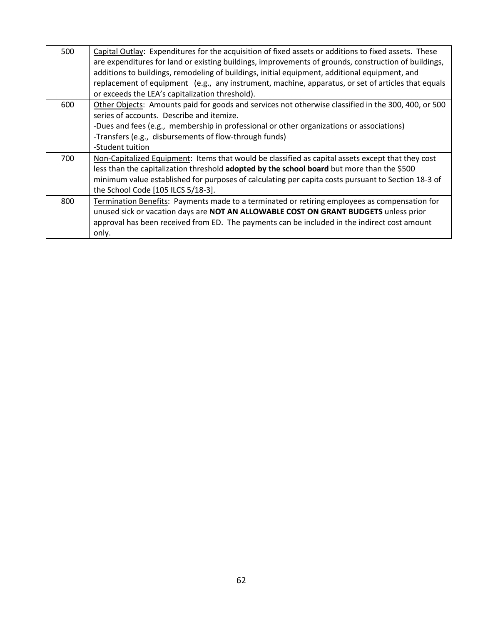| 500 | Capital Outlay: Expenditures for the acquisition of fixed assets or additions to fixed assets. These<br>are expenditures for land or existing buildings, improvements of grounds, construction of buildings,<br>additions to buildings, remodeling of buildings, initial equipment, additional equipment, and<br>replacement of equipment (e.g., any instrument, machine, apparatus, or set of articles that equals<br>or exceeds the LEA's capitalization threshold). |
|-----|------------------------------------------------------------------------------------------------------------------------------------------------------------------------------------------------------------------------------------------------------------------------------------------------------------------------------------------------------------------------------------------------------------------------------------------------------------------------|
| 600 | Other Objects: Amounts paid for goods and services not otherwise classified in the 300, 400, or 500                                                                                                                                                                                                                                                                                                                                                                    |
|     | series of accounts. Describe and itemize.                                                                                                                                                                                                                                                                                                                                                                                                                              |
|     | -Dues and fees (e.g., membership in professional or other organizations or associations)                                                                                                                                                                                                                                                                                                                                                                               |
|     | -Transfers (e.g., disbursements of flow-through funds)                                                                                                                                                                                                                                                                                                                                                                                                                 |
|     | -Student tuition                                                                                                                                                                                                                                                                                                                                                                                                                                                       |
| 700 | Non-Capitalized Equipment: Items that would be classified as capital assets except that they cost                                                                                                                                                                                                                                                                                                                                                                      |
|     | less than the capitalization threshold adopted by the school board but more than the \$500                                                                                                                                                                                                                                                                                                                                                                             |
|     | minimum value established for purposes of calculating per capita costs pursuant to Section 18-3 of                                                                                                                                                                                                                                                                                                                                                                     |
|     | the School Code [105 ILCS 5/18-3].                                                                                                                                                                                                                                                                                                                                                                                                                                     |
| 800 | Termination Benefits: Payments made to a terminated or retiring employees as compensation for                                                                                                                                                                                                                                                                                                                                                                          |
|     | unused sick or vacation days are NOT AN ALLOWABLE COST ON GRANT BUDGETS unless prior                                                                                                                                                                                                                                                                                                                                                                                   |
|     | approval has been received from ED. The payments can be included in the indirect cost amount                                                                                                                                                                                                                                                                                                                                                                           |
|     | only.                                                                                                                                                                                                                                                                                                                                                                                                                                                                  |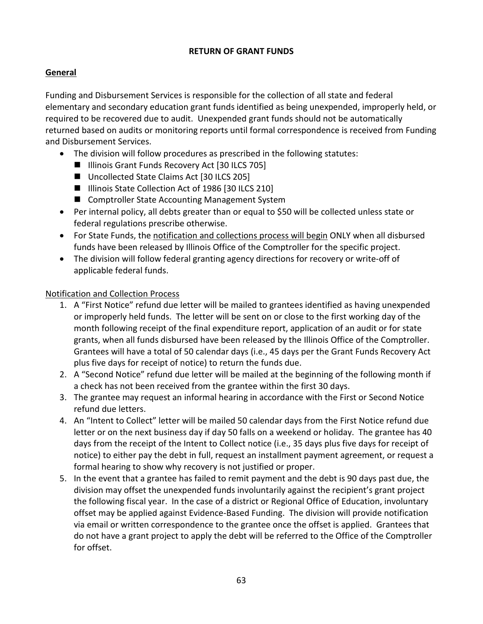#### **RETURN OF GRANT FUNDS**

# **General**

Funding and Disbursement Services is responsible for the collection of all state and federal elementary and secondary education grant funds identified as being unexpended, improperly held, or required to be recovered due to audit. Unexpended grant funds should not be automatically returned based on audits or monitoring reports until formal correspondence is received from Funding and Disbursement Services.

- The division will follow procedures as prescribed in the following statutes:
	- Illinois Grant Funds Recovery Act [30 ILCS 705]
	- Uncollected State Claims Act [30 ILCS 205]
	- Illinois State Collection Act of 1986 [30 ILCS 210]
	- Comptroller State Accounting Management System
- Per internal policy, all debts greater than or equal to \$50 will be collected unless state or federal regulations prescribe otherwise.
- For State Funds, the notification and collections process will begin ONLY when all disbursed funds have been released by Illinois Office of the Comptroller for the specific project.
- The division will follow federal granting agency directions for recovery or write-off of applicable federal funds.

#### Notification and Collection Process

- 1. A "First Notice" refund due letter will be mailed to grantees identified as having unexpended or improperly held funds. The letter will be sent on or close to the first working day of the month following receipt of the final expenditure report, application of an audit or for state grants, when all funds disbursed have been released by the Illinois Office of the Comptroller. Grantees will have a total of 50 calendar days (i.e., 45 days per the Grant Funds Recovery Act plus five days for receipt of notice) to return the funds due.
- 2. A "Second Notice" refund due letter will be mailed at the beginning of the following month if a check has not been received from the grantee within the first 30 days.
- 3. The grantee may request an informal hearing in accordance with the First or Second Notice refund due letters.
- 4. An "Intent to Collect" letter will be mailed 50 calendar days from the First Notice refund due letter or on the next business day if day 50 falls on a weekend or holiday. The grantee has 40 days from the receipt of the Intent to Collect notice (i.e., 35 days plus five days for receipt of notice) to either pay the debt in full, request an installment payment agreement, or request a formal hearing to show why recovery is not justified or proper.
- 5. In the event that a grantee has failed to remit payment and the debt is 90 days past due, the division may offset the unexpended funds involuntarily against the recipient's grant project the following fiscal year. In the case of a district or Regional Office of Education, involuntary offset may be applied against Evidence-Based Funding. The division will provide notification via email or written correspondence to the grantee once the offset is applied. Grantees that do not have a grant project to apply the debt will be referred to the Office of the Comptroller for offset.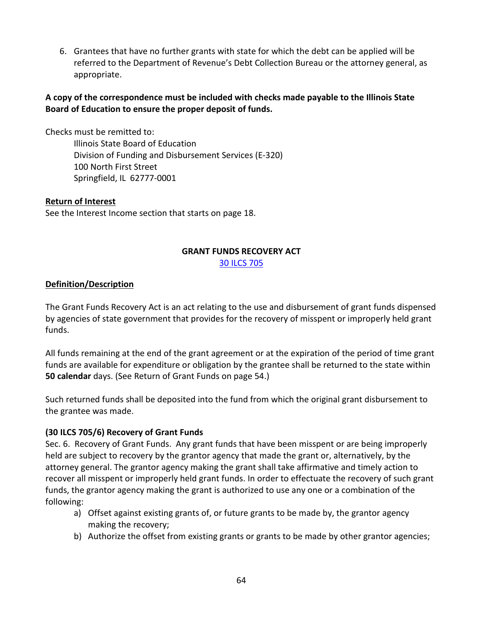6. Grantees that have no further grants with state for which the debt can be applied will be referred to the Department of Revenue's Debt Collection Bureau or the attorney general, as appropriate.

# **A copy of the correspondence must be included with checks made payable to the Illinois State Board of Education to ensure the proper deposit of funds.**

Checks must be remitted to:

Illinois State Board of Education Division of Funding and Disbursement Services (E-320) 100 North First Street Springfield, IL 62777-0001

#### **Return of Interest**

See the Interest Income section that starts on page 18.

## **GRANT FUNDS RECOVERY ACT**

[30 ILCS 705](http://www.ilga.gov/legislation/ilcs/ilcs3.asp?ActID=558&ChapterID=7)

#### **Definition/Description**

The Grant Funds Recovery Act is an act relating to the use and disbursement of grant funds dispensed by agencies of state government that provides for the recovery of misspent or improperly held grant funds.

All funds remaining at the end of the grant agreement or at the expiration of the period of time grant funds are available for expenditure or obligation by the grantee shall be returned to the state within **50 calendar** days. (See Return of Grant Funds on page 54.)

Such returned funds shall be deposited into the fund from which the original grant disbursement to the grantee was made.

#### **(30 ILCS 705/6) Recovery of Grant Funds**

Sec. 6. Recovery of Grant Funds. Any grant funds that have been misspent or are being improperly held are subject to recovery by the grantor agency that made the grant or, alternatively, by the attorney general. The grantor agency making the grant shall take affirmative and timely action to recover all misspent or improperly held grant funds. In order to effectuate the recovery of such grant funds, the grantor agency making the grant is authorized to use any one or a combination of the following:

- a) Offset against existing grants of, or future grants to be made by, the grantor agency making the recovery;
- b) Authorize the offset from existing grants or grants to be made by other grantor agencies;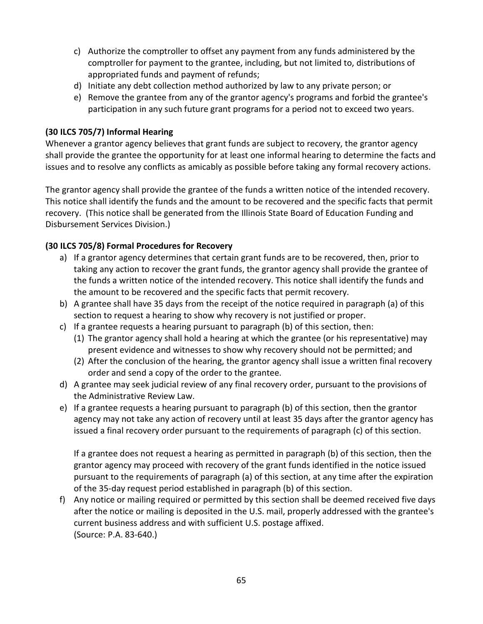- c) Authorize the comptroller to offset any payment from any funds administered by the comptroller for payment to the grantee, including, but not limited to, distributions of appropriated funds and payment of refunds;
- d) Initiate any debt collection method authorized by law to any private person; or
- e) Remove the grantee from any of the grantor agency's programs and forbid the grantee's participation in any such future grant programs for a period not to exceed two years.

## **(30 ILCS 705/7) Informal Hearing**

Whenever a grantor agency believes that grant funds are subject to recovery, the grantor agency shall provide the grantee the opportunity for at least one informal hearing to determine the facts and issues and to resolve any conflicts as amicably as possible before taking any formal recovery actions.

The grantor agency shall provide the grantee of the funds a written notice of the intended recovery. This notice shall identify the funds and the amount to be recovered and the specific facts that permit recovery. (This notice shall be generated from the Illinois State Board of Education Funding and Disbursement Services Division.)

# **(30 ILCS 705/8) Formal Procedures for Recovery**

- a) If a grantor agency determines that certain grant funds are to be recovered, then, prior to taking any action to recover the grant funds, the grantor agency shall provide the grantee of the funds a written notice of the intended recovery. This notice shall identify the funds and the amount to be recovered and the specific facts that permit recovery.
- b) A grantee shall have 35 days from the receipt of the notice required in paragraph (a) of this section to request a hearing to show why recovery is not justified or proper.
- c) If a grantee requests a hearing pursuant to paragraph (b) of this section, then:
	- (1) The grantor agency shall hold a hearing at which the grantee (or his representative) may present evidence and witnesses to show why recovery should not be permitted; and
	- (2) After the conclusion of the hearing, the grantor agency shall issue a written final recovery order and send a copy of the order to the grantee.
- d) A grantee may seek judicial review of any final recovery order, pursuant to the provisions of the Administrative Review Law.
- e) If a grantee requests a hearing pursuant to paragraph (b) of this section, then the grantor agency may not take any action of recovery until at least 35 days after the grantor agency has issued a final recovery order pursuant to the requirements of paragraph (c) of this section.

If a grantee does not request a hearing as permitted in paragraph (b) of this section, then the grantor agency may proceed with recovery of the grant funds identified in the notice issued pursuant to the requirements of paragraph (a) of this section, at any time after the expiration of the 35-day request period established in paragraph (b) of this section.

f) Any notice or mailing required or permitted by this section shall be deemed received five days after the notice or mailing is deposited in the U.S. mail, properly addressed with the grantee's current business address and with sufficient U.S. postage affixed. (Source: P.A. 83-640.)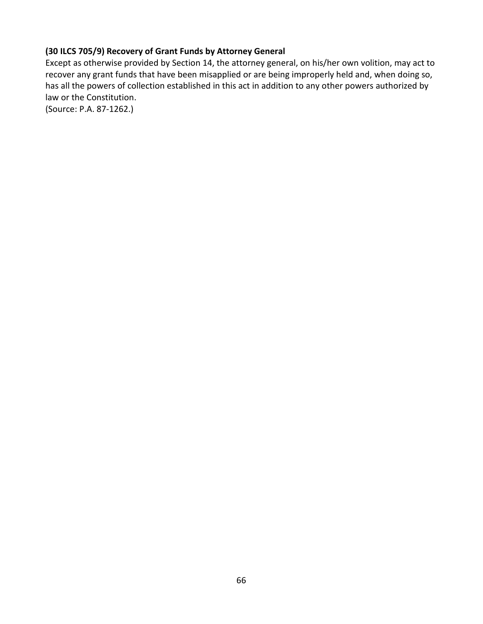# **(30 ILCS 705/9) Recovery of Grant Funds by Attorney General**

Except as otherwise provided by Section 14, the attorney general, on his/her own volition, may act to recover any grant funds that have been misapplied or are being improperly held and, when doing so, has all the powers of collection established in this act in addition to any other powers authorized by law or the Constitution.

(Source: P.A. 87-1262.)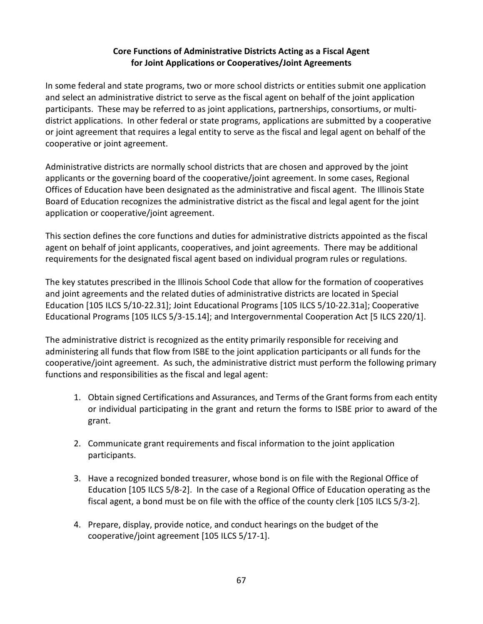# **Core Functions of Administrative Districts Acting as a Fiscal Agent for Joint Applications or Cooperatives/Joint Agreements**

In some federal and state programs, two or more school districts or entities submit one application and select an administrative district to serve as the fiscal agent on behalf of the joint application participants. These may be referred to as joint applications, partnerships, consortiums, or multidistrict applications. In other federal or state programs, applications are submitted by a cooperative or joint agreement that requires a legal entity to serve as the fiscal and legal agent on behalf of the cooperative or joint agreement.

Administrative districts are normally school districts that are chosen and approved by the joint applicants or the governing board of the cooperative/joint agreement. In some cases, Regional Offices of Education have been designated as the administrative and fiscal agent. The Illinois State Board of Education recognizes the administrative district as the fiscal and legal agent for the joint application or cooperative/joint agreement.

This section defines the core functions and duties for administrative districts appointed as the fiscal agent on behalf of joint applicants, cooperatives, and joint agreements. There may be additional requirements for the designated fiscal agent based on individual program rules or regulations.

The key statutes prescribed in the Illinois School Code that allow for the formation of cooperatives and joint agreements and the related duties of administrative districts are located in Special Education [105 ILCS 5/10-22.31]; Joint Educational Programs [105 ILCS 5/10-22.31a]; Cooperative Educational Programs [105 ILCS 5/3-15.14]; and Intergovernmental Cooperation Act [5 ILCS 220/1].

The administrative district is recognized as the entity primarily responsible for receiving and administering all funds that flow from ISBE to the joint application participants or all funds for the cooperative/joint agreement. As such, the administrative district must perform the following primary functions and responsibilities as the fiscal and legal agent:

- 1. Obtain signed Certifications and Assurances, and Terms of the Grant forms from each entity or individual participating in the grant and return the forms to ISBE prior to award of the grant.
- 2. Communicate grant requirements and fiscal information to the joint application participants.
- 3. Have a recognized bonded treasurer, whose bond is on file with the Regional Office of Education [105 ILCS 5/8-2]. In the case of a Regional Office of Education operating as the fiscal agent, a bond must be on file with the office of the county clerk [105 ILCS 5/3-2].
- 4. Prepare, display, provide notice, and conduct hearings on the budget of the cooperative/joint agreement [105 ILCS 5/17-1].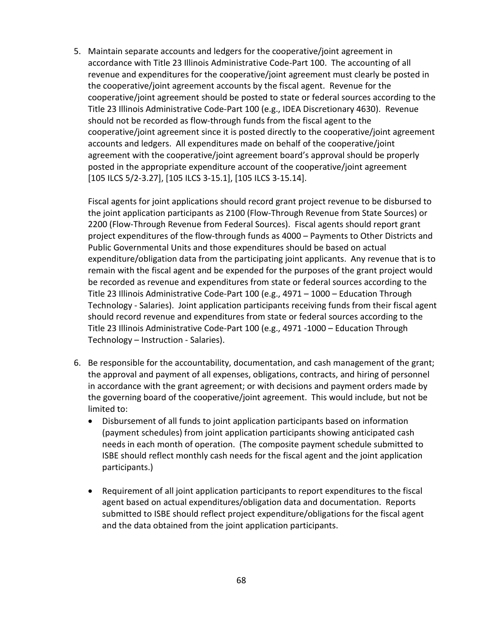5. Maintain separate accounts and ledgers for the cooperative/joint agreement in accordance with Title 23 Illinois Administrative Code-Part 100. The accounting of all revenue and expenditures for the cooperative/joint agreement must clearly be posted in the cooperative/joint agreement accounts by the fiscal agent. Revenue for the cooperative/joint agreement should be posted to state or federal sources according to the Title 23 Illinois Administrative Code-Part 100 (e.g., IDEA Discretionary 4630). Revenue should not be recorded as flow-through funds from the fiscal agent to the cooperative/joint agreement since it is posted directly to the cooperative/joint agreement accounts and ledgers. All expenditures made on behalf of the cooperative/joint agreement with the cooperative/joint agreement board's approval should be properly posted in the appropriate expenditure account of the cooperative/joint agreement [105 ILCS 5/2-3.27], [105 ILCS 3-15.1], [105 ILCS 3-15.14].

Fiscal agents for joint applications should record grant project revenue to be disbursed to the joint application participants as 2100 (Flow-Through Revenue from State Sources) or 2200 (Flow-Through Revenue from Federal Sources). Fiscal agents should report grant project expenditures of the flow-through funds as 4000 – Payments to Other Districts and Public Governmental Units and those expenditures should be based on actual expenditure/obligation data from the participating joint applicants. Any revenue that is to remain with the fiscal agent and be expended for the purposes of the grant project would be recorded as revenue and expenditures from state or federal sources according to the Title 23 Illinois Administrative Code-Part 100 (e.g., 4971 – 1000 – Education Through Technology - Salaries). Joint application participants receiving funds from their fiscal agent should record revenue and expenditures from state or federal sources according to the Title 23 Illinois Administrative Code-Part 100 (e.g., 4971 -1000 – Education Through Technology – Instruction - Salaries).

- 6. Be responsible for the accountability, documentation, and cash management of the grant; the approval and payment of all expenses, obligations, contracts, and hiring of personnel in accordance with the grant agreement; or with decisions and payment orders made by the governing board of the cooperative/joint agreement. This would include, but not be limited to:
	- Disbursement of all funds to joint application participants based on information (payment schedules) from joint application participants showing anticipated cash needs in each month of operation. (The composite payment schedule submitted to ISBE should reflect monthly cash needs for the fiscal agent and the joint application participants.)
	- Requirement of all joint application participants to report expenditures to the fiscal agent based on actual expenditures/obligation data and documentation. Reports submitted to ISBE should reflect project expenditure/obligations for the fiscal agent and the data obtained from the joint application participants.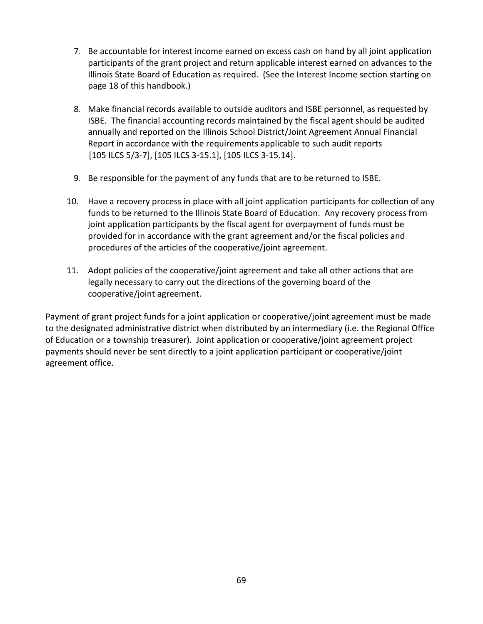- 7. Be accountable for interest income earned on excess cash on hand by all joint application participants of the grant project and return applicable interest earned on advances to the Illinois State Board of Education as required. (See the Interest Income section starting on page 18 of this handbook.)
- 8. Make financial records available to outside auditors and ISBE personnel, as requested by ISBE. The financial accounting records maintained by the fiscal agent should be audited annually and reported on the Illinois School District/Joint Agreement Annual Financial Report in accordance with the requirements applicable to such audit reports [105 ILCS 5/3-7], [105 ILCS 3-15.1], [105 ILCS 3-15.14].
- 9. Be responsible for the payment of any funds that are to be returned to ISBE.
- 10. Have a recovery process in place with all joint application participants for collection of any funds to be returned to the Illinois State Board of Education. Any recovery process from joint application participants by the fiscal agent for overpayment of funds must be provided for in accordance with the grant agreement and/or the fiscal policies and procedures of the articles of the cooperative/joint agreement.
- 11. Adopt policies of the cooperative/joint agreement and take all other actions that are legally necessary to carry out the directions of the governing board of the cooperative/joint agreement.

Payment of grant project funds for a joint application or cooperative/joint agreement must be made to the designated administrative district when distributed by an intermediary (i.e. the Regional Office of Education or a township treasurer). Joint application or cooperative/joint agreement project payments should never be sent directly to a joint application participant or cooperative/joint agreement office.